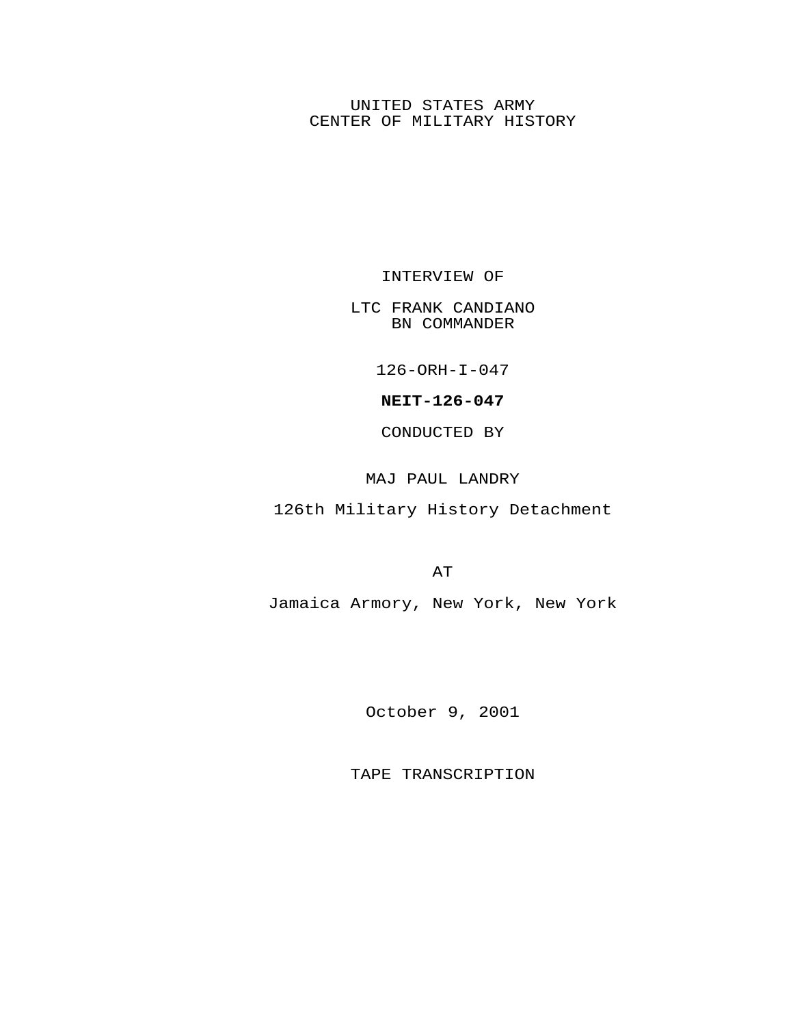## UNITED STATES ARMY CENTER OF MILITARY HISTORY

INTERVIEW OF

LTC FRANK CANDIANO BN COMMANDER

126-ORH-I-047

**NEIT-126-047**

CONDUCTED BY

MAJ PAUL LANDRY

126th Military History Detachment

AT

Jamaica Armory, New York, New York

October 9, 2001

TAPE TRANSCRIPTION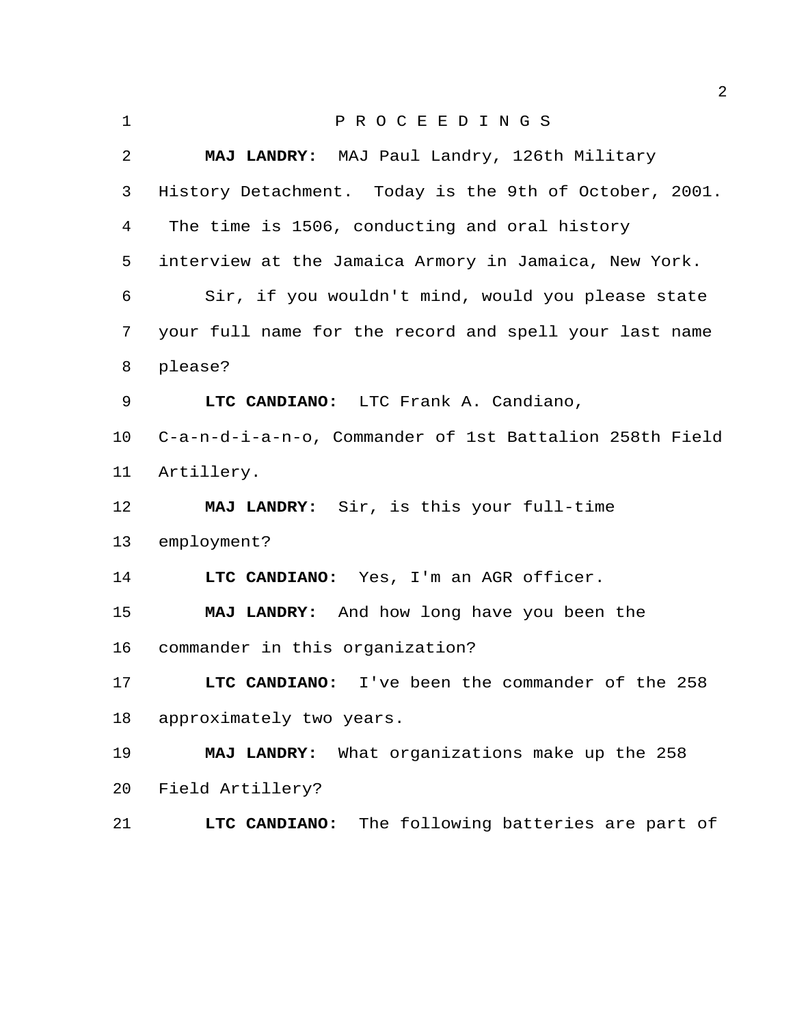| $\mathbf{1}$ | PROCEEDINGS                                             |
|--------------|---------------------------------------------------------|
| 2            | MAJ LANDRY: MAJ Paul Landry, 126th Military             |
| 3            | History Detachment. Today is the 9th of October, 2001.  |
| 4            | The time is 1506, conducting and oral history           |
| 5            | interview at the Jamaica Armory in Jamaica, New York.   |
| 6            | Sir, if you wouldn't mind, would you please state       |
| 7            | your full name for the record and spell your last name  |
| 8            | please?                                                 |
| 9            | LTC CANDIANO: LTC Frank A. Candiano,                    |
| 10           | C-a-n-d-i-a-n-o, Commander of 1st Battalion 258th Field |
| 11           | Artillery.                                              |
| 12           | MAJ LANDRY: Sir, is this your full-time                 |
| 13           | employment?                                             |
| 14           | LTC CANDIANO: Yes, I'm an AGR officer.                  |
| 15           | MAJ LANDRY: And how long have you been the              |
| 16           | commander in this organization?                         |
| 17           | I've been the commander of the 258<br>LTC CANDIANO:     |
| 18           | approximately two years.                                |
| 19           | What organizations make up the 258<br>MAJ LANDRY:       |
| 20           | Field Artillery?                                        |
| 21           | The following batteries are part of<br>LTC CANDIANO:    |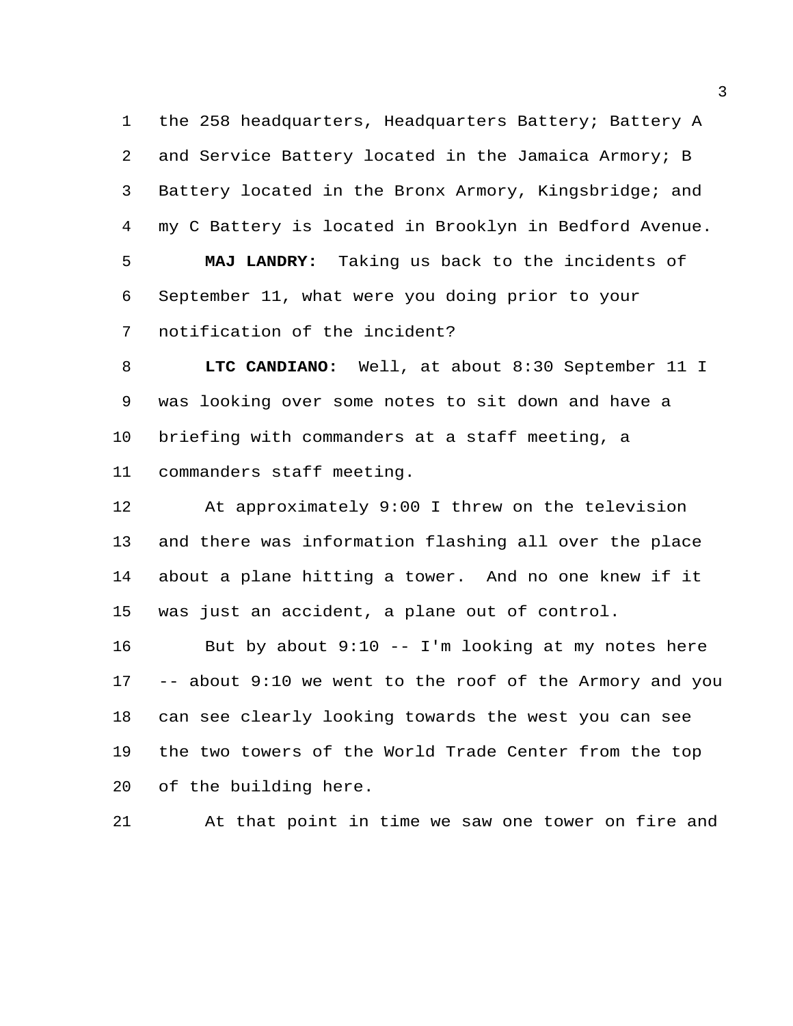the 258 headquarters, Headquarters Battery; Battery A and Service Battery located in the Jamaica Armory; B Battery located in the Bronx Armory, Kingsbridge; and my C Battery is located in Brooklyn in Bedford Avenue. **MAJ LANDRY:** Taking us back to the incidents of September 11, what were you doing prior to your

notification of the incident?

 **LTC CANDIANO:** Well, at about 8:30 September 11 I was looking over some notes to sit down and have a briefing with commanders at a staff meeting, a commanders staff meeting.

 At approximately 9:00 I threw on the television and there was information flashing all over the place about a plane hitting a tower. And no one knew if it was just an accident, a plane out of control.

 But by about 9:10 -- I'm looking at my notes here -- about 9:10 we went to the roof of the Armory and you can see clearly looking towards the west you can see the two towers of the World Trade Center from the top of the building here.

At that point in time we saw one tower on fire and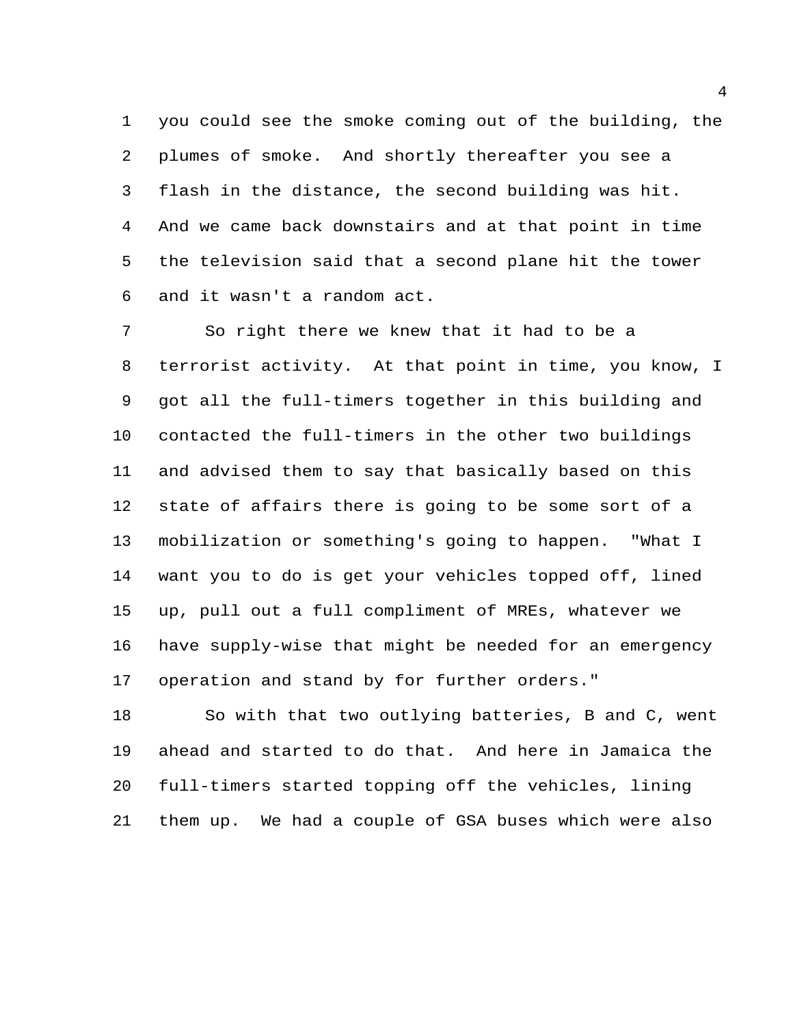you could see the smoke coming out of the building, the plumes of smoke. And shortly thereafter you see a flash in the distance, the second building was hit. And we came back downstairs and at that point in time the television said that a second plane hit the tower and it wasn't a random act.

 So right there we knew that it had to be a terrorist activity. At that point in time, you know, I got all the full-timers together in this building and contacted the full-timers in the other two buildings and advised them to say that basically based on this state of affairs there is going to be some sort of a mobilization or something's going to happen. "What I want you to do is get your vehicles topped off, lined up, pull out a full compliment of MREs, whatever we have supply-wise that might be needed for an emergency operation and stand by for further orders."

 So with that two outlying batteries, B and C, went ahead and started to do that. And here in Jamaica the full-timers started topping off the vehicles, lining them up. We had a couple of GSA buses which were also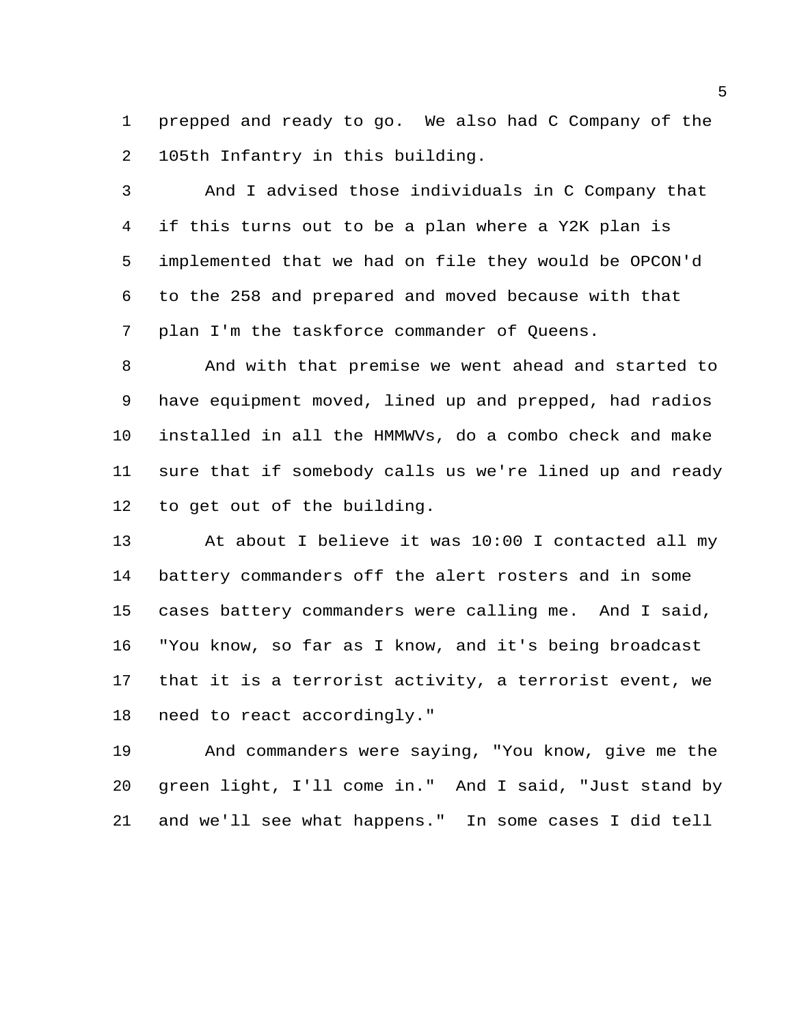prepped and ready to go. We also had C Company of the 105th Infantry in this building.

 And I advised those individuals in C Company that if this turns out to be a plan where a Y2K plan is implemented that we had on file they would be OPCON'd to the 258 and prepared and moved because with that plan I'm the taskforce commander of Queens.

 And with that premise we went ahead and started to have equipment moved, lined up and prepped, had radios installed in all the HMMWVs, do a combo check and make sure that if somebody calls us we're lined up and ready to get out of the building.

 At about I believe it was 10:00 I contacted all my battery commanders off the alert rosters and in some cases battery commanders were calling me. And I said, "You know, so far as I know, and it's being broadcast that it is a terrorist activity, a terrorist event, we need to react accordingly."

 And commanders were saying, "You know, give me the green light, I'll come in." And I said, "Just stand by and we'll see what happens." In some cases I did tell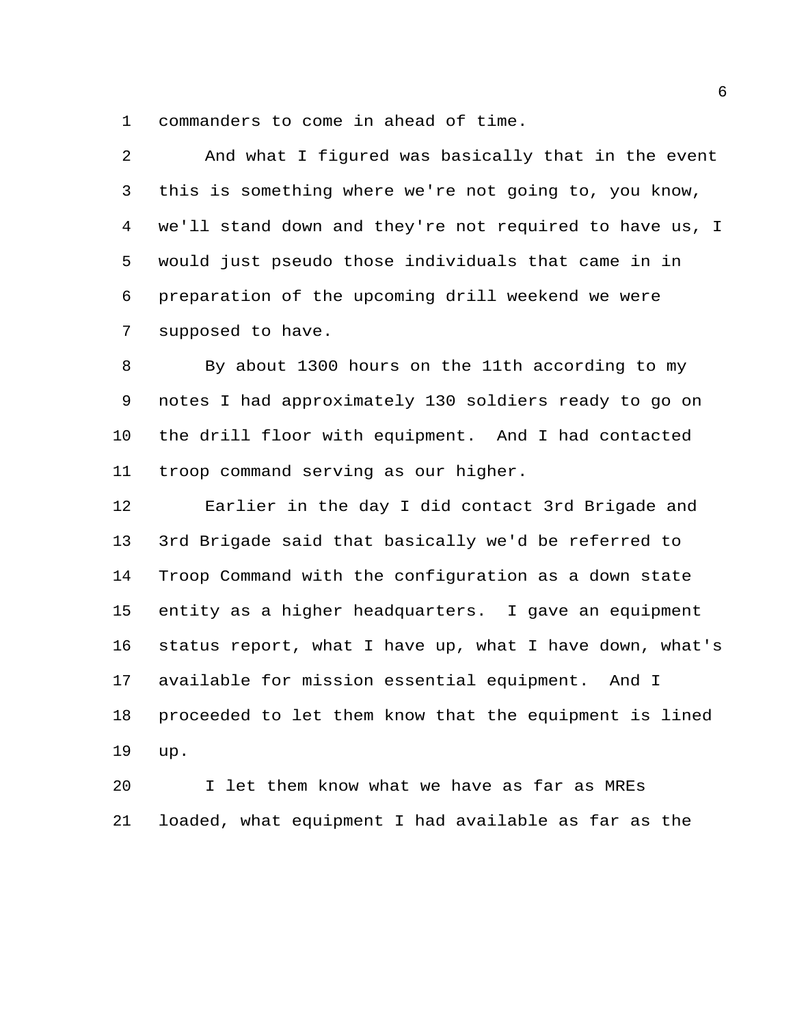commanders to come in ahead of time.

| $\overline{2}$ | And what I figured was basically that in the event      |
|----------------|---------------------------------------------------------|
| 3              | this is something where we're not going to, you know,   |
| 4              | we'll stand down and they're not required to have us, I |
| 5              | would just pseudo those individuals that came in in     |
| 6              | preparation of the upcoming drill weekend we were       |
| 7              | supposed to have.                                       |
| 8              | By about 1300 hours on the 11th according to my         |
| 9              | notes I had approximately 130 soldiers ready to go on   |
| 10             | the drill floor with equipment. And I had contacted     |
| 11             | troop command serving as our higher.                    |
| 12             | Earlier in the day I did contact 3rd Brigade and        |
| 13             | 3rd Brigade said that basically we'd be referred to     |
| 14             | Troop Command with the configuration as a down state    |

 entity as a higher headquarters. I gave an equipment status report, what I have up, what I have down, what's available for mission essential equipment. And I proceeded to let them know that the equipment is lined up.

 I let them know what we have as far as MREs loaded, what equipment I had available as far as the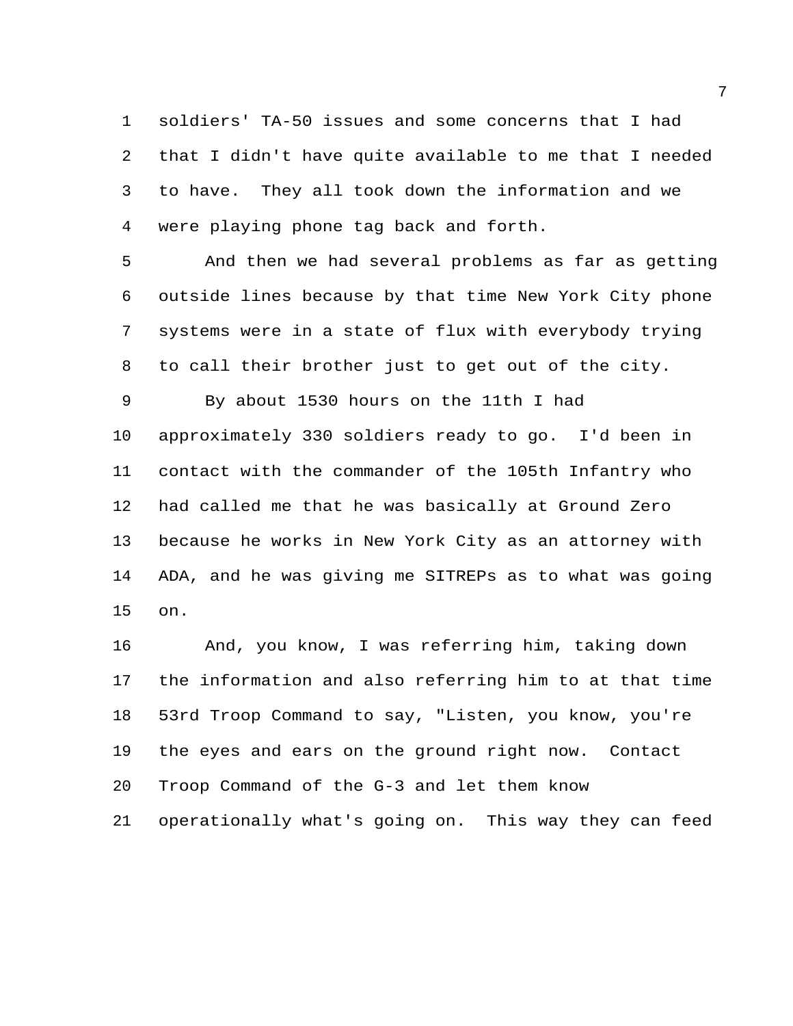soldiers' TA-50 issues and some concerns that I had that I didn't have quite available to me that I needed to have. They all took down the information and we were playing phone tag back and forth.

 And then we had several problems as far as getting outside lines because by that time New York City phone systems were in a state of flux with everybody trying to call their brother just to get out of the city.

 By about 1530 hours on the 11th I had approximately 330 soldiers ready to go. I'd been in contact with the commander of the 105th Infantry who had called me that he was basically at Ground Zero because he works in New York City as an attorney with ADA, and he was giving me SITREPs as to what was going on.

 And, you know, I was referring him, taking down the information and also referring him to at that time 53rd Troop Command to say, "Listen, you know, you're the eyes and ears on the ground right now. Contact Troop Command of the G-3 and let them know operationally what's going on. This way they can feed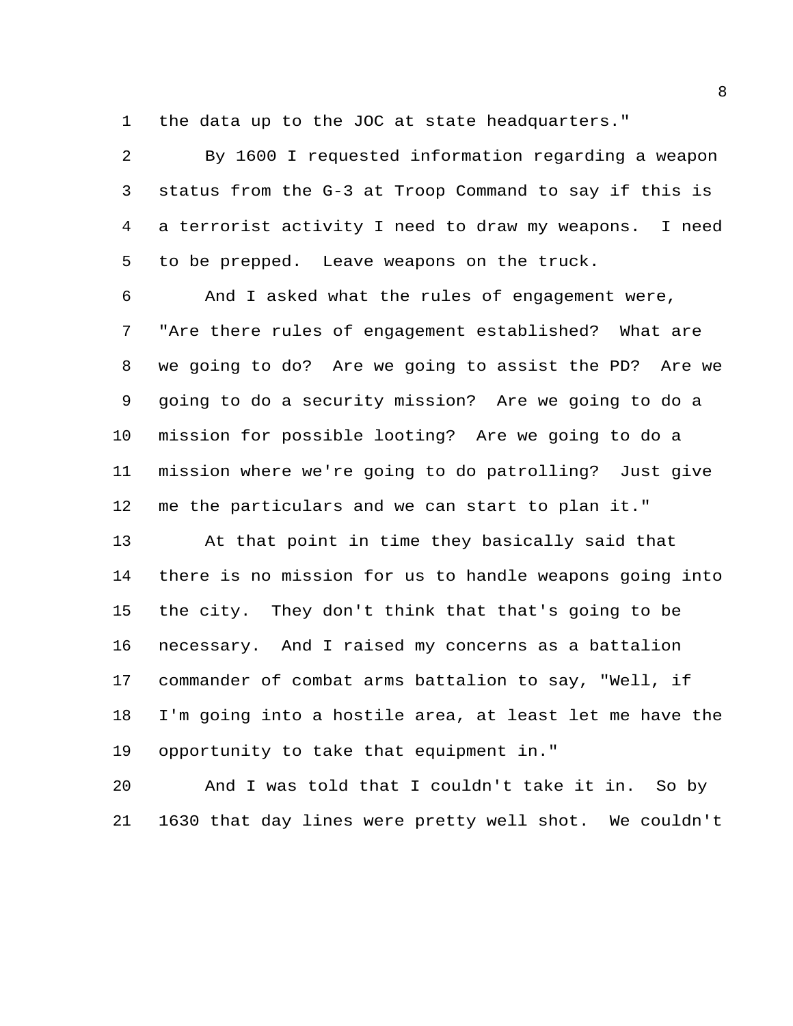the data up to the JOC at state headquarters."

 By 1600 I requested information regarding a weapon status from the G-3 at Troop Command to say if this is a terrorist activity I need to draw my weapons. I need to be prepped. Leave weapons on the truck.

 And I asked what the rules of engagement were, "Are there rules of engagement established? What are we going to do? Are we going to assist the PD? Are we going to do a security mission? Are we going to do a mission for possible looting? Are we going to do a mission where we're going to do patrolling? Just give me the particulars and we can start to plan it."

 At that point in time they basically said that there is no mission for us to handle weapons going into the city. They don't think that that's going to be necessary. And I raised my concerns as a battalion commander of combat arms battalion to say, "Well, if I'm going into a hostile area, at least let me have the opportunity to take that equipment in."

 And I was told that I couldn't take it in. So by 1630 that day lines were pretty well shot. We couldn't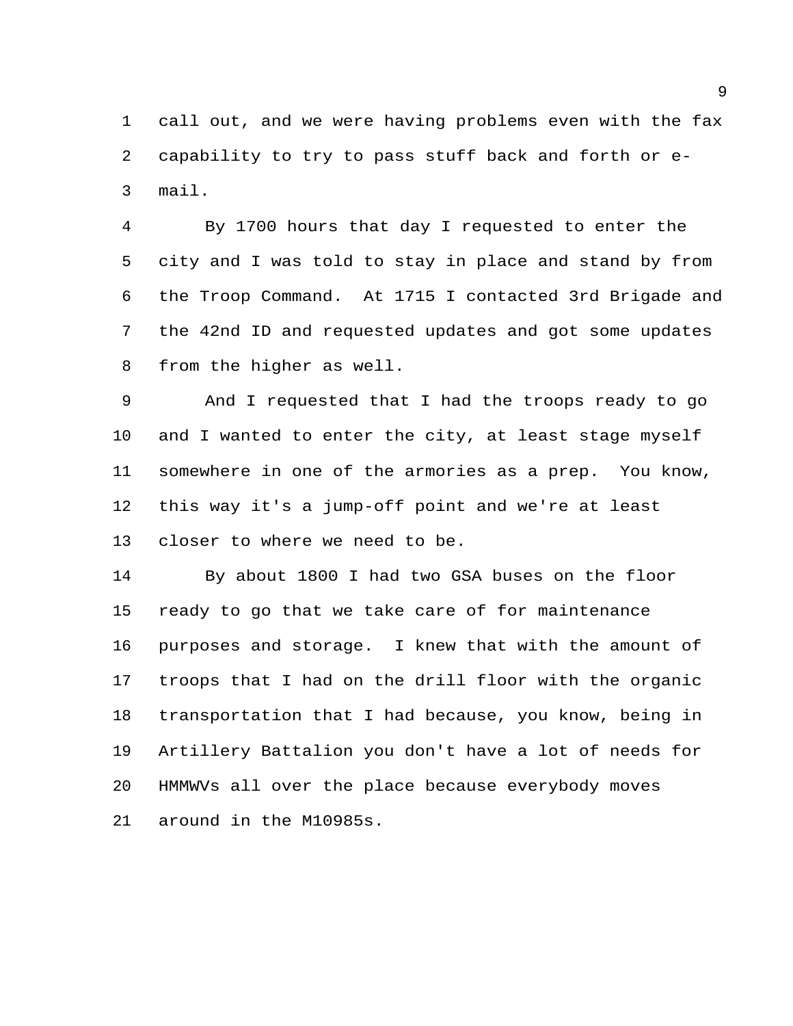call out, and we were having problems even with the fax capability to try to pass stuff back and forth or e-mail.

 By 1700 hours that day I requested to enter the city and I was told to stay in place and stand by from the Troop Command. At 1715 I contacted 3rd Brigade and the 42nd ID and requested updates and got some updates from the higher as well.

 And I requested that I had the troops ready to go and I wanted to enter the city, at least stage myself somewhere in one of the armories as a prep. You know, this way it's a jump-off point and we're at least closer to where we need to be.

 By about 1800 I had two GSA buses on the floor ready to go that we take care of for maintenance purposes and storage. I knew that with the amount of troops that I had on the drill floor with the organic transportation that I had because, you know, being in Artillery Battalion you don't have a lot of needs for HMMWVs all over the place because everybody moves around in the M10985s.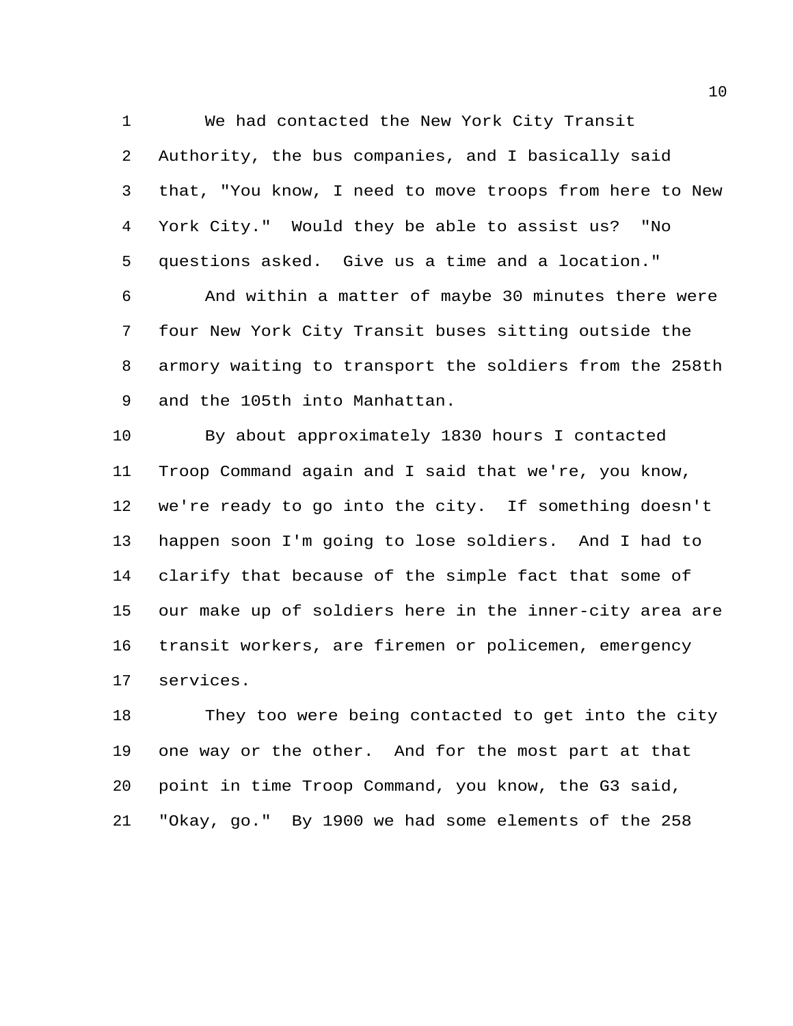Authority, the bus companies, and I basically said that, "You know, I need to move troops from here to New York City." Would they be able to assist us? "No questions asked. Give us a time and a location."

We had contacted the New York City Transit

 And within a matter of maybe 30 minutes there were four New York City Transit buses sitting outside the armory waiting to transport the soldiers from the 258th and the 105th into Manhattan.

 By about approximately 1830 hours I contacted Troop Command again and I said that we're, you know, we're ready to go into the city. If something doesn't happen soon I'm going to lose soldiers. And I had to clarify that because of the simple fact that some of our make up of soldiers here in the inner-city area are transit workers, are firemen or policemen, emergency services.

 They too were being contacted to get into the city one way or the other. And for the most part at that point in time Troop Command, you know, the G3 said, "Okay, go." By 1900 we had some elements of the 258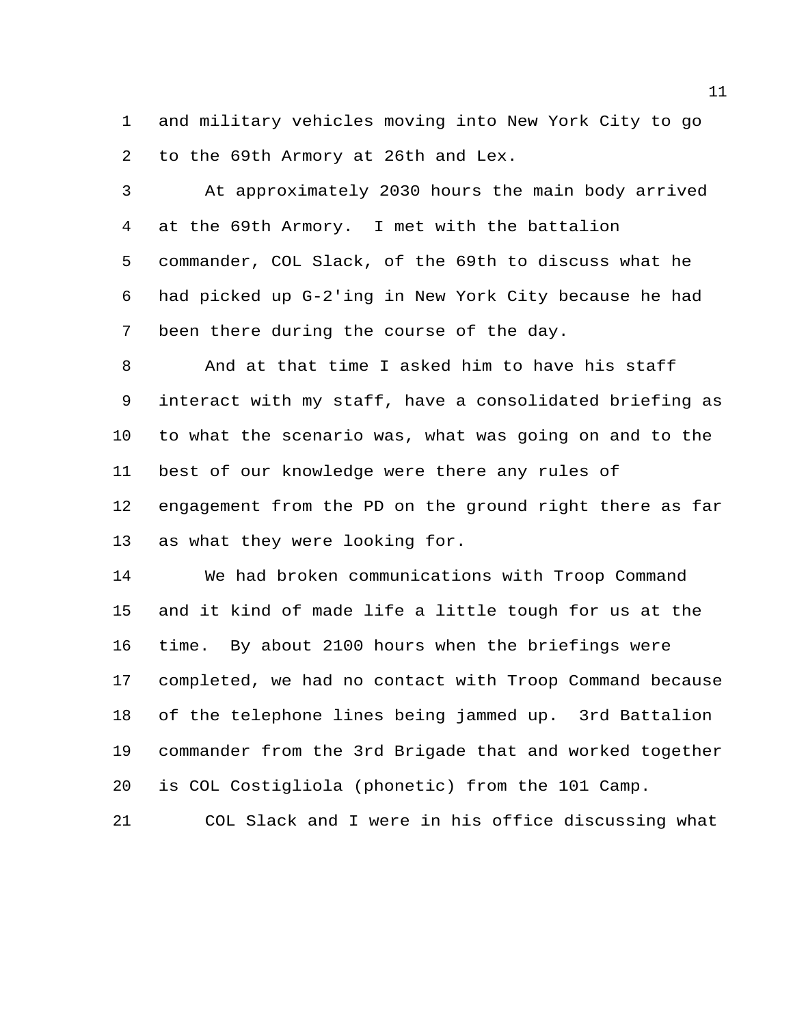and military vehicles moving into New York City to go to the 69th Armory at 26th and Lex.

 At approximately 2030 hours the main body arrived at the 69th Armory. I met with the battalion commander, COL Slack, of the 69th to discuss what he had picked up G-2'ing in New York City because he had been there during the course of the day.

 And at that time I asked him to have his staff interact with my staff, have a consolidated briefing as to what the scenario was, what was going on and to the best of our knowledge were there any rules of engagement from the PD on the ground right there as far as what they were looking for.

 We had broken communications with Troop Command and it kind of made life a little tough for us at the time. By about 2100 hours when the briefings were completed, we had no contact with Troop Command because of the telephone lines being jammed up. 3rd Battalion commander from the 3rd Brigade that and worked together is COL Costigliola (phonetic) from the 101 Camp.

COL Slack and I were in his office discussing what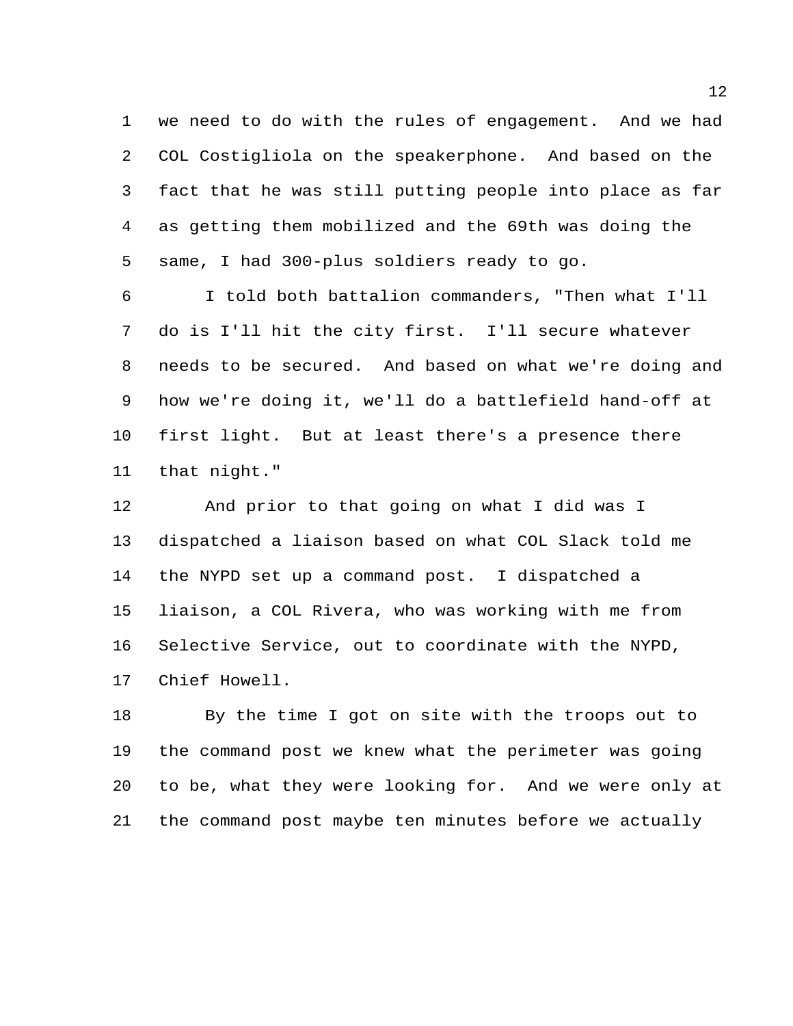we need to do with the rules of engagement. And we had COL Costigliola on the speakerphone. And based on the fact that he was still putting people into place as far as getting them mobilized and the 69th was doing the same, I had 300-plus soldiers ready to go.

 I told both battalion commanders, "Then what I'll do is I'll hit the city first. I'll secure whatever needs to be secured. And based on what we're doing and how we're doing it, we'll do a battlefield hand-off at first light. But at least there's a presence there that night."

 And prior to that going on what I did was I dispatched a liaison based on what COL Slack told me the NYPD set up a command post. I dispatched a liaison, a COL Rivera, who was working with me from Selective Service, out to coordinate with the NYPD, Chief Howell.

 By the time I got on site with the troops out to the command post we knew what the perimeter was going to be, what they were looking for. And we were only at the command post maybe ten minutes before we actually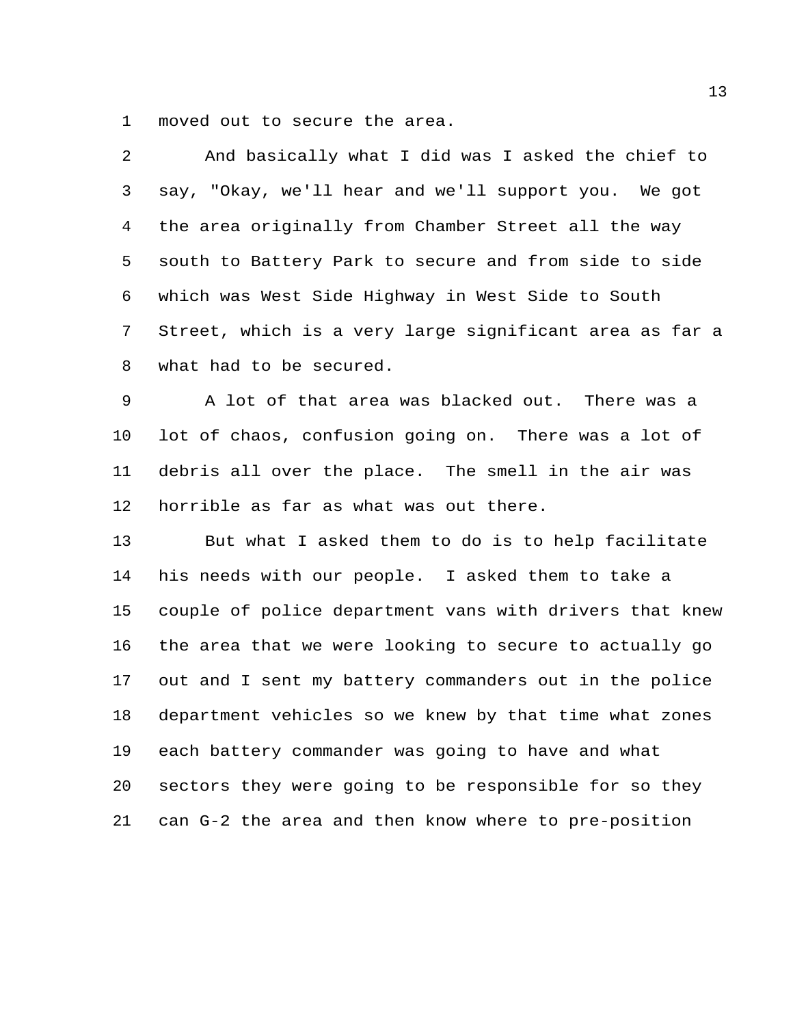moved out to secure the area.

| 2  | And basically what I did was I asked the chief to       |
|----|---------------------------------------------------------|
| 3  | say, "Okay, we'll hear and we'll support you. We got    |
| 4  | the area originally from Chamber Street all the way     |
| 5  | south to Battery Park to secure and from side to side   |
| 6  | which was West Side Highway in West Side to South       |
| 7  | Street, which is a very large significant area as far a |
| 8  | what had to be secured.                                 |
| 9  | A lot of that area was blacked out. There was a         |
| 10 | lot of chaos, confusion going on. There was a lot of    |
| 11 | debris all over the place. The smell in the air was     |
| 12 | horrible as far as what was out there.                  |
| 13 | But what I asked them to do is to help facilitate       |
| 14 | his needs with our people. I asked them to take a       |
| 15 | couple of police department vans with drivers that knew |
| 16 | the area that we were looking to secure to actually go  |
| 17 | out and I sent my battery commanders out in the police  |
| 18 | department vehicles so we knew by that time what zones  |
| 19 | each battery commander was going to have and what       |
| 20 | sectors they were going to be responsible for so they   |
| 21 | can G-2 the area and then know where to pre-position    |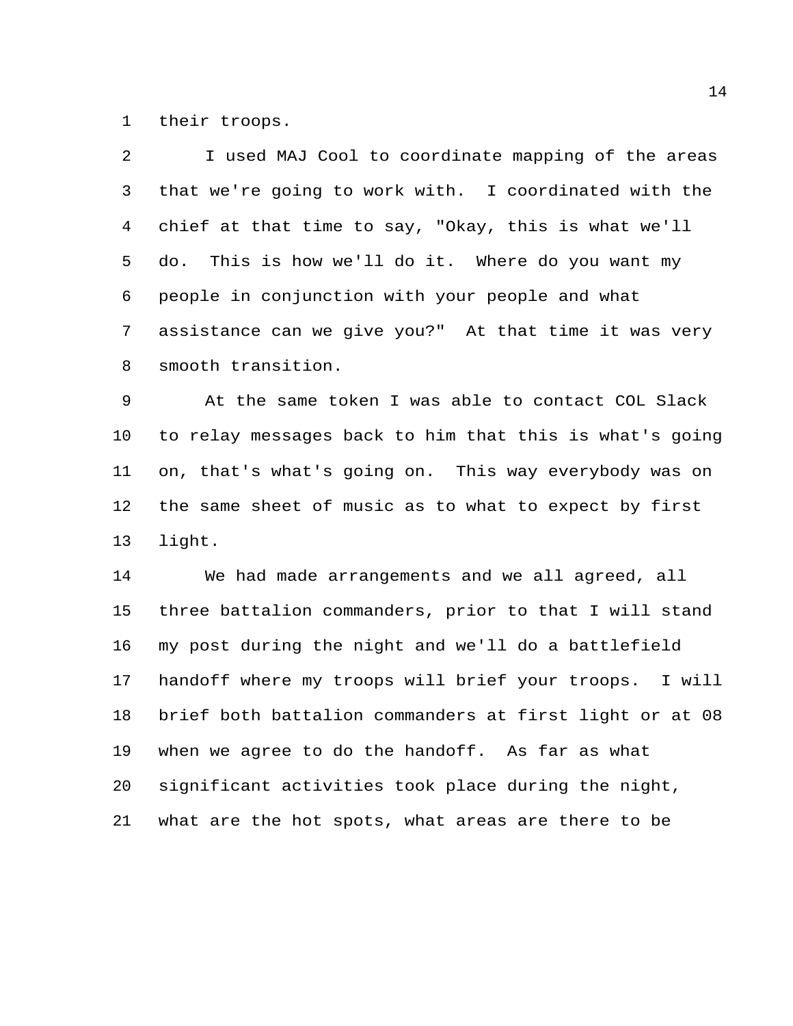their troops.

 I used MAJ Cool to coordinate mapping of the areas that we're going to work with. I coordinated with the chief at that time to say, "Okay, this is what we'll do. This is how we'll do it. Where do you want my people in conjunction with your people and what assistance can we give you?" At that time it was very smooth transition.

 At the same token I was able to contact COL Slack to relay messages back to him that this is what's going on, that's what's going on. This way everybody was on the same sheet of music as to what to expect by first light.

 We had made arrangements and we all agreed, all three battalion commanders, prior to that I will stand my post during the night and we'll do a battlefield handoff where my troops will brief your troops. I will brief both battalion commanders at first light or at 08 when we agree to do the handoff. As far as what significant activities took place during the night, what are the hot spots, what areas are there to be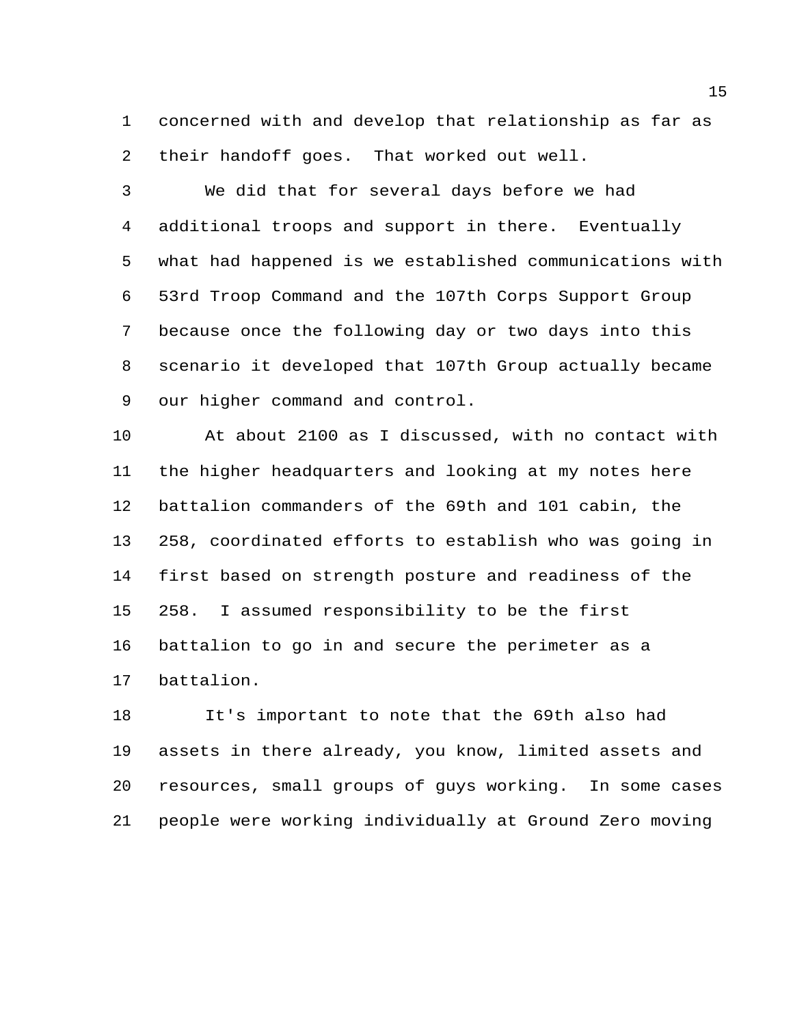concerned with and develop that relationship as far as their handoff goes. That worked out well.

 We did that for several days before we had additional troops and support in there. Eventually what had happened is we established communications with 53rd Troop Command and the 107th Corps Support Group because once the following day or two days into this scenario it developed that 107th Group actually became our higher command and control.

 At about 2100 as I discussed, with no contact with the higher headquarters and looking at my notes here battalion commanders of the 69th and 101 cabin, the 258, coordinated efforts to establish who was going in first based on strength posture and readiness of the 258. I assumed responsibility to be the first battalion to go in and secure the perimeter as a battalion.

 It's important to note that the 69th also had assets in there already, you know, limited assets and resources, small groups of guys working. In some cases people were working individually at Ground Zero moving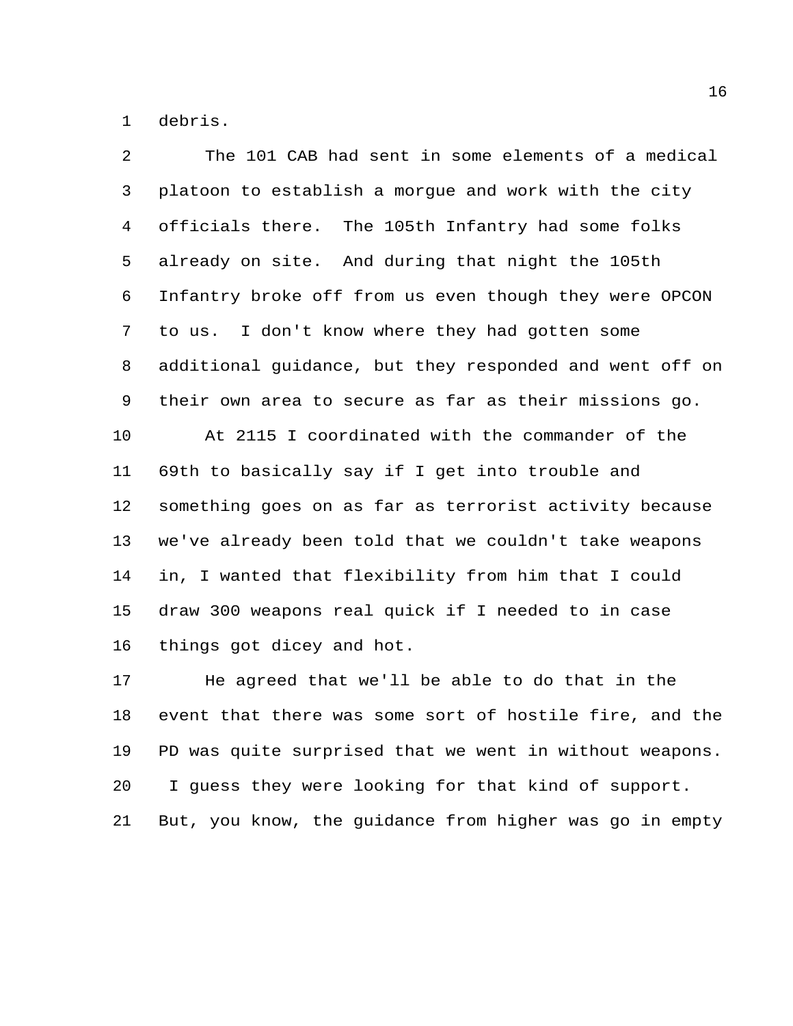debris.

| $\overline{a}$ | The 101 CAB had sent in some elements of a medical      |
|----------------|---------------------------------------------------------|
| 3              | platoon to establish a morgue and work with the city    |
| 4              | officials there.<br>The 105th Infantry had some folks   |
| 5              | already on site. And during that night the 105th        |
| 6              | Infantry broke off from us even though they were OPCON  |
| 7              | I don't know where they had gotten some<br>to us.       |
| 8              | additional guidance, but they responded and went off on |
| 9              | their own area to secure as far as their missions go.   |
| 10             | At 2115 I coordinated with the commander of the         |
| 11             | 69th to basically say if I get into trouble and         |
| 12             | something goes on as far as terrorist activity because  |
| 13             | we've already been told that we couldn't take weapons   |
| 14             | in, I wanted that flexibility from him that I could     |
| 15             | draw 300 weapons real quick if I needed to in case      |
| 16             | things got dicey and hot.                               |
| 17             | He agreed that we'll be able to do that in the          |
| 18             | event that there was some sort of hostile fire, and the |
| 19             | PD was quite surprised that we went in without weapons. |
| 20             | I guess they were looking for that kind of support.     |
| 21             | But, you know, the guidance from higher was go in empty |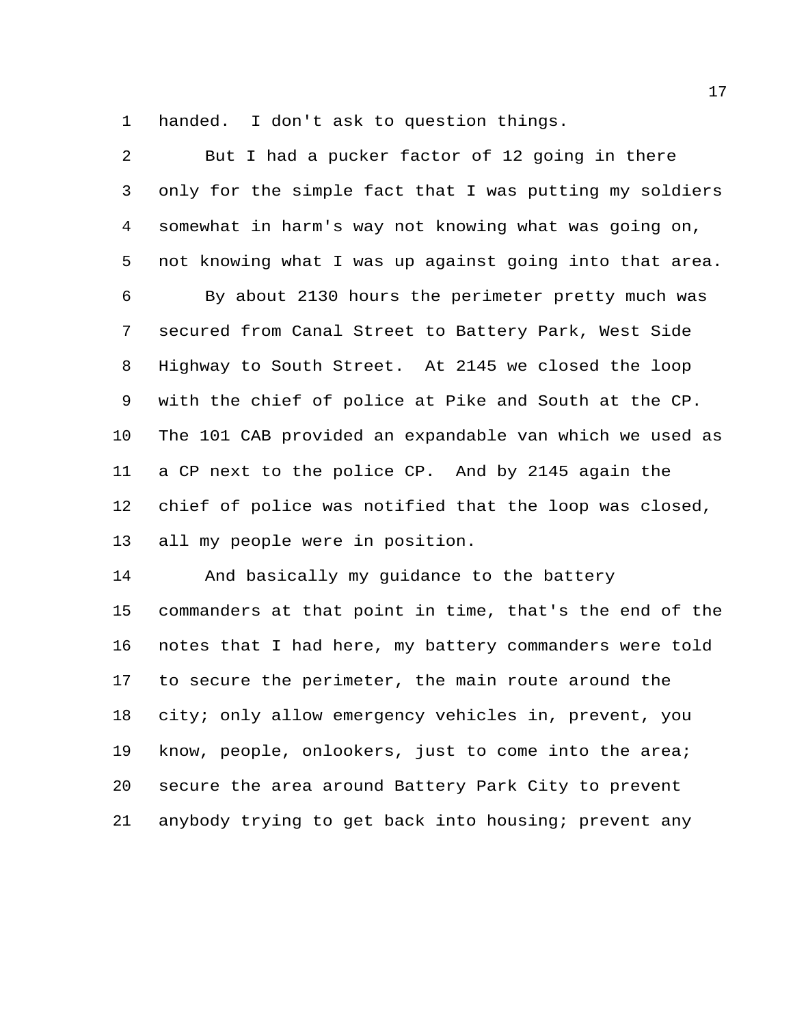handed. I don't ask to question things.

| 2              | But I had a pucker factor of 12 going in there          |
|----------------|---------------------------------------------------------|
| 3              | only for the simple fact that I was putting my soldiers |
| $\overline{4}$ | somewhat in harm's way not knowing what was going on,   |
| 5              | not knowing what I was up against going into that area. |
| 6              | By about 2130 hours the perimeter pretty much was       |
| 7              | secured from Canal Street to Battery Park, West Side    |
| 8              | Highway to South Street. At 2145 we closed the loop     |
| 9              | with the chief of police at Pike and South at the CP.   |
| 10             | The 101 CAB provided an expandable van which we used as |
| 11             | a CP next to the police CP. And by 2145 again the       |
| 12             | chief of police was notified that the loop was closed,  |
| 13             | all my people were in position.                         |
| 14             | And basically my guidance to the battery                |
| 15             | commanders at that point in time, that's the end of the |
| 16             | notes that I had here, my battery commanders were told  |
| 17             | to secure the perimeter, the main route around the      |
| 18             | city; only allow emergency vehicles in, prevent, you    |
| 19             | know, people, onlookers, just to come into the area;    |
| 20             | secure the area around Battery Park City to prevent     |

anybody trying to get back into housing; prevent any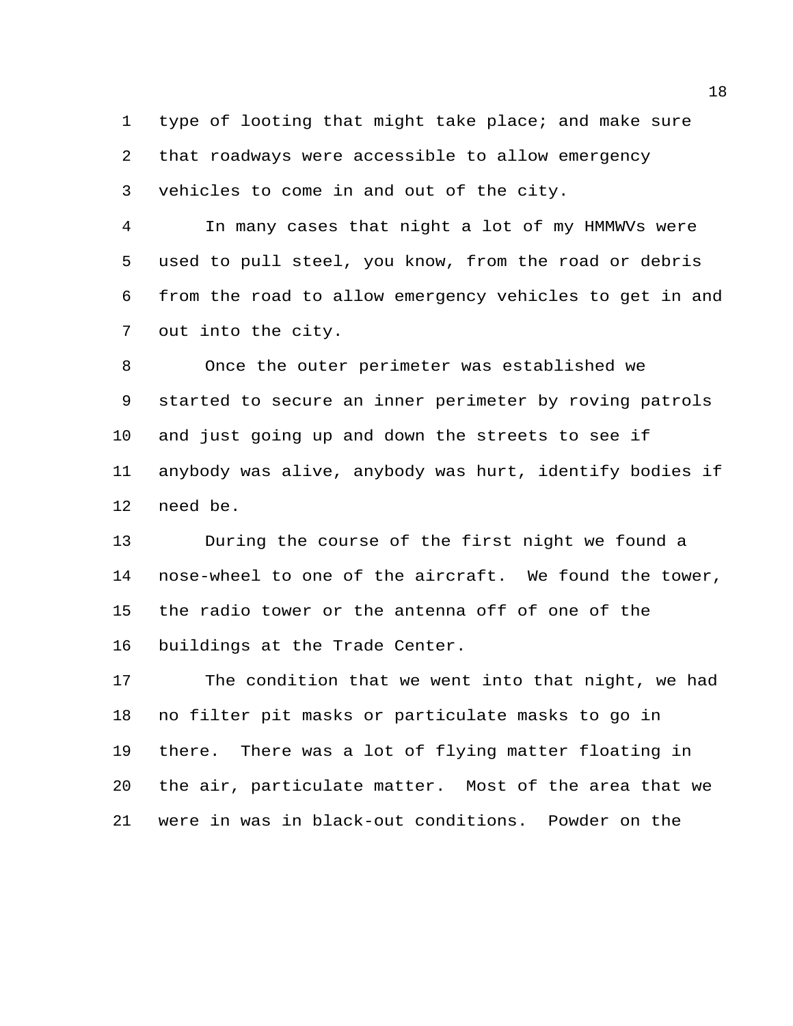type of looting that might take place; and make sure that roadways were accessible to allow emergency vehicles to come in and out of the city.

 In many cases that night a lot of my HMMWVs were used to pull steel, you know, from the road or debris from the road to allow emergency vehicles to get in and out into the city.

 Once the outer perimeter was established we started to secure an inner perimeter by roving patrols and just going up and down the streets to see if anybody was alive, anybody was hurt, identify bodies if need be.

 During the course of the first night we found a nose-wheel to one of the aircraft. We found the tower, the radio tower or the antenna off of one of the buildings at the Trade Center.

 The condition that we went into that night, we had no filter pit masks or particulate masks to go in there. There was a lot of flying matter floating in the air, particulate matter. Most of the area that we were in was in black-out conditions. Powder on the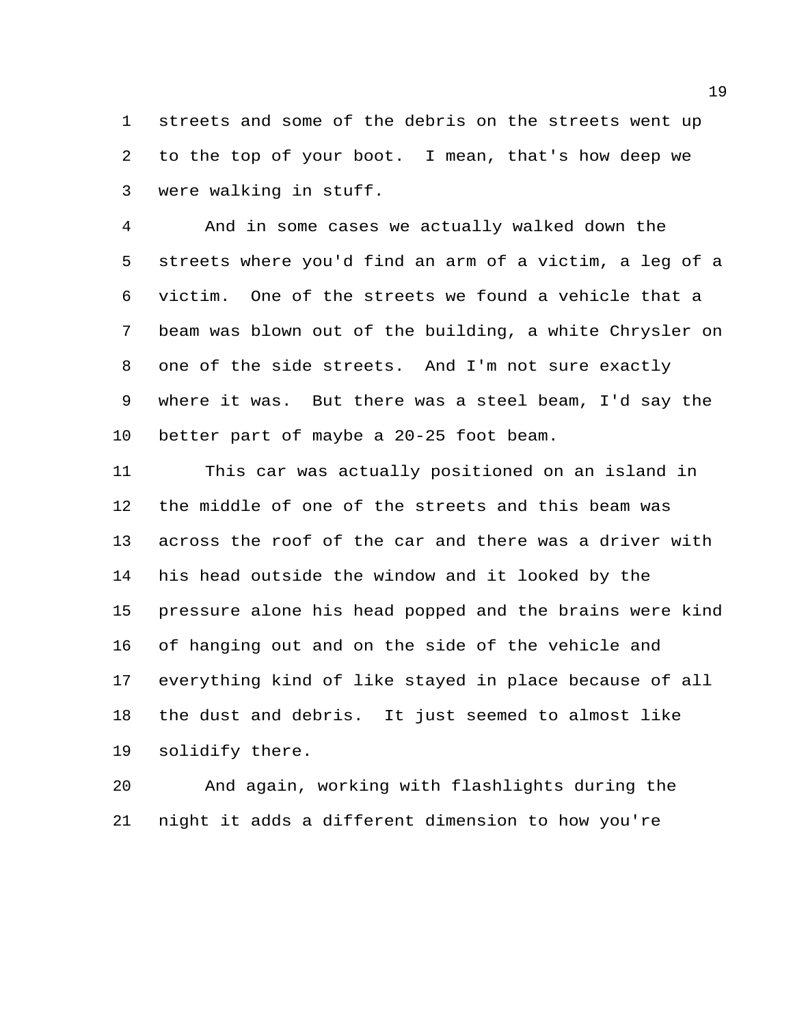streets and some of the debris on the streets went up to the top of your boot. I mean, that's how deep we were walking in stuff.

 And in some cases we actually walked down the streets where you'd find an arm of a victim, a leg of a victim. One of the streets we found a vehicle that a beam was blown out of the building, a white Chrysler on one of the side streets. And I'm not sure exactly where it was. But there was a steel beam, I'd say the better part of maybe a 20-25 foot beam.

 This car was actually positioned on an island in the middle of one of the streets and this beam was across the roof of the car and there was a driver with his head outside the window and it looked by the pressure alone his head popped and the brains were kind of hanging out and on the side of the vehicle and everything kind of like stayed in place because of all the dust and debris. It just seemed to almost like solidify there.

 And again, working with flashlights during the night it adds a different dimension to how you're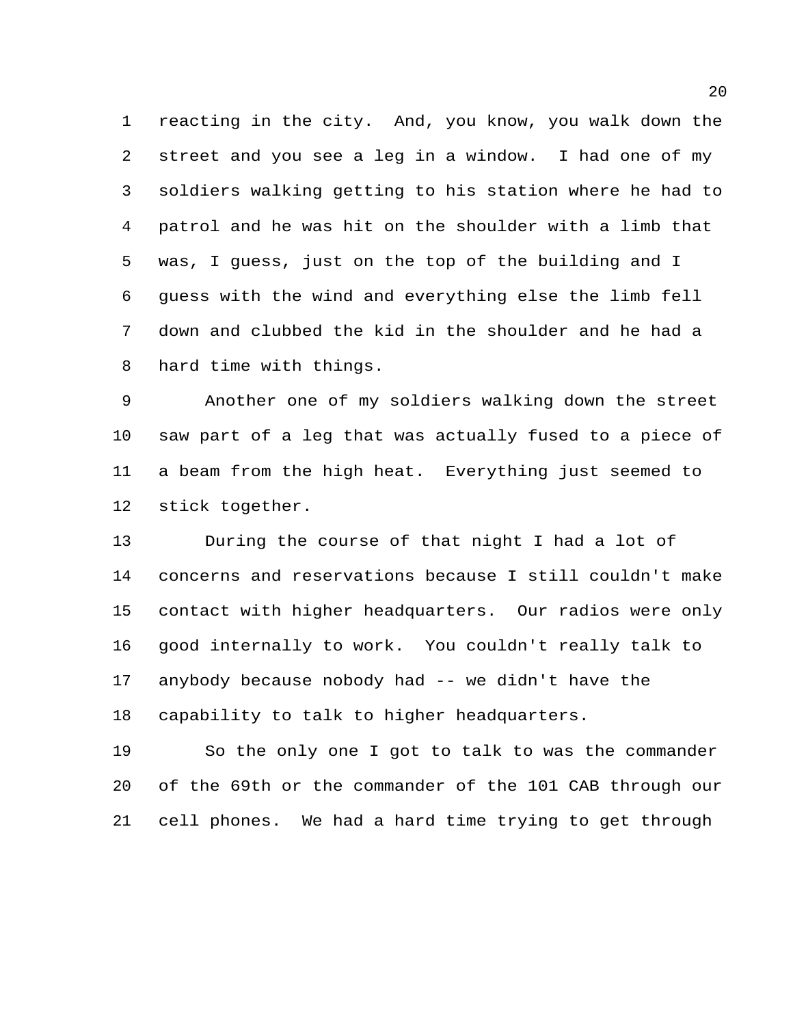reacting in the city. And, you know, you walk down the street and you see a leg in a window. I had one of my soldiers walking getting to his station where he had to patrol and he was hit on the shoulder with a limb that was, I guess, just on the top of the building and I guess with the wind and everything else the limb fell down and clubbed the kid in the shoulder and he had a hard time with things.

 Another one of my soldiers walking down the street saw part of a leg that was actually fused to a piece of a beam from the high heat. Everything just seemed to stick together.

 During the course of that night I had a lot of concerns and reservations because I still couldn't make contact with higher headquarters. Our radios were only good internally to work. You couldn't really talk to anybody because nobody had -- we didn't have the capability to talk to higher headquarters.

 So the only one I got to talk to was the commander of the 69th or the commander of the 101 CAB through our cell phones. We had a hard time trying to get through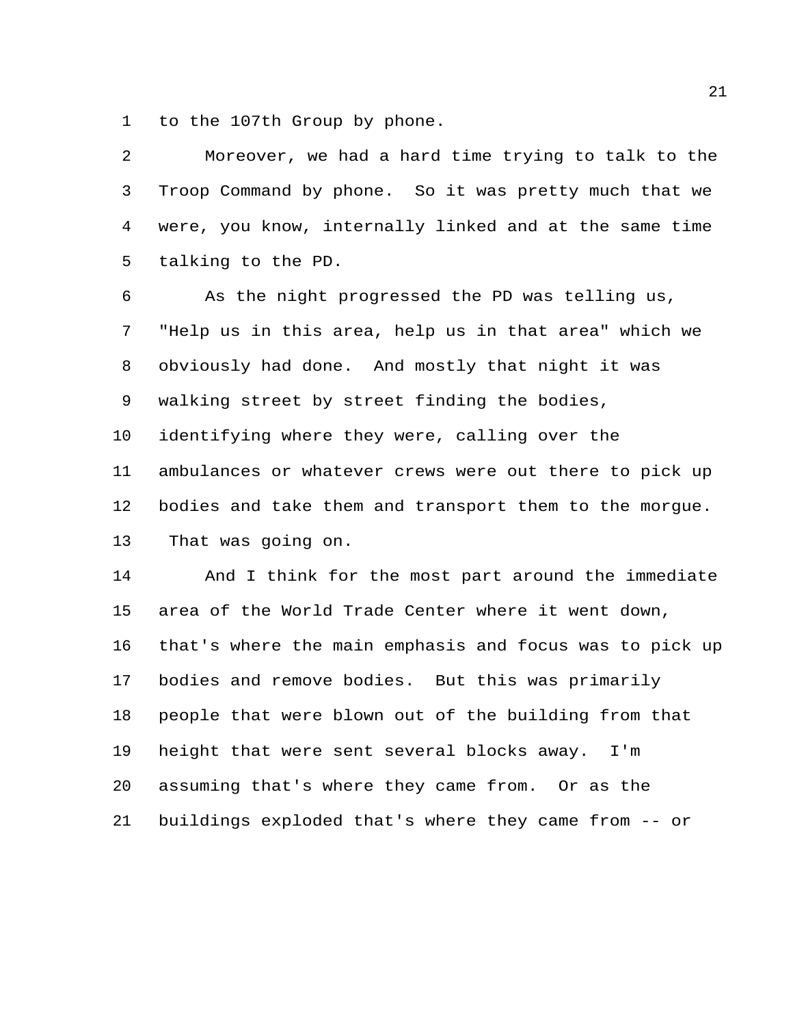to the 107th Group by phone.

| 2  | Moreover, we had a hard time trying to talk to the      |
|----|---------------------------------------------------------|
| 3  | Troop Command by phone. So it was pretty much that we   |
| 4  | were, you know, internally linked and at the same time  |
| 5  | talking to the PD.                                      |
| 6  | As the night progressed the PD was telling us,          |
| 7  | "Help us in this area, help us in that area" which we   |
| 8  | obviously had done. And mostly that night it was        |
| 9  | walking street by street finding the bodies,            |
| 10 | identifying where they were, calling over the           |
| 11 | ambulances or whatever crews were out there to pick up  |
| 12 | bodies and take them and transport them to the morgue.  |
| 13 | That was going on.                                      |
| 14 | And I think for the most part around the immediate      |
| 15 | area of the World Trade Center where it went down,      |
| 16 | that's where the main emphasis and focus was to pick up |
| 17 | bodies and remove bodies. But this was primarily        |
| 18 | people that were blown out of the building from that    |
| 19 | height that were sent several blocks away. I'm          |
| 20 | assuming that's where they came from. Or as the         |
| 21 | buildings exploded that's where they came from -- or    |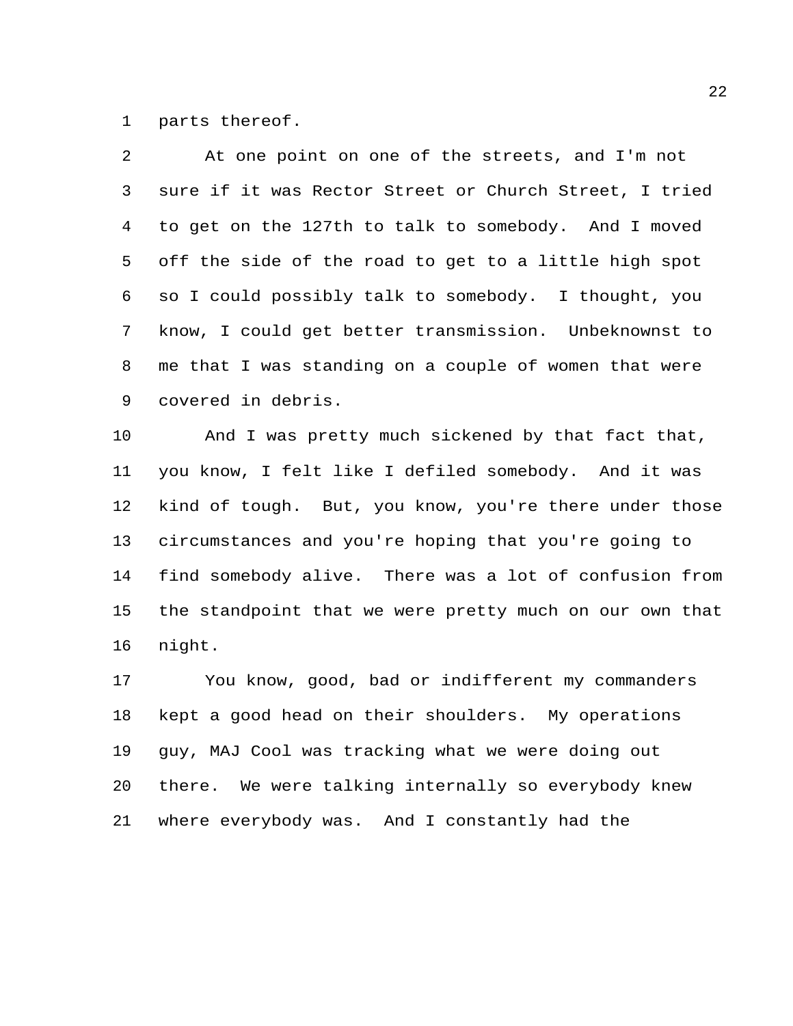parts thereof.

| $\mathcal{L}$   | At one point on one of the streets, and I'm not         |
|-----------------|---------------------------------------------------------|
| 3 <sup>7</sup>  | sure if it was Rector Street or Church Street, I tried  |
|                 | 4 to get on the 127th to talk to somebody. And I moved  |
|                 | 5 off the side of the road to get to a little high spot |
|                 | 6 so I could possibly talk to somebody. I thought, you  |
|                 | 7 know, I could get better transmission. Unbeknownst to |
| 8               | me that I was standing on a couple of women that were   |
| 9               | covered in debris.                                      |
| 10 <sub>1</sub> | And I was pretty much sickened by that fact that,       |

 you know, I felt like I defiled somebody. And it was kind of tough. But, you know, you're there under those circumstances and you're hoping that you're going to find somebody alive. There was a lot of confusion from the standpoint that we were pretty much on our own that night.

 You know, good, bad or indifferent my commanders kept a good head on their shoulders. My operations guy, MAJ Cool was tracking what we were doing out there. We were talking internally so everybody knew where everybody was. And I constantly had the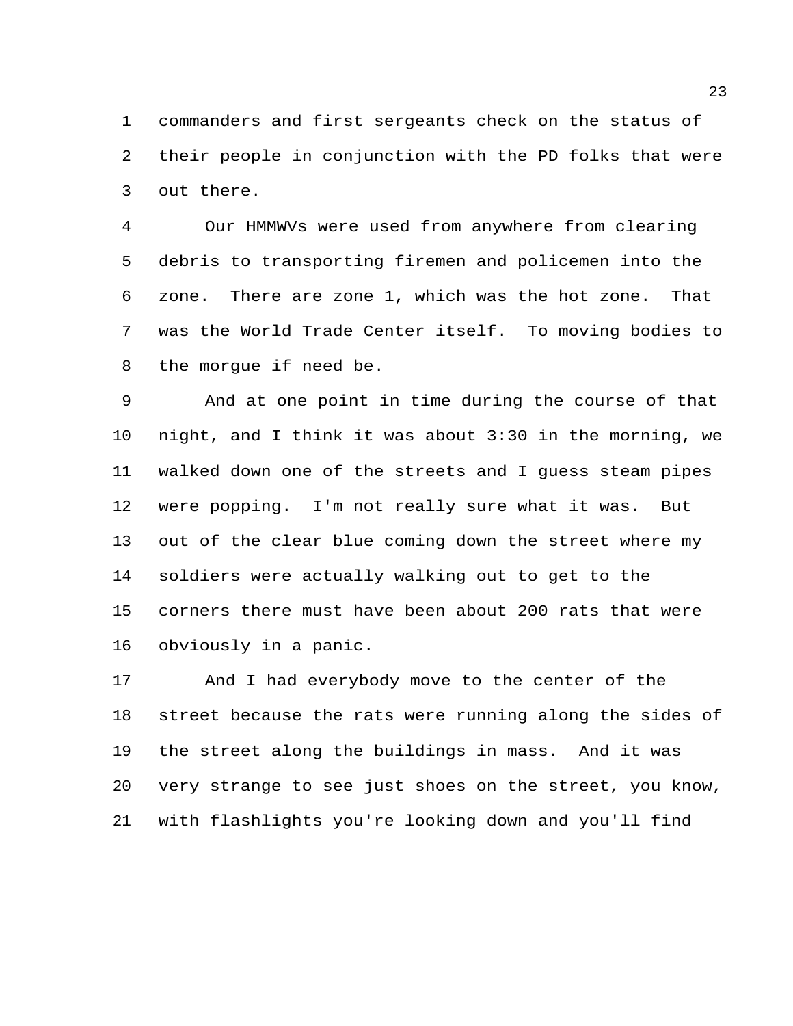commanders and first sergeants check on the status of their people in conjunction with the PD folks that were out there.

 Our HMMWVs were used from anywhere from clearing debris to transporting firemen and policemen into the zone. There are zone 1, which was the hot zone. That was the World Trade Center itself. To moving bodies to the morgue if need be.

 And at one point in time during the course of that night, and I think it was about 3:30 in the morning, we walked down one of the streets and I guess steam pipes were popping. I'm not really sure what it was. But out of the clear blue coming down the street where my soldiers were actually walking out to get to the corners there must have been about 200 rats that were obviously in a panic.

 And I had everybody move to the center of the street because the rats were running along the sides of the street along the buildings in mass. And it was very strange to see just shoes on the street, you know, with flashlights you're looking down and you'll find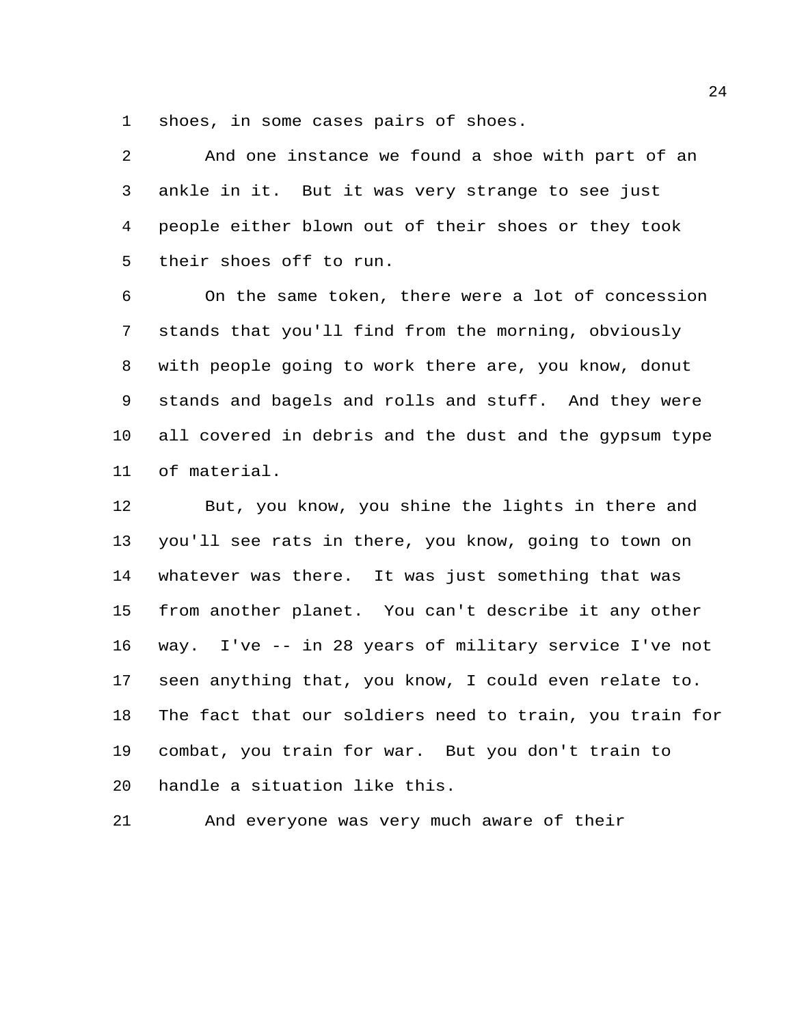shoes, in some cases pairs of shoes.

 And one instance we found a shoe with part of an ankle in it. But it was very strange to see just people either blown out of their shoes or they took their shoes off to run.

 On the same token, there were a lot of concession stands that you'll find from the morning, obviously with people going to work there are, you know, donut stands and bagels and rolls and stuff. And they were all covered in debris and the dust and the gypsum type of material.

 But, you know, you shine the lights in there and you'll see rats in there, you know, going to town on whatever was there. It was just something that was from another planet. You can't describe it any other way. I've -- in 28 years of military service I've not seen anything that, you know, I could even relate to. The fact that our soldiers need to train, you train for combat, you train for war. But you don't train to handle a situation like this.

And everyone was very much aware of their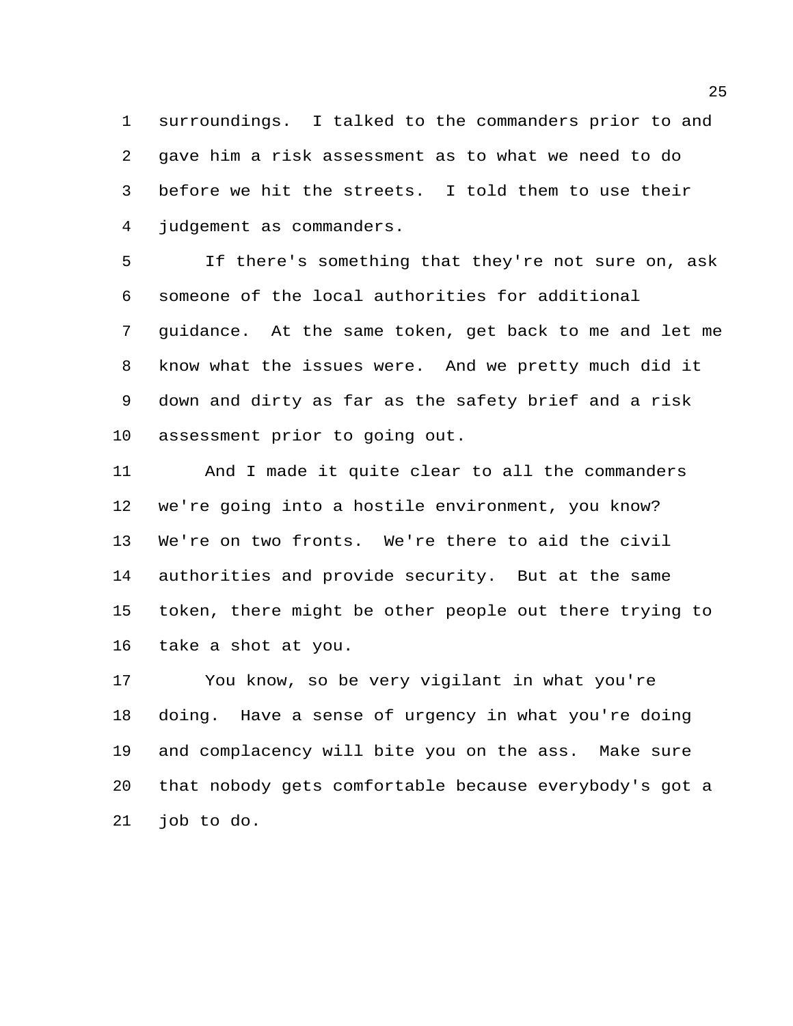surroundings. I talked to the commanders prior to and gave him a risk assessment as to what we need to do before we hit the streets. I told them to use their judgement as commanders.

 If there's something that they're not sure on, ask someone of the local authorities for additional guidance. At the same token, get back to me and let me know what the issues were. And we pretty much did it down and dirty as far as the safety brief and a risk assessment prior to going out.

 And I made it quite clear to all the commanders we're going into a hostile environment, you know? We're on two fronts. We're there to aid the civil authorities and provide security. But at the same token, there might be other people out there trying to take a shot at you.

 You know, so be very vigilant in what you're doing. Have a sense of urgency in what you're doing and complacency will bite you on the ass. Make sure that nobody gets comfortable because everybody's got a job to do.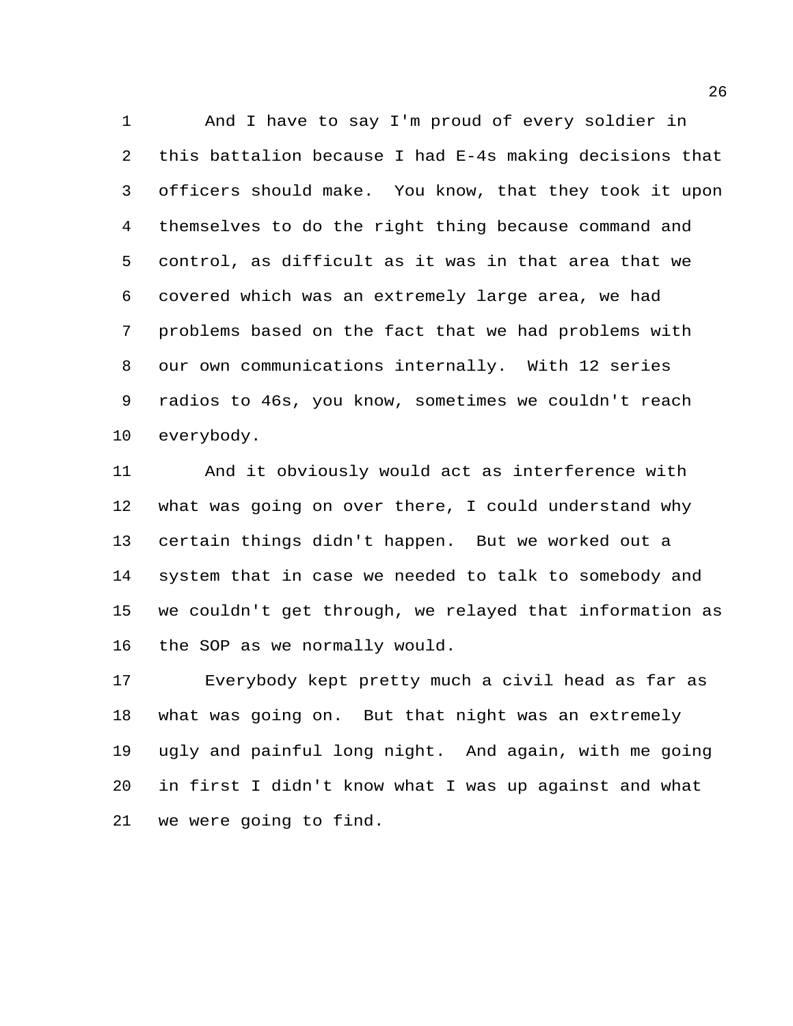And I have to say I'm proud of every soldier in this battalion because I had E-4s making decisions that officers should make. You know, that they took it upon themselves to do the right thing because command and control, as difficult as it was in that area that we covered which was an extremely large area, we had problems based on the fact that we had problems with our own communications internally. With 12 series radios to 46s, you know, sometimes we couldn't reach everybody.

 And it obviously would act as interference with what was going on over there, I could understand why certain things didn't happen. But we worked out a system that in case we needed to talk to somebody and we couldn't get through, we relayed that information as the SOP as we normally would.

 Everybody kept pretty much a civil head as far as what was going on. But that night was an extremely ugly and painful long night. And again, with me going in first I didn't know what I was up against and what we were going to find.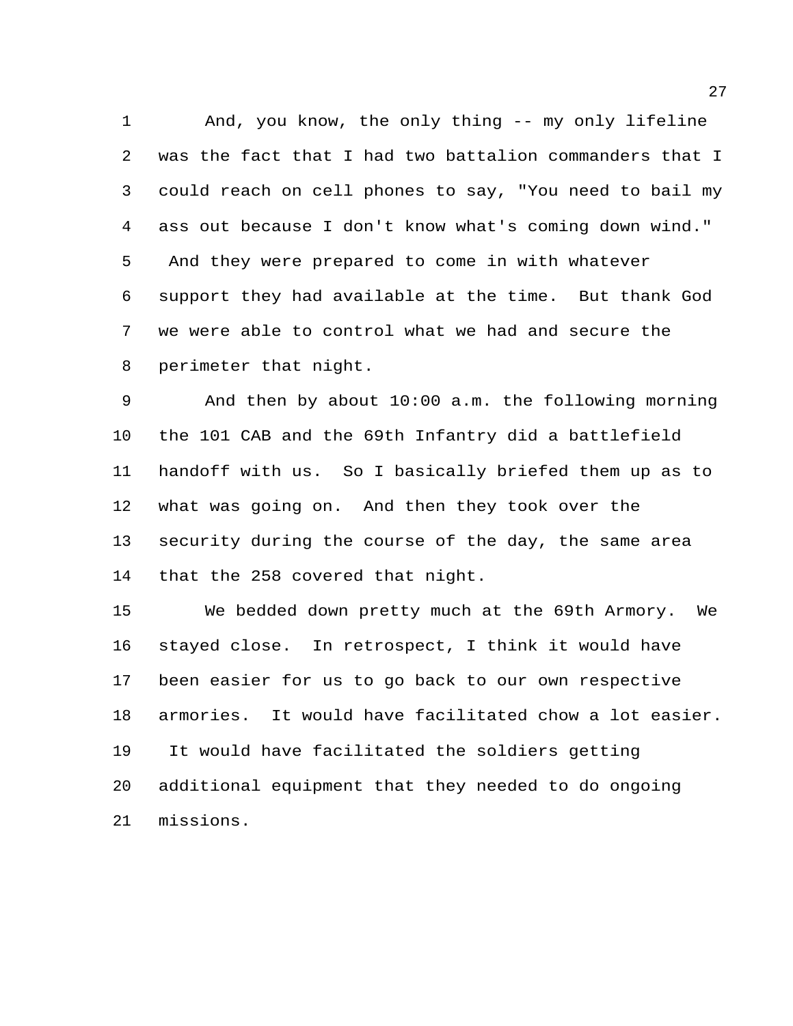And, you know, the only thing -- my only lifeline was the fact that I had two battalion commanders that I could reach on cell phones to say, "You need to bail my ass out because I don't know what's coming down wind." And they were prepared to come in with whatever support they had available at the time. But thank God we were able to control what we had and secure the perimeter that night.

 And then by about 10:00 a.m. the following morning the 101 CAB and the 69th Infantry did a battlefield handoff with us. So I basically briefed them up as to what was going on. And then they took over the security during the course of the day, the same area that the 258 covered that night.

 We bedded down pretty much at the 69th Armory. We stayed close. In retrospect, I think it would have been easier for us to go back to our own respective armories. It would have facilitated chow a lot easier. It would have facilitated the soldiers getting additional equipment that they needed to do ongoing missions.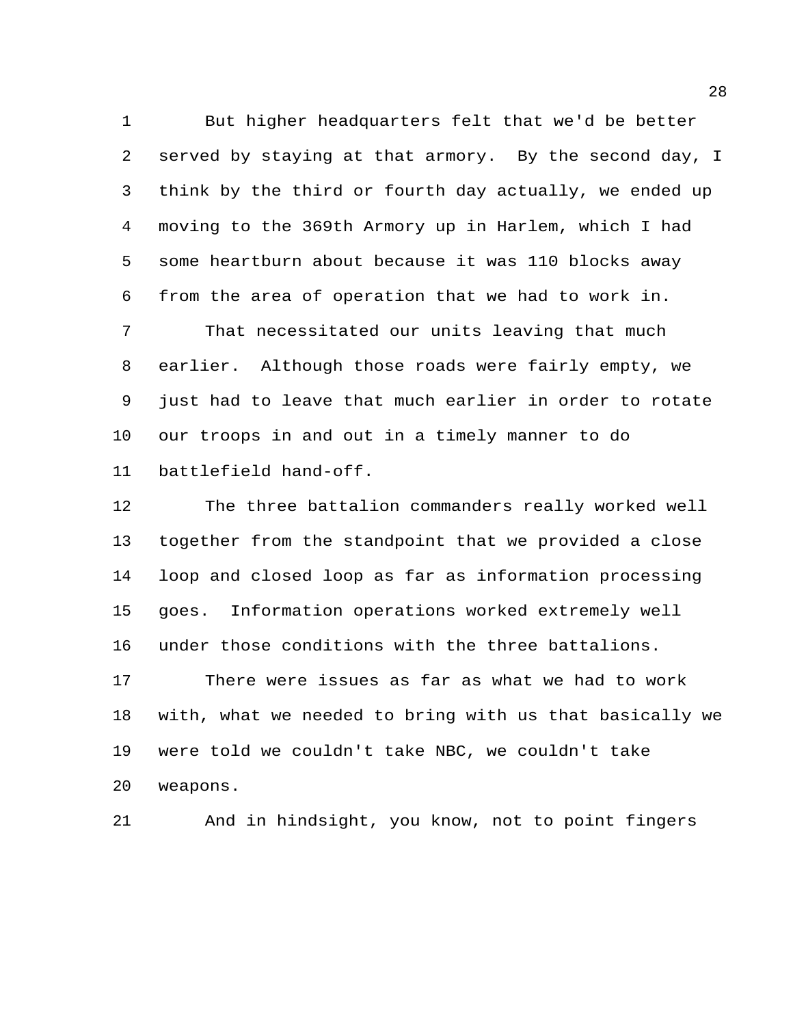But higher headquarters felt that we'd be better served by staying at that armory. By the second day, I think by the third or fourth day actually, we ended up moving to the 369th Armory up in Harlem, which I had some heartburn about because it was 110 blocks away from the area of operation that we had to work in. That necessitated our units leaving that much earlier. Although those roads were fairly empty, we just had to leave that much earlier in order to rotate our troops in and out in a timely manner to do battlefield hand-off.

 The three battalion commanders really worked well together from the standpoint that we provided a close loop and closed loop as far as information processing goes. Information operations worked extremely well under those conditions with the three battalions. There were issues as far as what we had to work

 with, what we needed to bring with us that basically we were told we couldn't take NBC, we couldn't take weapons.

And in hindsight, you know, not to point fingers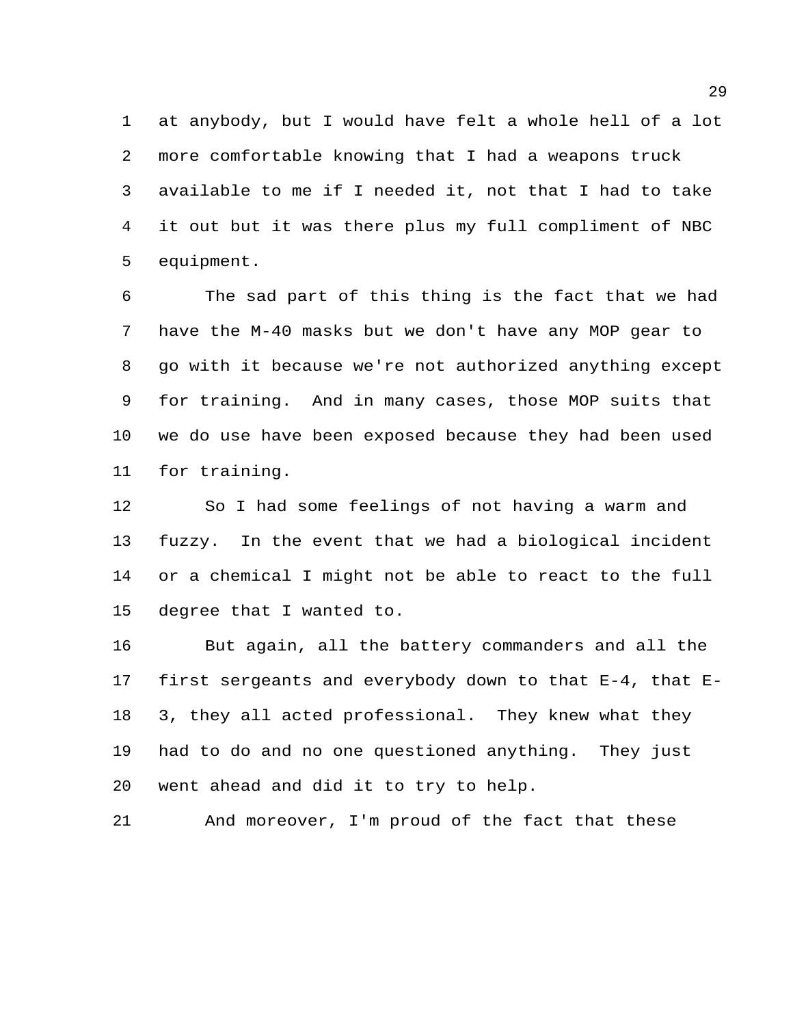at anybody, but I would have felt a whole hell of a lot more comfortable knowing that I had a weapons truck available to me if I needed it, not that I had to take it out but it was there plus my full compliment of NBC equipment.

 The sad part of this thing is the fact that we had have the M-40 masks but we don't have any MOP gear to go with it because we're not authorized anything except for training. And in many cases, those MOP suits that we do use have been exposed because they had been used for training.

 So I had some feelings of not having a warm and fuzzy. In the event that we had a biological incident or a chemical I might not be able to react to the full degree that I wanted to.

 But again, all the battery commanders and all the first sergeants and everybody down to that E-4, that E- 3, they all acted professional. They knew what they had to do and no one questioned anything. They just went ahead and did it to try to help.

And moreover, I'm proud of the fact that these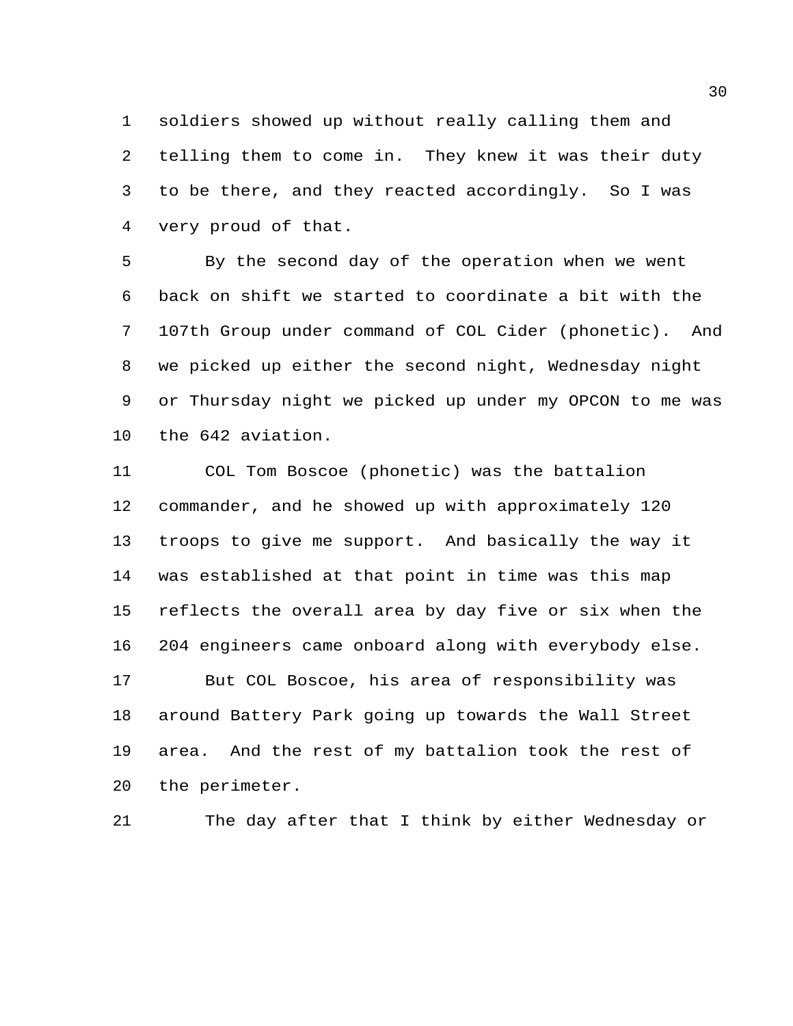soldiers showed up without really calling them and telling them to come in. They knew it was their duty to be there, and they reacted accordingly. So I was very proud of that.

 By the second day of the operation when we went back on shift we started to coordinate a bit with the 107th Group under command of COL Cider (phonetic). And we picked up either the second night, Wednesday night or Thursday night we picked up under my OPCON to me was the 642 aviation.

 COL Tom Boscoe (phonetic) was the battalion commander, and he showed up with approximately 120 troops to give me support. And basically the way it was established at that point in time was this map reflects the overall area by day five or six when the 204 engineers came onboard along with everybody else. But COL Boscoe, his area of responsibility was around Battery Park going up towards the Wall Street area. And the rest of my battalion took the rest of the perimeter.

The day after that I think by either Wednesday or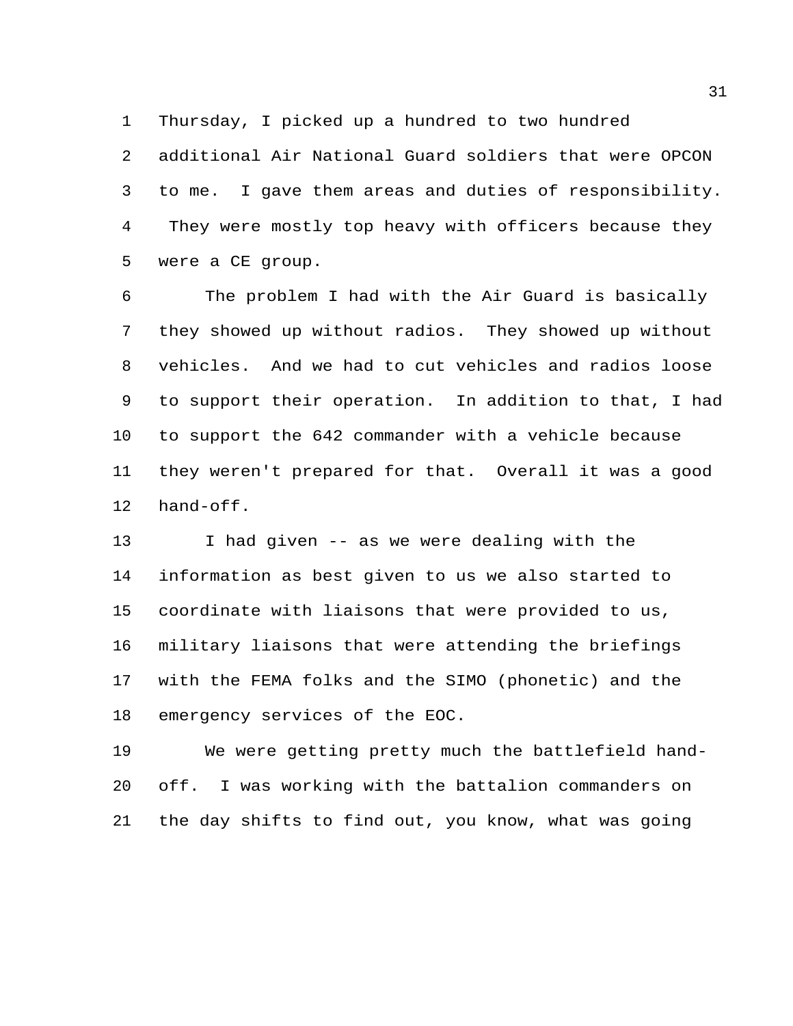Thursday, I picked up a hundred to two hundred

 additional Air National Guard soldiers that were OPCON to me. I gave them areas and duties of responsibility. They were mostly top heavy with officers because they were a CE group.

 The problem I had with the Air Guard is basically they showed up without radios. They showed up without vehicles. And we had to cut vehicles and radios loose to support their operation. In addition to that, I had to support the 642 commander with a vehicle because they weren't prepared for that. Overall it was a good hand-off.

 I had given -- as we were dealing with the information as best given to us we also started to coordinate with liaisons that were provided to us, military liaisons that were attending the briefings with the FEMA folks and the SIMO (phonetic) and the emergency services of the EOC.

 We were getting pretty much the battlefield hand- off. I was working with the battalion commanders on the day shifts to find out, you know, what was going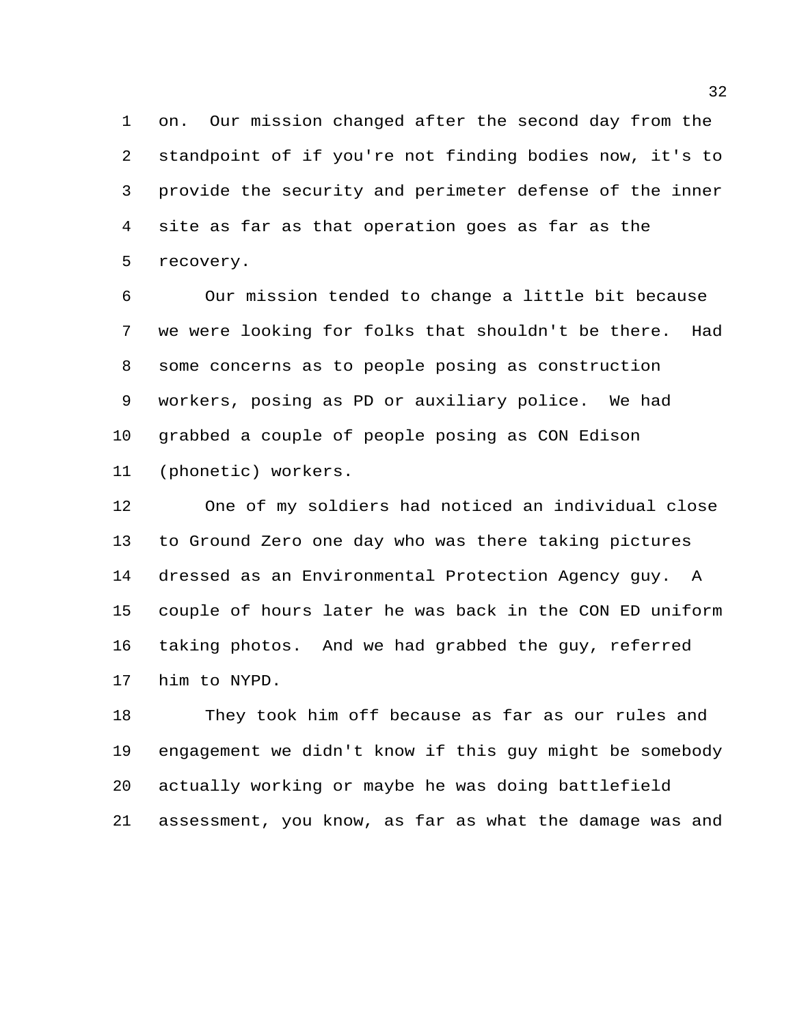on. Our mission changed after the second day from the standpoint of if you're not finding bodies now, it's to provide the security and perimeter defense of the inner site as far as that operation goes as far as the recovery.

 Our mission tended to change a little bit because we were looking for folks that shouldn't be there. Had some concerns as to people posing as construction workers, posing as PD or auxiliary police. We had grabbed a couple of people posing as CON Edison (phonetic) workers.

 One of my soldiers had noticed an individual close to Ground Zero one day who was there taking pictures dressed as an Environmental Protection Agency guy. A couple of hours later he was back in the CON ED uniform taking photos. And we had grabbed the guy, referred him to NYPD.

 They took him off because as far as our rules and engagement we didn't know if this guy might be somebody actually working or maybe he was doing battlefield assessment, you know, as far as what the damage was and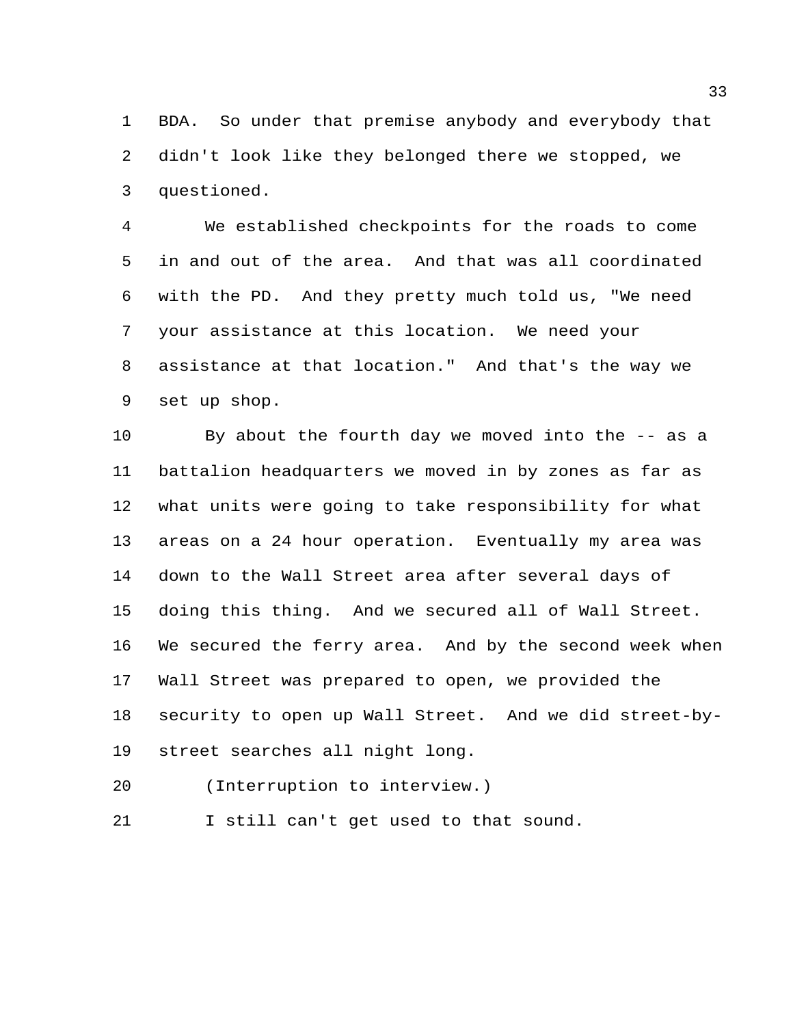BDA. So under that premise anybody and everybody that didn't look like they belonged there we stopped, we questioned.

 We established checkpoints for the roads to come in and out of the area. And that was all coordinated with the PD. And they pretty much told us, "We need your assistance at this location. We need your assistance at that location." And that's the way we set up shop.

 By about the fourth day we moved into the -- as a battalion headquarters we moved in by zones as far as what units were going to take responsibility for what areas on a 24 hour operation. Eventually my area was down to the Wall Street area after several days of doing this thing. And we secured all of Wall Street. We secured the ferry area. And by the second week when Wall Street was prepared to open, we provided the security to open up Wall Street. And we did street-by-street searches all night long.

(Interruption to interview.)

I still can't get used to that sound.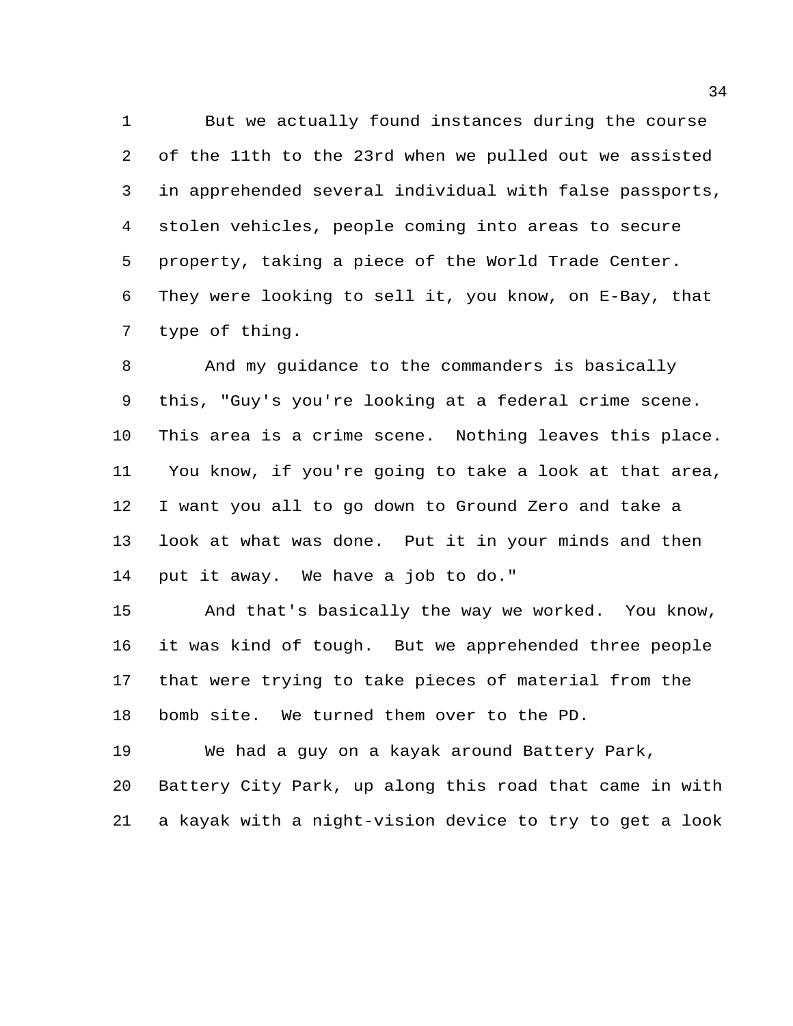But we actually found instances during the course of the 11th to the 23rd when we pulled out we assisted in apprehended several individual with false passports, stolen vehicles, people coming into areas to secure property, taking a piece of the World Trade Center. They were looking to sell it, you know, on E-Bay, that type of thing.

 And my guidance to the commanders is basically this, "Guy's you're looking at a federal crime scene. This area is a crime scene. Nothing leaves this place. You know, if you're going to take a look at that area, I want you all to go down to Ground Zero and take a look at what was done. Put it in your minds and then put it away. We have a job to do."

 And that's basically the way we worked. You know, it was kind of tough. But we apprehended three people that were trying to take pieces of material from the bomb site. We turned them over to the PD.

 We had a guy on a kayak around Battery Park, Battery City Park, up along this road that came in with a kayak with a night-vision device to try to get a look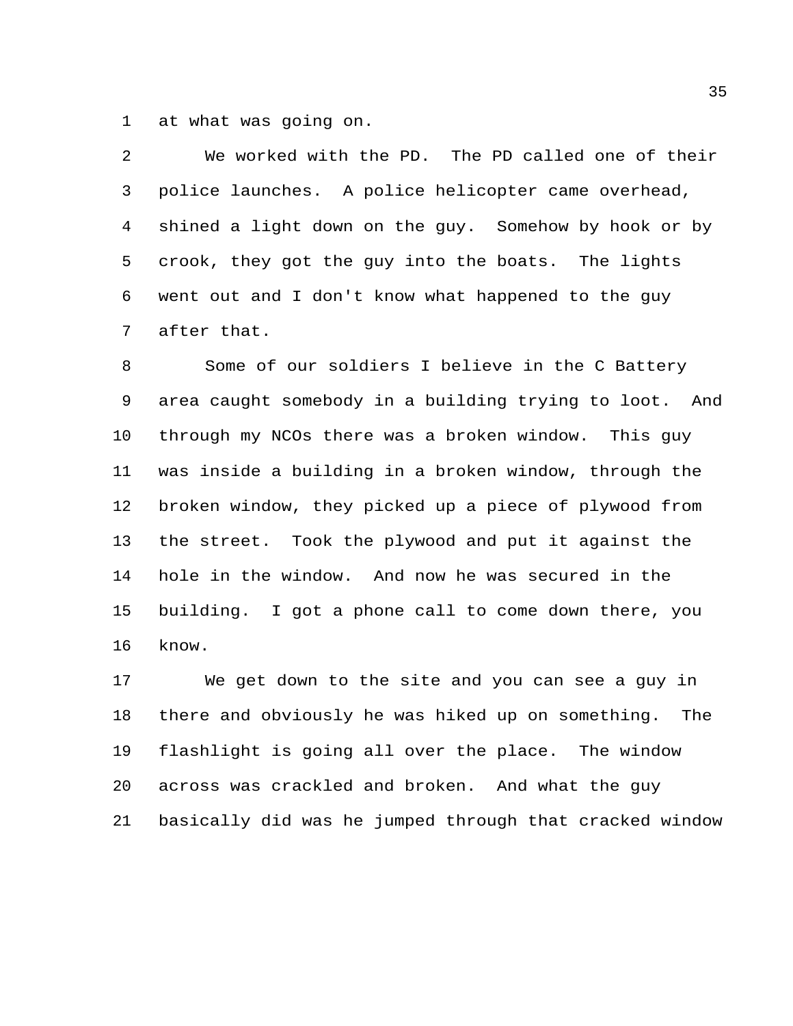at what was going on.

 We worked with the PD. The PD called one of their police launches. A police helicopter came overhead, shined a light down on the guy. Somehow by hook or by crook, they got the guy into the boats. The lights went out and I don't know what happened to the guy after that.

 Some of our soldiers I believe in the C Battery area caught somebody in a building trying to loot. And through my NCOs there was a broken window. This guy was inside a building in a broken window, through the broken window, they picked up a piece of plywood from the street. Took the plywood and put it against the hole in the window. And now he was secured in the building. I got a phone call to come down there, you know.

 We get down to the site and you can see a guy in there and obviously he was hiked up on something. The flashlight is going all over the place. The window across was crackled and broken. And what the guy basically did was he jumped through that cracked window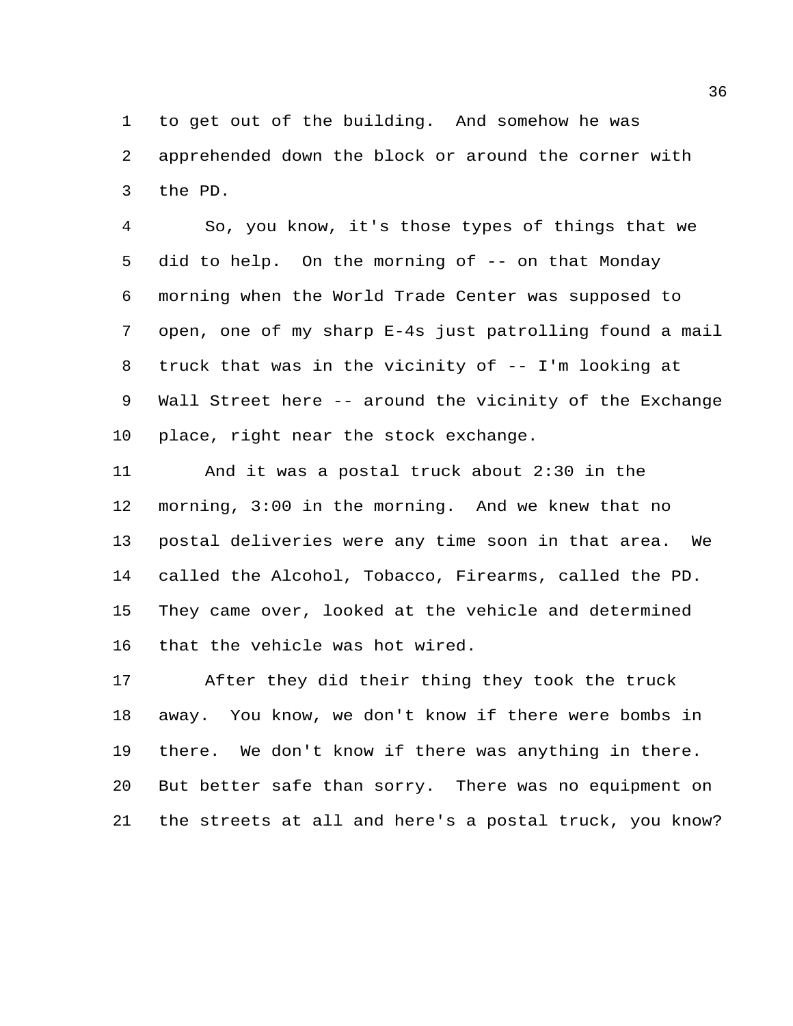to get out of the building. And somehow he was apprehended down the block or around the corner with the PD.

 So, you know, it's those types of things that we did to help. On the morning of -- on that Monday morning when the World Trade Center was supposed to open, one of my sharp E-4s just patrolling found a mail truck that was in the vicinity of -- I'm looking at Wall Street here -- around the vicinity of the Exchange place, right near the stock exchange.

 And it was a postal truck about 2:30 in the morning, 3:00 in the morning. And we knew that no postal deliveries were any time soon in that area. We called the Alcohol, Tobacco, Firearms, called the PD. They came over, looked at the vehicle and determined that the vehicle was hot wired.

 After they did their thing they took the truck away. You know, we don't know if there were bombs in there. We don't know if there was anything in there. But better safe than sorry. There was no equipment on the streets at all and here's a postal truck, you know?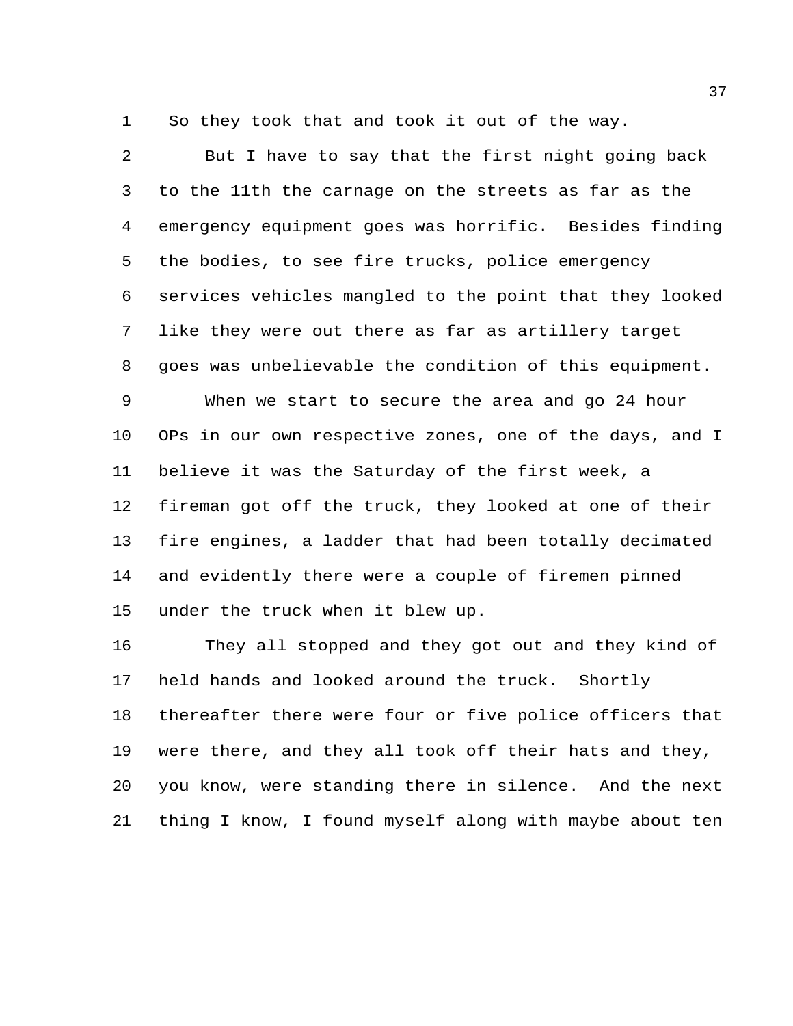So they took that and took it out of the way.

 But I have to say that the first night going back to the 11th the carnage on the streets as far as the emergency equipment goes was horrific. Besides finding the bodies, to see fire trucks, police emergency services vehicles mangled to the point that they looked like they were out there as far as artillery target goes was unbelievable the condition of this equipment. When we start to secure the area and go 24 hour OPs in our own respective zones, one of the days, and I believe it was the Saturday of the first week, a fireman got off the truck, they looked at one of their fire engines, a ladder that had been totally decimated and evidently there were a couple of firemen pinned under the truck when it blew up.

 They all stopped and they got out and they kind of held hands and looked around the truck. Shortly thereafter there were four or five police officers that were there, and they all took off their hats and they, you know, were standing there in silence. And the next thing I know, I found myself along with maybe about ten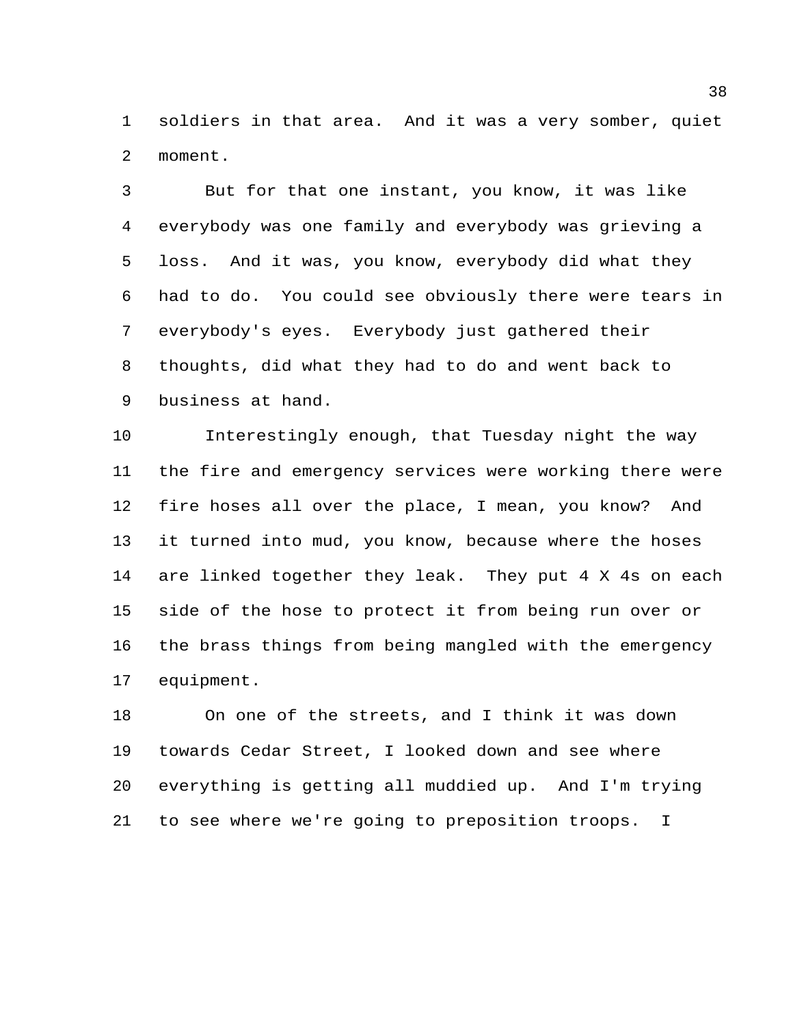soldiers in that area. And it was a very somber, quiet moment.

 But for that one instant, you know, it was like everybody was one family and everybody was grieving a loss. And it was, you know, everybody did what they had to do. You could see obviously there were tears in everybody's eyes. Everybody just gathered their thoughts, did what they had to do and went back to business at hand.

 Interestingly enough, that Tuesday night the way the fire and emergency services were working there were fire hoses all over the place, I mean, you know? And it turned into mud, you know, because where the hoses are linked together they leak. They put 4 X 4s on each side of the hose to protect it from being run over or the brass things from being mangled with the emergency equipment.

 On one of the streets, and I think it was down towards Cedar Street, I looked down and see where everything is getting all muddied up. And I'm trying to see where we're going to preposition troops. I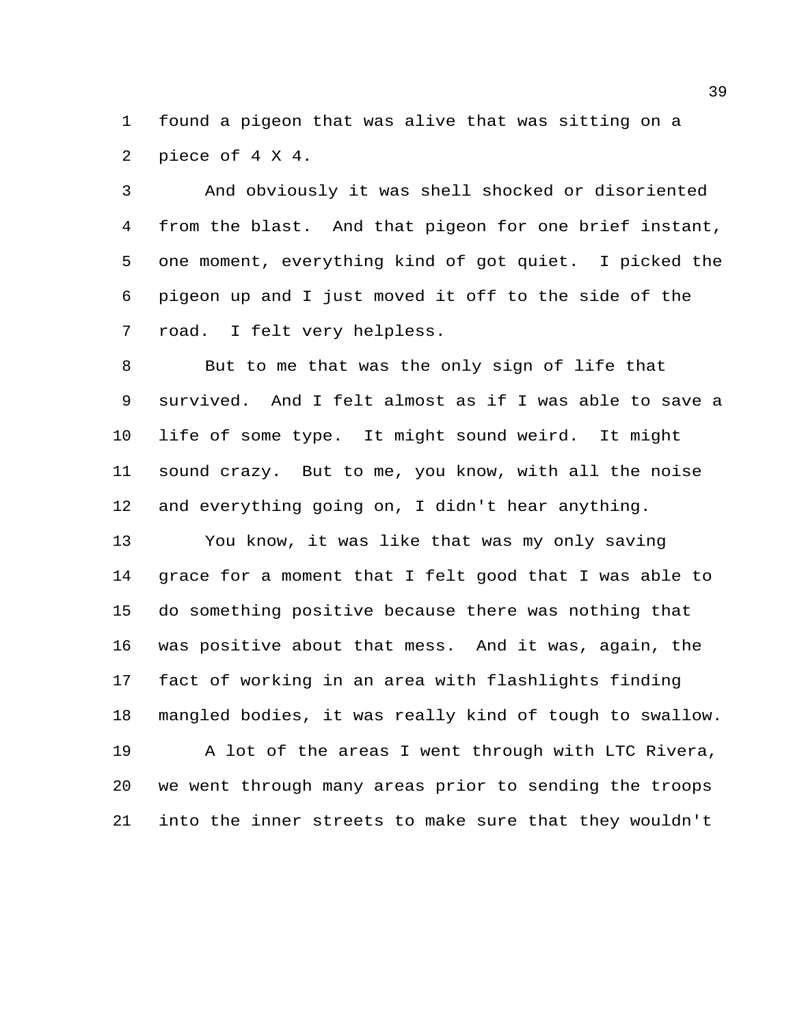found a pigeon that was alive that was sitting on a piece of 4 X 4.

 And obviously it was shell shocked or disoriented from the blast. And that pigeon for one brief instant, one moment, everything kind of got quiet. I picked the pigeon up and I just moved it off to the side of the road. I felt very helpless.

 But to me that was the only sign of life that survived. And I felt almost as if I was able to save a life of some type. It might sound weird. It might sound crazy. But to me, you know, with all the noise and everything going on, I didn't hear anything.

 You know, it was like that was my only saving grace for a moment that I felt good that I was able to do something positive because there was nothing that was positive about that mess. And it was, again, the fact of working in an area with flashlights finding mangled bodies, it was really kind of tough to swallow. A lot of the areas I went through with LTC Rivera, we went through many areas prior to sending the troops into the inner streets to make sure that they wouldn't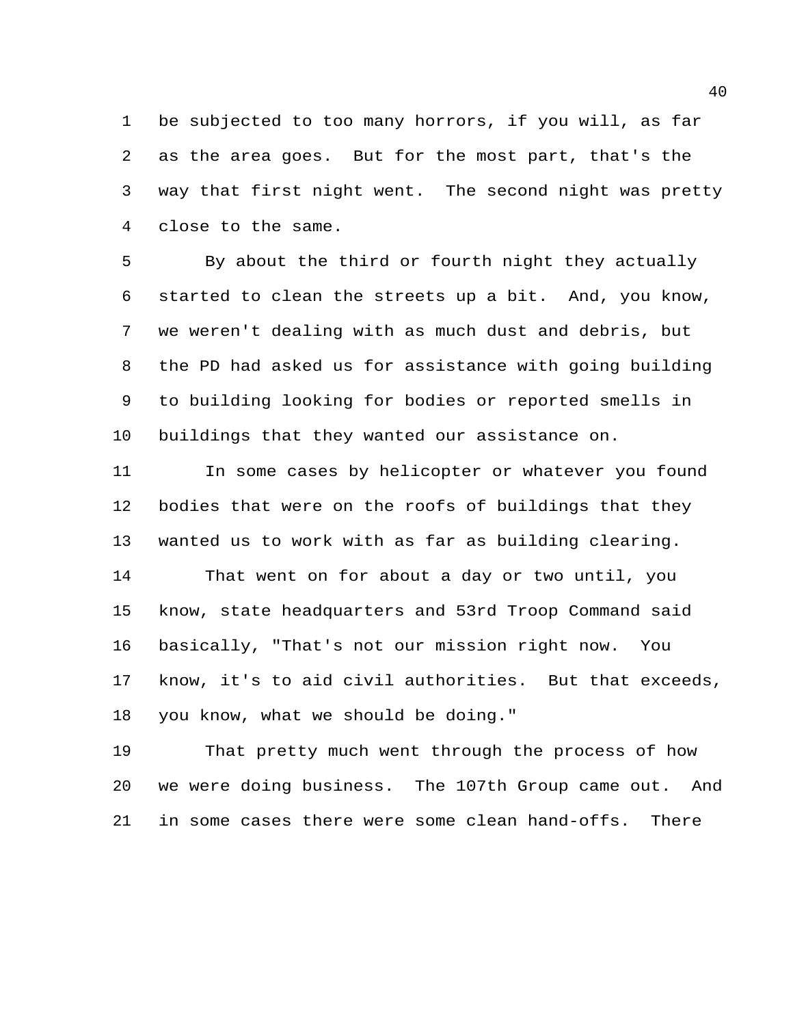be subjected to too many horrors, if you will, as far as the area goes. But for the most part, that's the way that first night went. The second night was pretty close to the same.

 By about the third or fourth night they actually started to clean the streets up a bit. And, you know, we weren't dealing with as much dust and debris, but the PD had asked us for assistance with going building to building looking for bodies or reported smells in buildings that they wanted our assistance on.

 In some cases by helicopter or whatever you found bodies that were on the roofs of buildings that they wanted us to work with as far as building clearing. That went on for about a day or two until, you know, state headquarters and 53rd Troop Command said basically, "That's not our mission right now. You know, it's to aid civil authorities. But that exceeds, you know, what we should be doing."

 That pretty much went through the process of how we were doing business. The 107th Group came out. And in some cases there were some clean hand-offs. There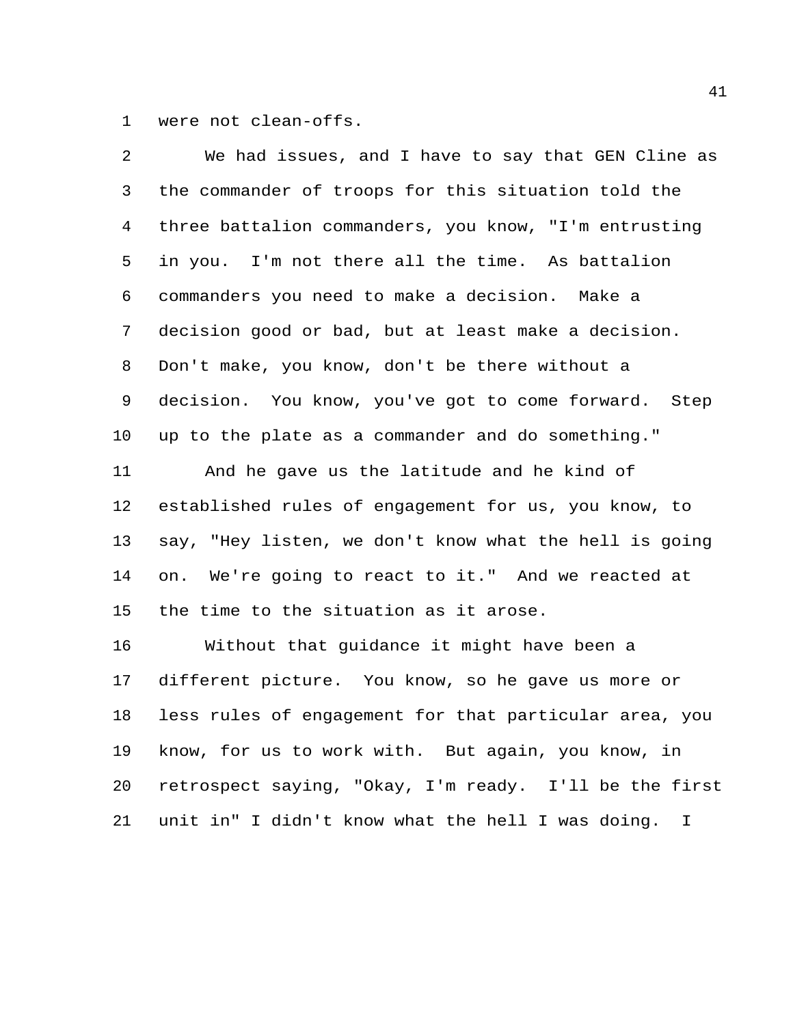were not clean-offs.

| 2       | We had issues, and I have to say that GEN Cline as     |
|---------|--------------------------------------------------------|
| 3       | the commander of troops for this situation told the    |
| 4       | three battalion commanders, you know, "I'm entrusting  |
| 5       | in you. I'm not there all the time. As battalion       |
| 6       | commanders you need to make a decision. Make a         |
| 7       | decision good or bad, but at least make a decision.    |
| 8       | Don't make, you know, don't be there without a         |
| 9       | decision. You know, you've got to come forward. Step   |
| $10 \,$ | up to the plate as a commander and do something."      |
| 11      | And he gave us the latitude and he kind of             |
| 12      | established rules of engagement for us, you know, to   |
| 13      | say, "Hey listen, we don't know what the hell is going |
| 14      | on. We're going to react to it." And we reacted at     |
| 15      | the time to the situation as it arose.                 |
| 16      | Without that guidance it might have been a             |
| 17      | different picture. You know, so he gave us more or     |
| 18      | less rules of engagement for that particular area, you |
| 19      | know, for us to work with. But again, you know, in     |
| 20      | retrospect saying, "Okay, I'm ready. I'll be the first |
| 21      | unit in" I didn't know what the hell I was doing. I    |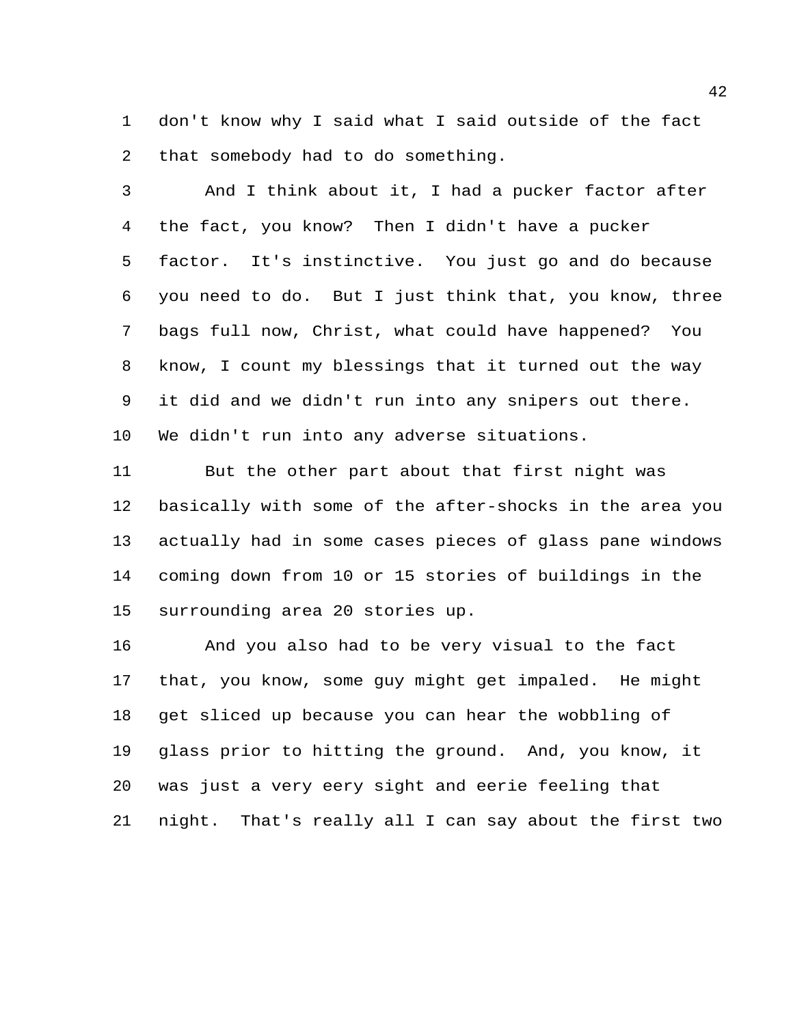don't know why I said what I said outside of the fact that somebody had to do something.

 And I think about it, I had a pucker factor after the fact, you know? Then I didn't have a pucker factor. It's instinctive. You just go and do because you need to do. But I just think that, you know, three bags full now, Christ, what could have happened? You know, I count my blessings that it turned out the way it did and we didn't run into any snipers out there. We didn't run into any adverse situations.

 But the other part about that first night was basically with some of the after-shocks in the area you actually had in some cases pieces of glass pane windows coming down from 10 or 15 stories of buildings in the surrounding area 20 stories up.

 And you also had to be very visual to the fact that, you know, some guy might get impaled. He might get sliced up because you can hear the wobbling of glass prior to hitting the ground. And, you know, it was just a very eery sight and eerie feeling that night. That's really all I can say about the first two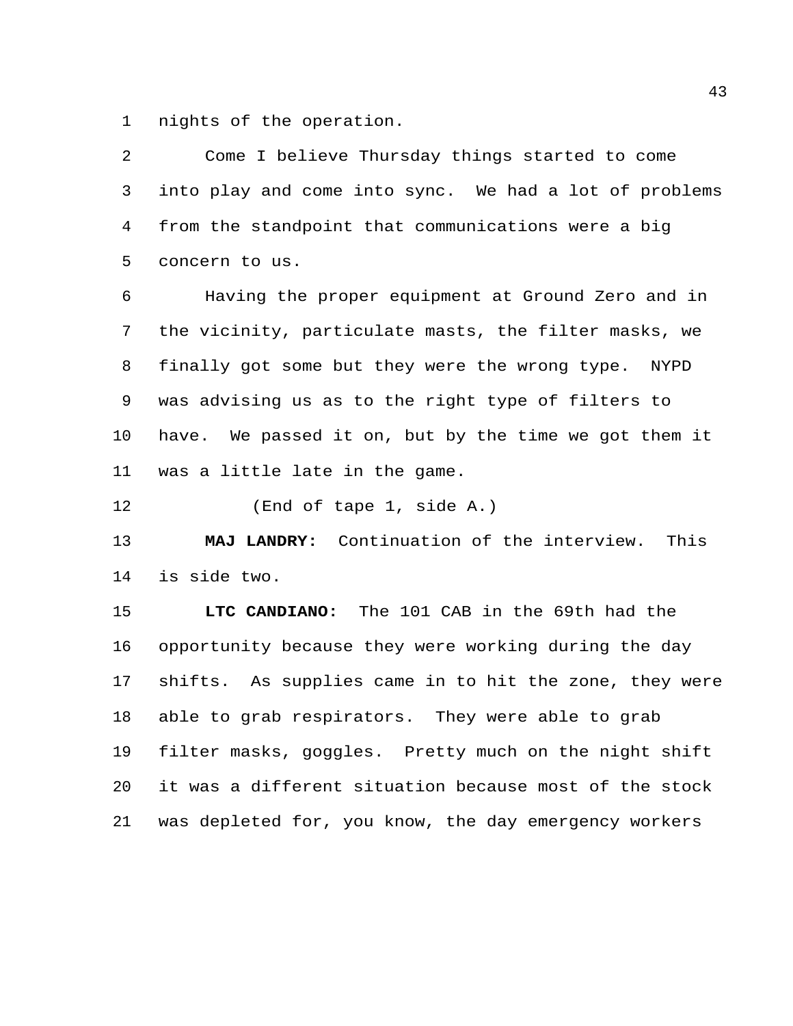nights of the operation.

 Come I believe Thursday things started to come into play and come into sync. We had a lot of problems from the standpoint that communications were a big concern to us.

 Having the proper equipment at Ground Zero and in the vicinity, particulate masts, the filter masks, we finally got some but they were the wrong type. NYPD was advising us as to the right type of filters to have. We passed it on, but by the time we got them it was a little late in the game.

(End of tape 1, side A.)

 **MAJ LANDRY:** Continuation of the interview. This is side two.

 **LTC CANDIANO:** The 101 CAB in the 69th had the opportunity because they were working during the day shifts. As supplies came in to hit the zone, they were able to grab respirators. They were able to grab filter masks, goggles. Pretty much on the night shift it was a different situation because most of the stock was depleted for, you know, the day emergency workers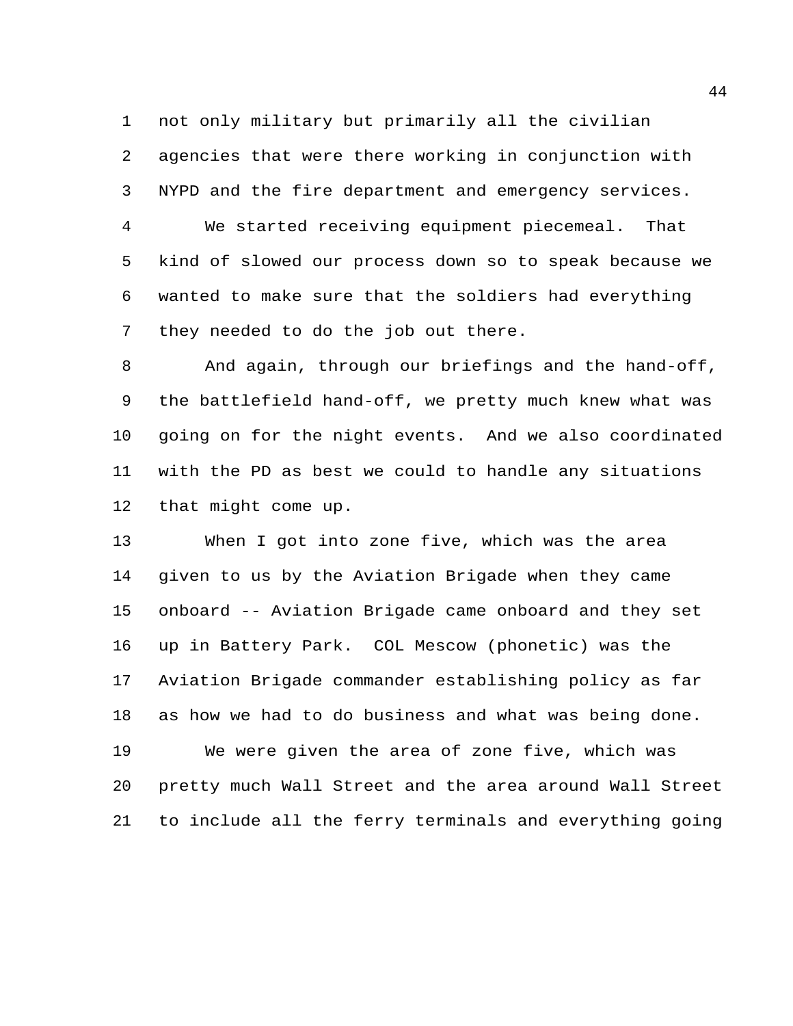not only military but primarily all the civilian agencies that were there working in conjunction with NYPD and the fire department and emergency services.

 We started receiving equipment piecemeal. That kind of slowed our process down so to speak because we wanted to make sure that the soldiers had everything they needed to do the job out there.

 And again, through our briefings and the hand-off, the battlefield hand-off, we pretty much knew what was going on for the night events. And we also coordinated with the PD as best we could to handle any situations that might come up.

 When I got into zone five, which was the area given to us by the Aviation Brigade when they came onboard -- Aviation Brigade came onboard and they set up in Battery Park. COL Mescow (phonetic) was the Aviation Brigade commander establishing policy as far as how we had to do business and what was being done. We were given the area of zone five, which was pretty much Wall Street and the area around Wall Street to include all the ferry terminals and everything going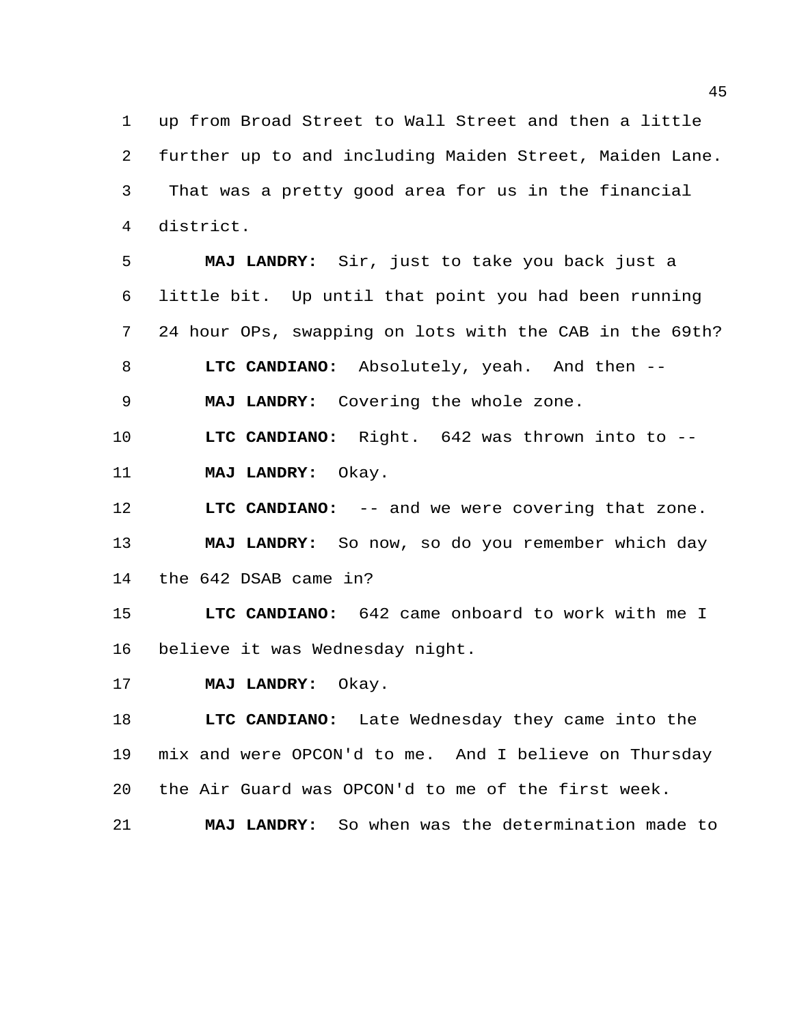up from Broad Street to Wall Street and then a little further up to and including Maiden Street, Maiden Lane. That was a pretty good area for us in the financial district.

 **MAJ LANDRY:** Sir, just to take you back just a little bit. Up until that point you had been running 24 hour OPs, swapping on lots with the CAB in the 69th? **LTC CANDIANO:** Absolutely, yeah. And then -- **MAJ LANDRY:** Covering the whole zone. **LTC CANDIANO:** Right. 642 was thrown into to --

**MAJ LANDRY:** Okay.

 **LTC CANDIANO:** -- and we were covering that zone. **MAJ LANDRY:** So now, so do you remember which day the 642 DSAB came in?

 **LTC CANDIANO:** 642 came onboard to work with me I believe it was Wednesday night.

**MAJ LANDRY:** Okay.

 **LTC CANDIANO:** Late Wednesday they came into the mix and were OPCON'd to me. And I believe on Thursday the Air Guard was OPCON'd to me of the first week.

**MAJ LANDRY:** So when was the determination made to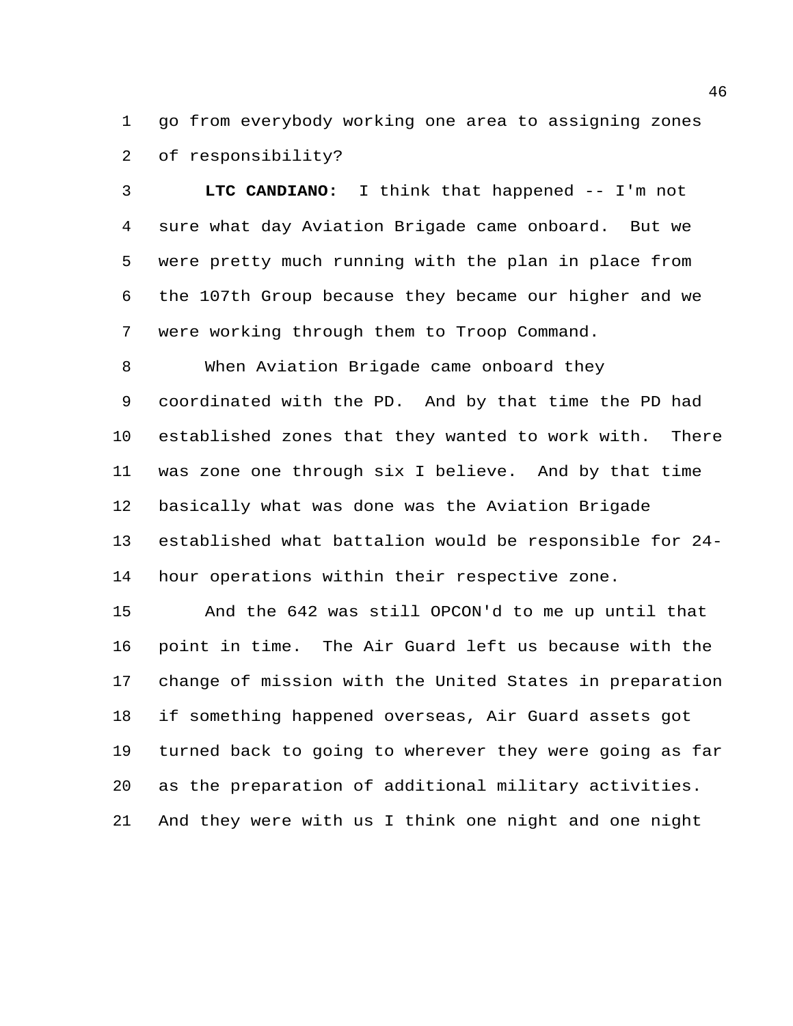go from everybody working one area to assigning zones of responsibility?

 **LTC CANDIANO:** I think that happened -- I'm not sure what day Aviation Brigade came onboard. But we were pretty much running with the plan in place from the 107th Group because they became our higher and we were working through them to Troop Command.

 When Aviation Brigade came onboard they coordinated with the PD. And by that time the PD had established zones that they wanted to work with. There was zone one through six I believe. And by that time basically what was done was the Aviation Brigade established what battalion would be responsible for 24- hour operations within their respective zone.

 And the 642 was still OPCON'd to me up until that point in time. The Air Guard left us because with the change of mission with the United States in preparation if something happened overseas, Air Guard assets got turned back to going to wherever they were going as far as the preparation of additional military activities. And they were with us I think one night and one night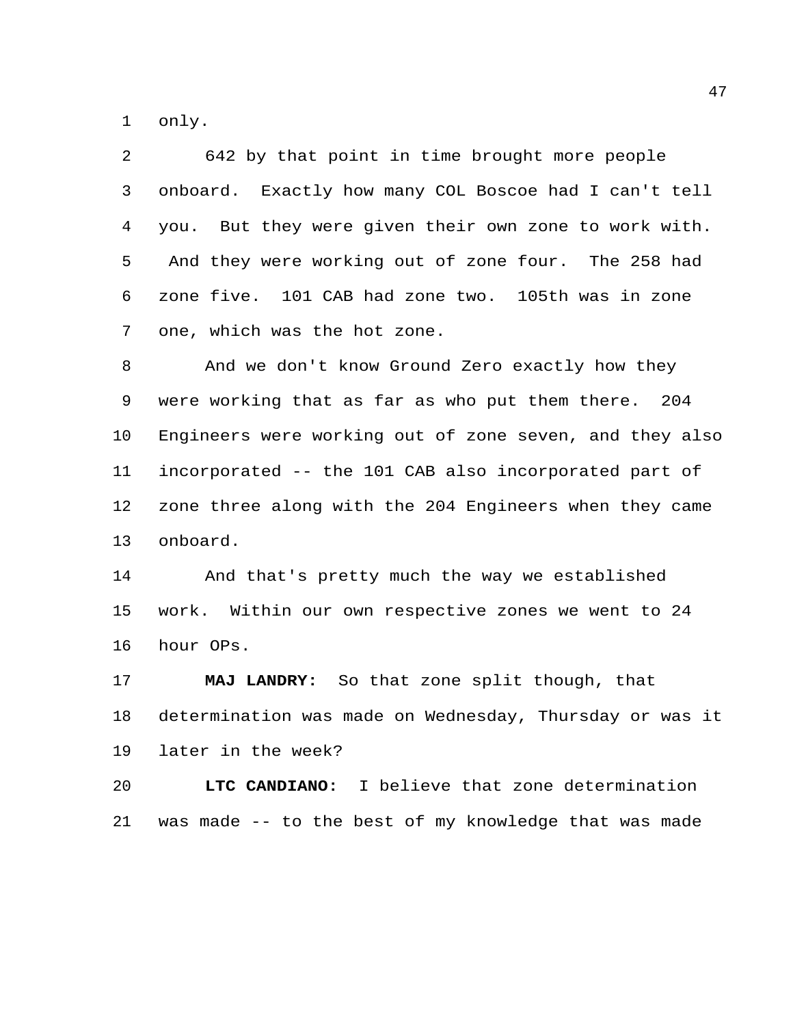only.

| 642 by that point in time brought more people            |
|----------------------------------------------------------|
| Exactly how many COL Boscoe had I can't tell<br>onboard. |
| But they were given their own zone to work with.<br>you. |
| And they were working out of zone four. The 258 had      |
| 101 CAB had zone two. 105th was in zone<br>zone five.    |
| one, which was the hot zone.                             |
| And we don't know Ground Zero exactly how they           |
| were working that as far as who put them there. 204      |
| Engineers were working out of zone seven, and they also  |
| incorporated -- the 101 CAB also incorporated part of    |
| zone three along with the 204 Engineers when they came   |
| onboard.                                                 |
| And that's pretty much the way we established            |
| Within our own respective zones we went to 24<br>work.   |
| hour OPs.                                                |
| MAJ LANDRY: So that zone split though, that              |
| determination was made on Wednesday, Thursday or was it  |
| later in the week?                                       |
| LTC CANDIANO:<br>I believe that zone determination       |
|                                                          |

was made -- to the best of my knowledge that was made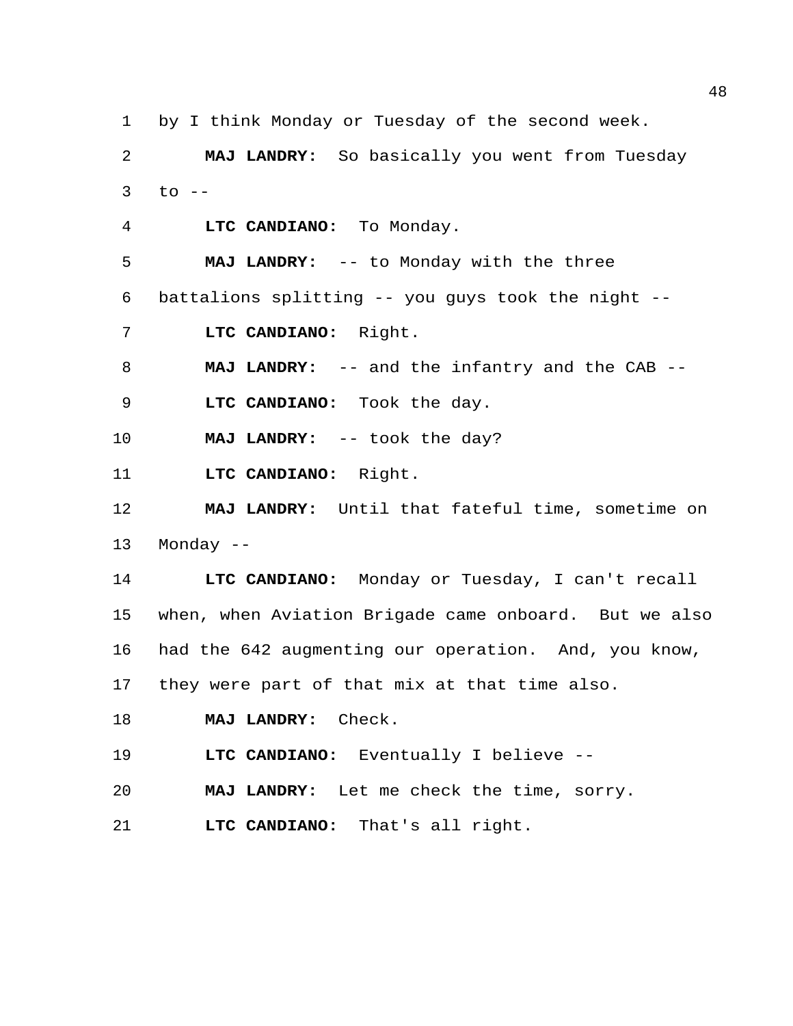by I think Monday or Tuesday of the second week.

 **MAJ LANDRY:** So basically you went from Tuesday to  $-$ 

**LTC CANDIANO:** To Monday.

**MAJ LANDRY:** -- to Monday with the three

battalions splitting -- you guys took the night --

**LTC CANDIANO:** Right.

**MAJ LANDRY:** -- and the infantry and the CAB --

**LTC CANDIANO:** Took the day.

**MAJ LANDRY:** -- took the day?

**LTC CANDIANO:** Right.

 **MAJ LANDRY:** Until that fateful time, sometime on Monday --

 **LTC CANDIANO:** Monday or Tuesday, I can't recall when, when Aviation Brigade came onboard. But we also had the 642 augmenting our operation. And, you know, they were part of that mix at that time also.

**MAJ LANDRY:** Check.

**LTC CANDIANO:** Eventually I believe --

**MAJ LANDRY:** Let me check the time, sorry.

**LTC CANDIANO:** That's all right.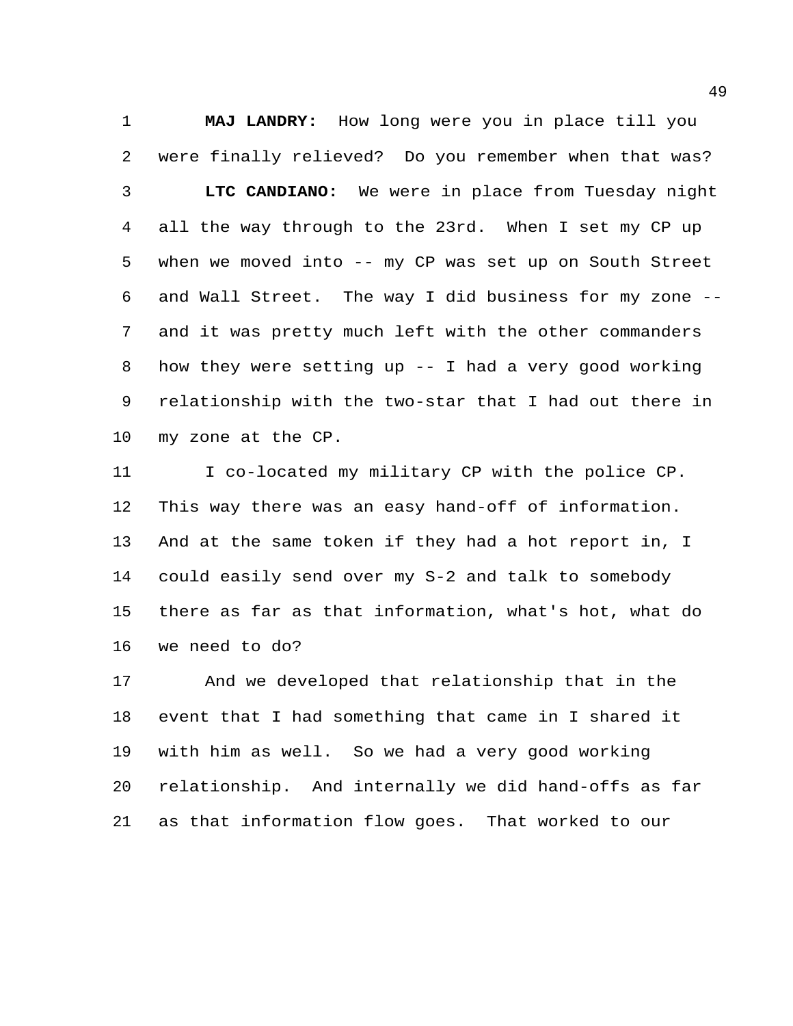**MAJ LANDRY:** How long were you in place till you were finally relieved? Do you remember when that was? **LTC CANDIANO:** We were in place from Tuesday night all the way through to the 23rd. When I set my CP up when we moved into -- my CP was set up on South Street and Wall Street. The way I did business for my zone -- and it was pretty much left with the other commanders how they were setting up -- I had a very good working relationship with the two-star that I had out there in my zone at the CP.

11 I co-located my military CP with the police CP. This way there was an easy hand-off of information. And at the same token if they had a hot report in, I could easily send over my S-2 and talk to somebody there as far as that information, what's hot, what do we need to do?

 And we developed that relationship that in the event that I had something that came in I shared it with him as well. So we had a very good working relationship. And internally we did hand-offs as far as that information flow goes. That worked to our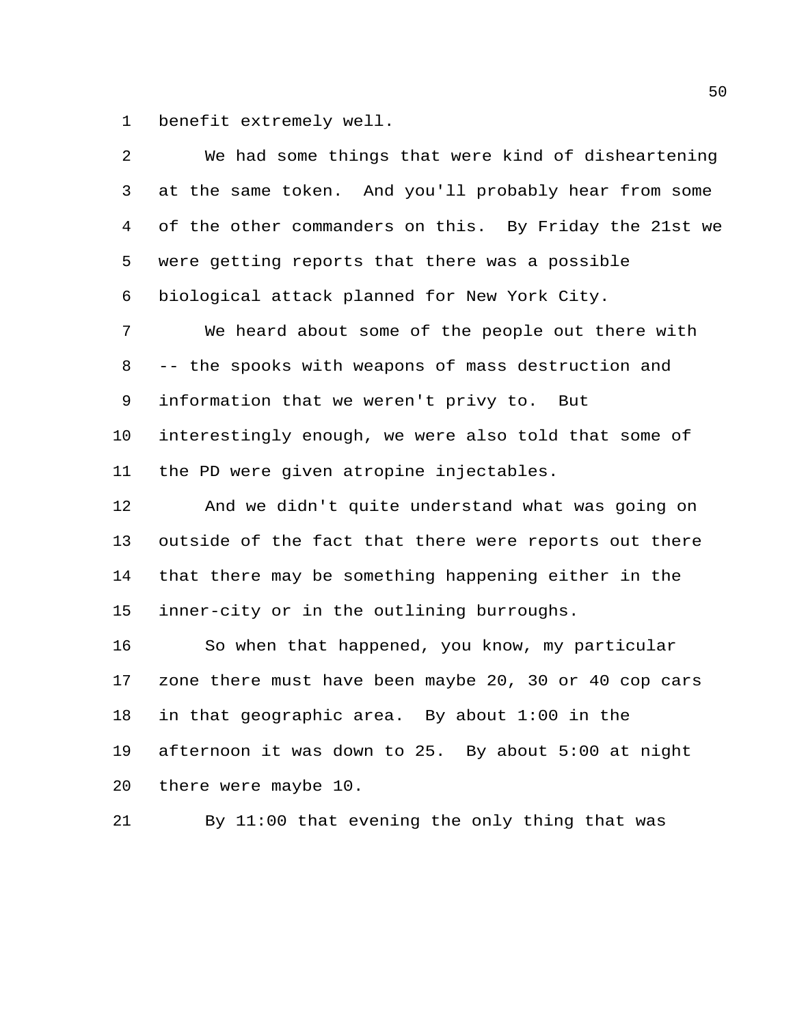benefit extremely well.

| 2  | We had some things that were kind of disheartening     |
|----|--------------------------------------------------------|
| 3  | at the same token. And you'll probably hear from some  |
| 4  | of the other commanders on this. By Friday the 21st we |
| 5  | were getting reports that there was a possible         |
| 6  | biological attack planned for New York City.           |
| 7  | We heard about some of the people out there with       |
| 8  | -- the spooks with weapons of mass destruction and     |
| 9  | information that we weren't privy to. But              |
| 10 | interestingly enough, we were also told that some of   |
| 11 | the PD were given atropine injectables.                |
| 12 | And we didn't quite understand what was going on       |
| 13 | outside of the fact that there were reports out there  |
| 14 | that there may be something happening either in the    |
| 15 | inner-city or in the outlining burroughs.              |
| 16 | So when that happened, you know, my particular         |
| 17 | zone there must have been maybe 20, 30 or 40 cop cars  |
| 18 | in that geographic area. By about 1:00 in the          |
| 19 | afternoon it was down to 25. By about 5:00 at night    |
| 20 | there were maybe 10.                                   |

By 11:00 that evening the only thing that was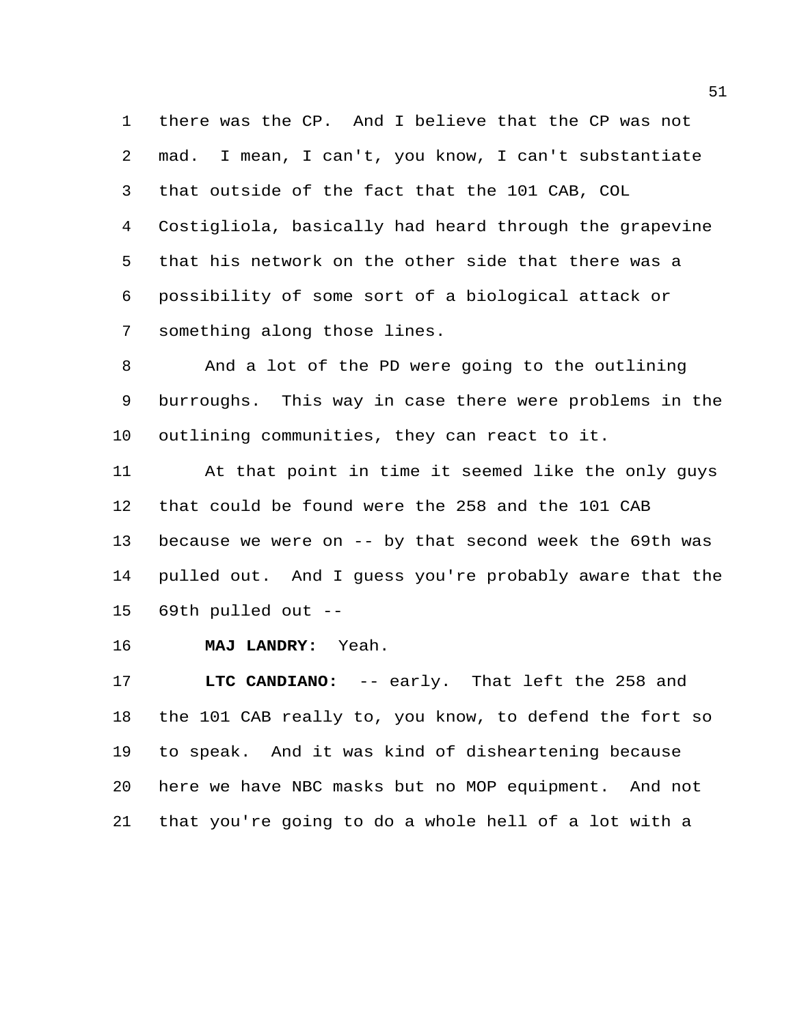there was the CP. And I believe that the CP was not mad. I mean, I can't, you know, I can't substantiate that outside of the fact that the 101 CAB, COL Costigliola, basically had heard through the grapevine that his network on the other side that there was a possibility of some sort of a biological attack or something along those lines.

 And a lot of the PD were going to the outlining burroughs. This way in case there were problems in the outlining communities, they can react to it.

 At that point in time it seemed like the only guys that could be found were the 258 and the 101 CAB because we were on -- by that second week the 69th was pulled out. And I guess you're probably aware that the 69th pulled out --

**MAJ LANDRY:** Yeah.

 **LTC CANDIANO:** -- early. That left the 258 and the 101 CAB really to, you know, to defend the fort so to speak. And it was kind of disheartening because here we have NBC masks but no MOP equipment. And not that you're going to do a whole hell of a lot with a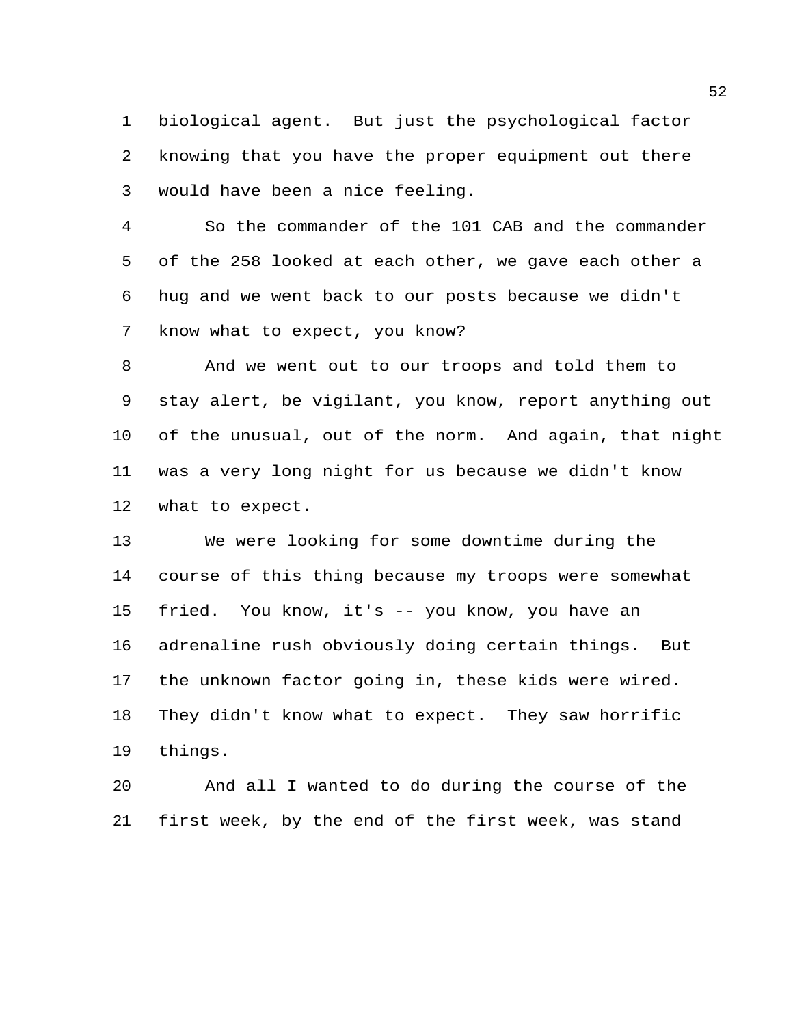biological agent. But just the psychological factor knowing that you have the proper equipment out there would have been a nice feeling.

 So the commander of the 101 CAB and the commander of the 258 looked at each other, we gave each other a hug and we went back to our posts because we didn't know what to expect, you know?

 And we went out to our troops and told them to stay alert, be vigilant, you know, report anything out of the unusual, out of the norm. And again, that night was a very long night for us because we didn't know what to expect.

 We were looking for some downtime during the course of this thing because my troops were somewhat fried. You know, it's -- you know, you have an adrenaline rush obviously doing certain things. But the unknown factor going in, these kids were wired. They didn't know what to expect. They saw horrific things.

 And all I wanted to do during the course of the first week, by the end of the first week, was stand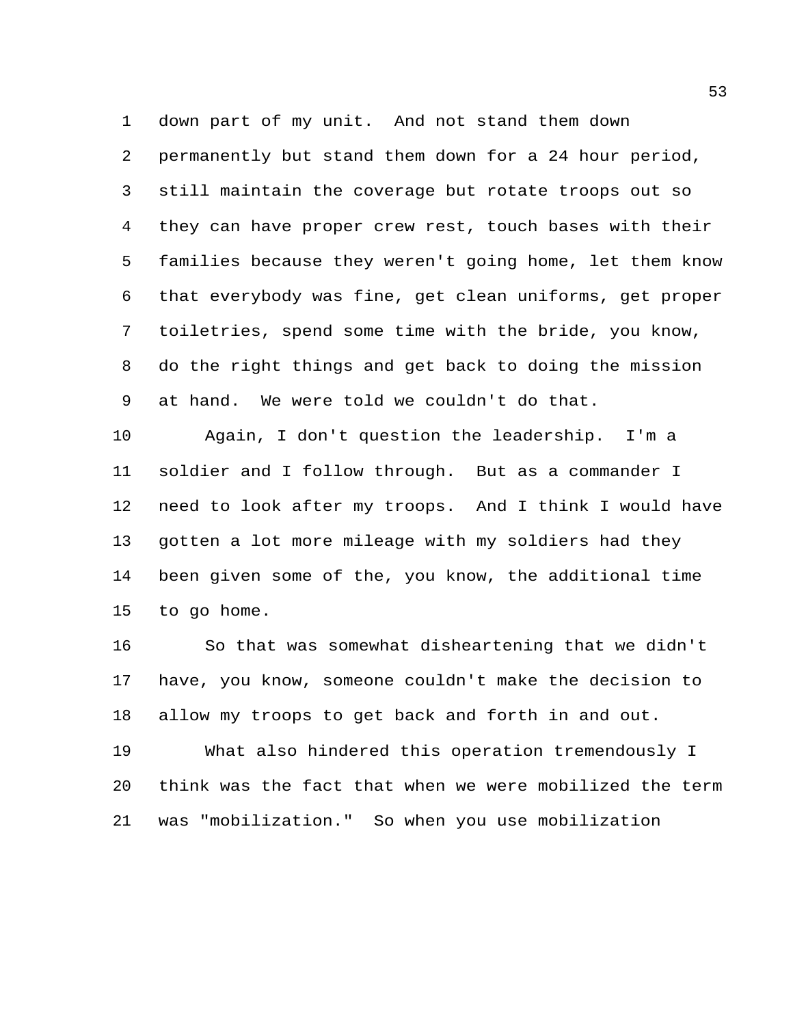down part of my unit. And not stand them down permanently but stand them down for a 24 hour period, still maintain the coverage but rotate troops out so they can have proper crew rest, touch bases with their families because they weren't going home, let them know that everybody was fine, get clean uniforms, get proper toiletries, spend some time with the bride, you know, do the right things and get back to doing the mission at hand. We were told we couldn't do that.

 Again, I don't question the leadership. I'm a soldier and I follow through. But as a commander I need to look after my troops. And I think I would have gotten a lot more mileage with my soldiers had they been given some of the, you know, the additional time to go home.

 So that was somewhat disheartening that we didn't have, you know, someone couldn't make the decision to allow my troops to get back and forth in and out.

 What also hindered this operation tremendously I think was the fact that when we were mobilized the term was "mobilization." So when you use mobilization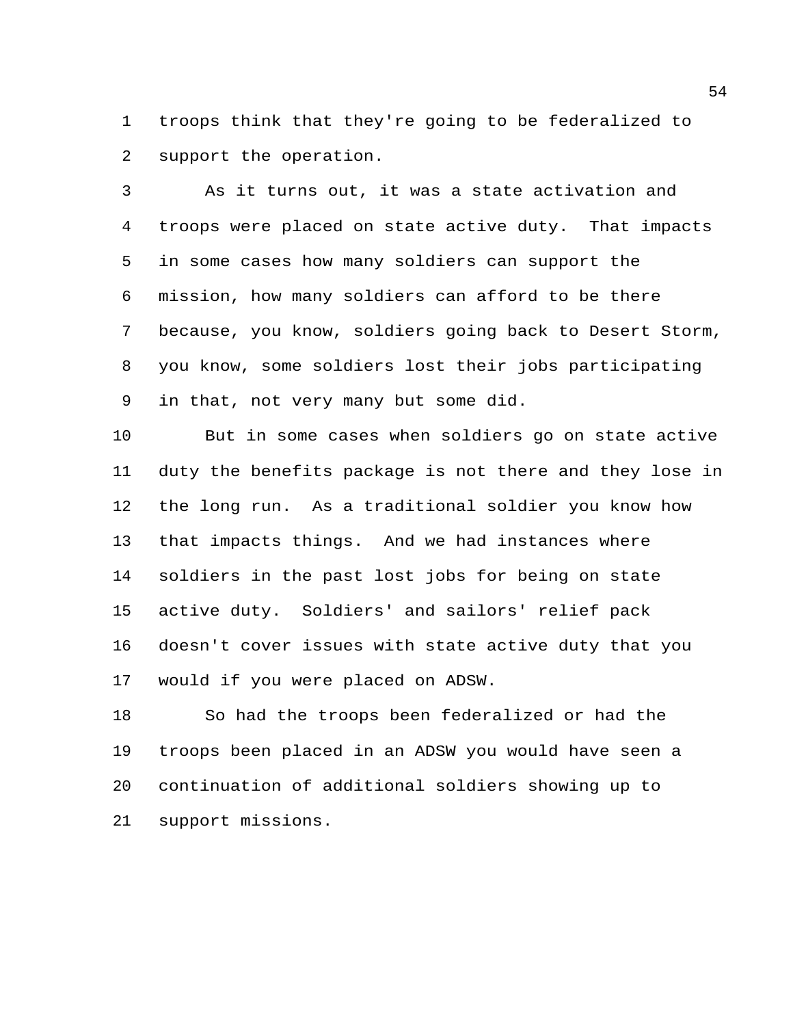troops think that they're going to be federalized to support the operation.

 As it turns out, it was a state activation and troops were placed on state active duty. That impacts in some cases how many soldiers can support the mission, how many soldiers can afford to be there because, you know, soldiers going back to Desert Storm, you know, some soldiers lost their jobs participating in that, not very many but some did.

 But in some cases when soldiers go on state active duty the benefits package is not there and they lose in the long run. As a traditional soldier you know how that impacts things. And we had instances where soldiers in the past lost jobs for being on state active duty. Soldiers' and sailors' relief pack doesn't cover issues with state active duty that you would if you were placed on ADSW.

 So had the troops been federalized or had the troops been placed in an ADSW you would have seen a continuation of additional soldiers showing up to support missions.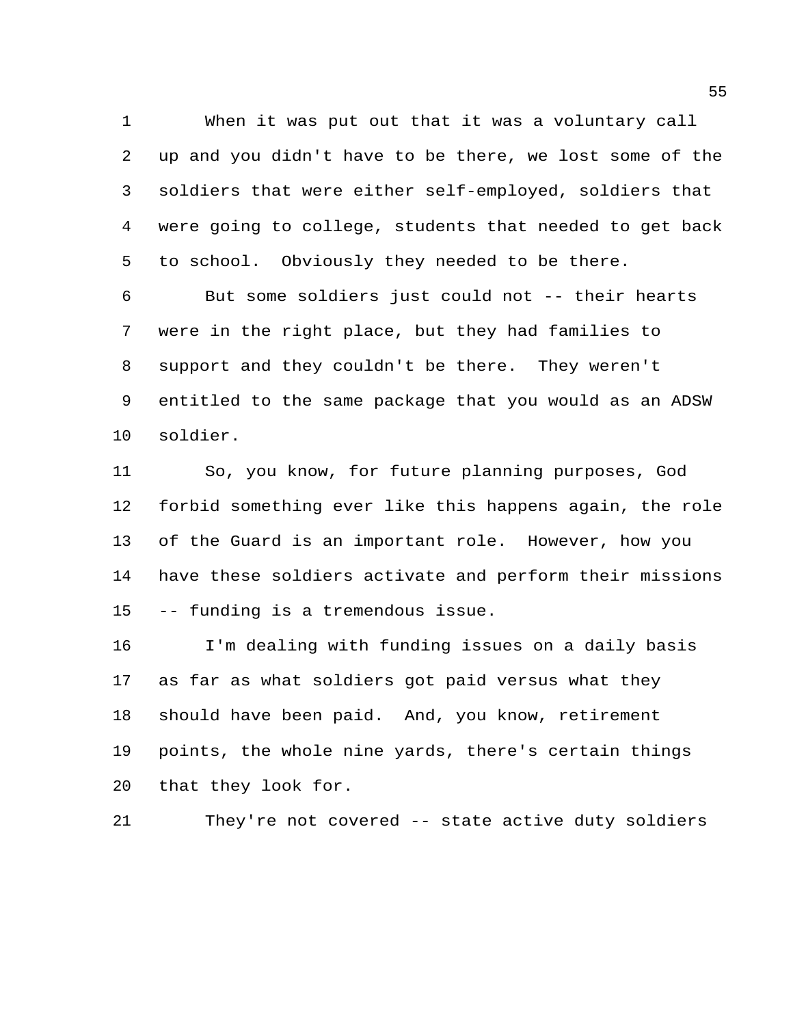When it was put out that it was a voluntary call up and you didn't have to be there, we lost some of the soldiers that were either self-employed, soldiers that were going to college, students that needed to get back to school. Obviously they needed to be there.

 But some soldiers just could not -- their hearts were in the right place, but they had families to support and they couldn't be there. They weren't entitled to the same package that you would as an ADSW soldier.

 So, you know, for future planning purposes, God forbid something ever like this happens again, the role of the Guard is an important role. However, how you have these soldiers activate and perform their missions -- funding is a tremendous issue.

 I'm dealing with funding issues on a daily basis as far as what soldiers got paid versus what they should have been paid. And, you know, retirement points, the whole nine yards, there's certain things that they look for.

```
21 They're not covered -- state active duty soldiers
```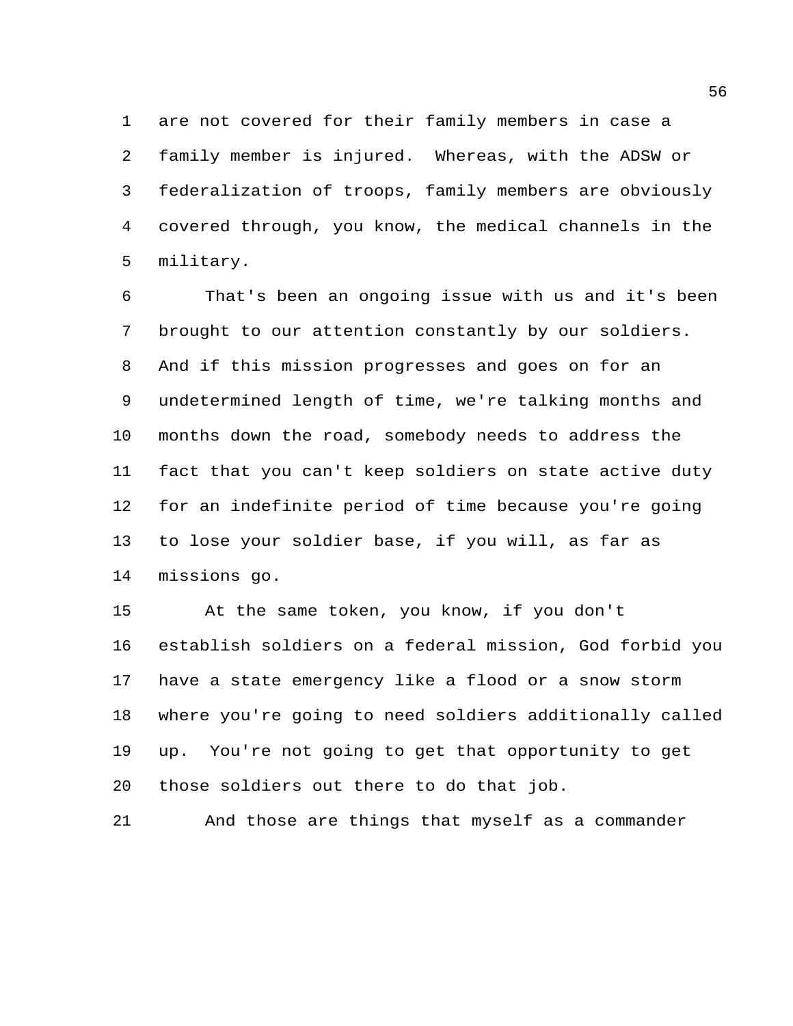are not covered for their family members in case a family member is injured. Whereas, with the ADSW or federalization of troops, family members are obviously covered through, you know, the medical channels in the military.

 That's been an ongoing issue with us and it's been brought to our attention constantly by our soldiers. And if this mission progresses and goes on for an undetermined length of time, we're talking months and months down the road, somebody needs to address the fact that you can't keep soldiers on state active duty for an indefinite period of time because you're going to lose your soldier base, if you will, as far as missions go.

 At the same token, you know, if you don't establish soldiers on a federal mission, God forbid you have a state emergency like a flood or a snow storm where you're going to need soldiers additionally called up. You're not going to get that opportunity to get those soldiers out there to do that job.

And those are things that myself as a commander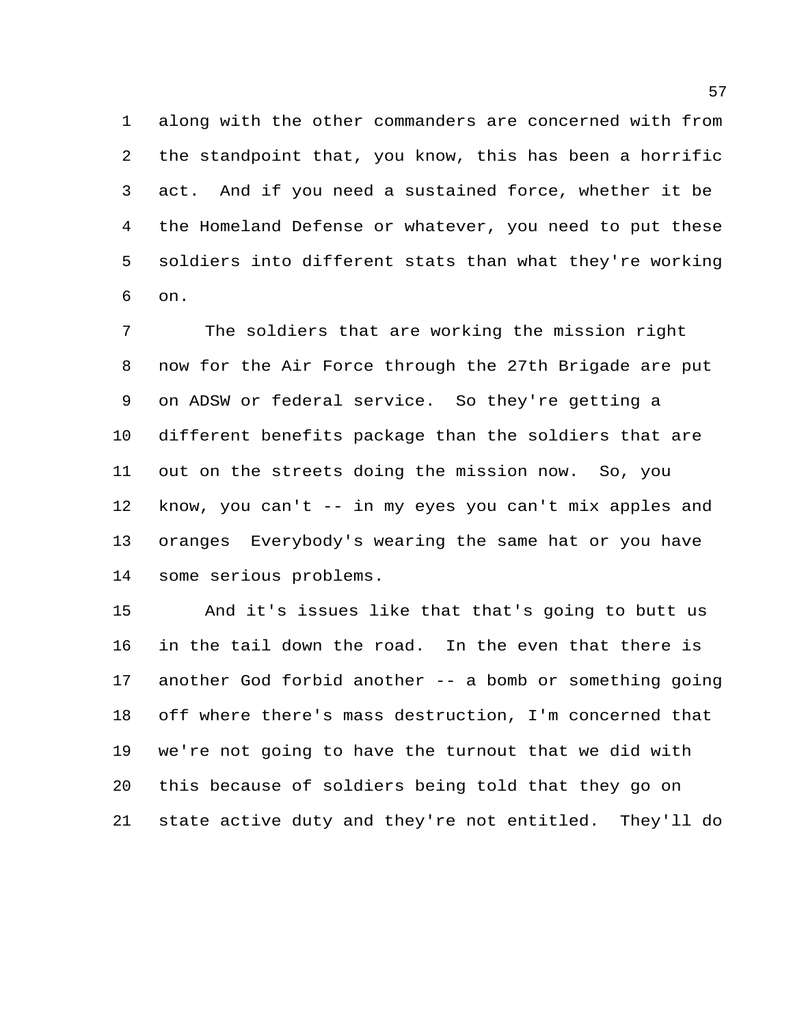along with the other commanders are concerned with from the standpoint that, you know, this has been a horrific act. And if you need a sustained force, whether it be the Homeland Defense or whatever, you need to put these soldiers into different stats than what they're working on.

 The soldiers that are working the mission right now for the Air Force through the 27th Brigade are put on ADSW or federal service. So they're getting a different benefits package than the soldiers that are out on the streets doing the mission now. So, you know, you can't -- in my eyes you can't mix apples and oranges Everybody's wearing the same hat or you have some serious problems.

 And it's issues like that that's going to butt us in the tail down the road. In the even that there is another God forbid another -- a bomb or something going off where there's mass destruction, I'm concerned that we're not going to have the turnout that we did with this because of soldiers being told that they go on state active duty and they're not entitled. They'll do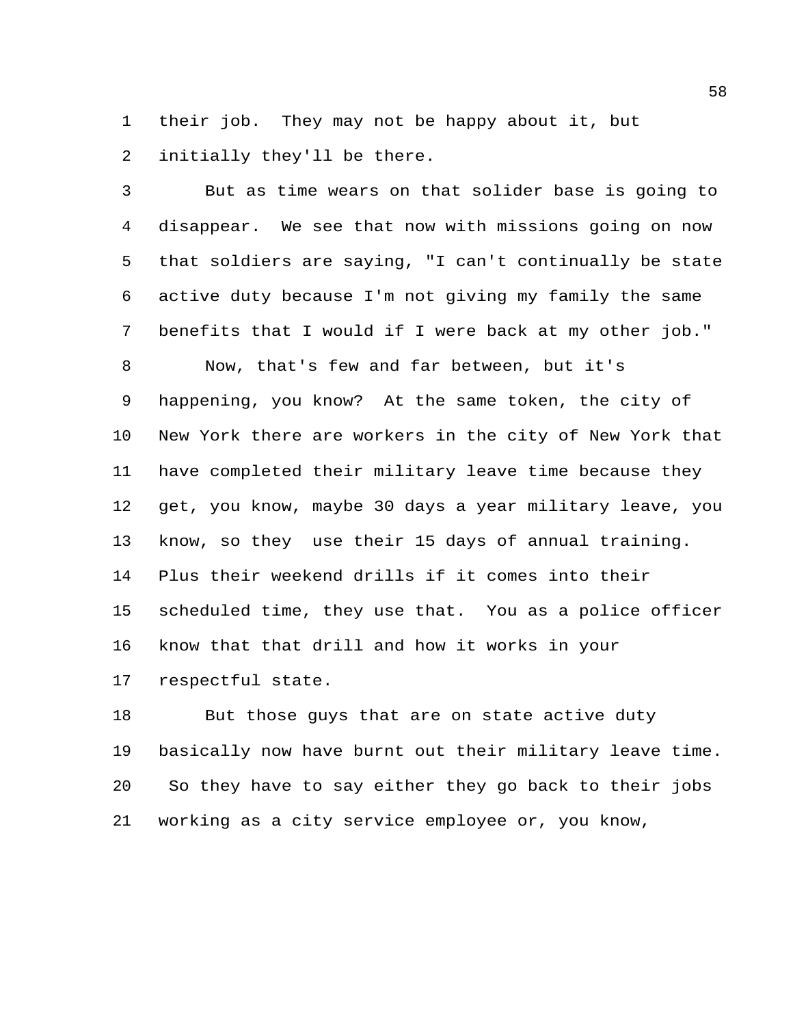their job. They may not be happy about it, but initially they'll be there.

 But as time wears on that solider base is going to disappear. We see that now with missions going on now that soldiers are saying, "I can't continually be state active duty because I'm not giving my family the same benefits that I would if I were back at my other job." Now, that's few and far between, but it's happening, you know? At the same token, the city of New York there are workers in the city of New York that have completed their military leave time because they get, you know, maybe 30 days a year military leave, you know, so they use their 15 days of annual training. Plus their weekend drills if it comes into their scheduled time, they use that. You as a police officer know that that drill and how it works in your respectful state.

 But those guys that are on state active duty basically now have burnt out their military leave time. So they have to say either they go back to their jobs working as a city service employee or, you know,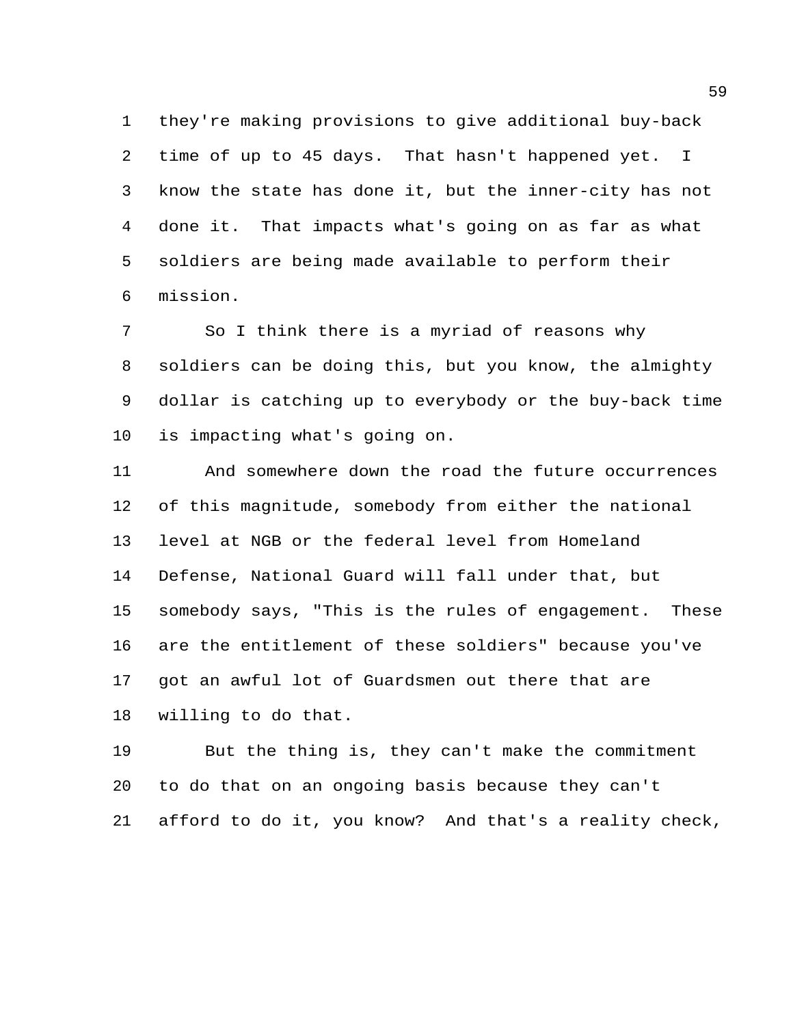they're making provisions to give additional buy-back time of up to 45 days. That hasn't happened yet. I know the state has done it, but the inner-city has not done it. That impacts what's going on as far as what soldiers are being made available to perform their mission.

 So I think there is a myriad of reasons why soldiers can be doing this, but you know, the almighty dollar is catching up to everybody or the buy-back time is impacting what's going on.

 And somewhere down the road the future occurrences of this magnitude, somebody from either the national level at NGB or the federal level from Homeland Defense, National Guard will fall under that, but somebody says, "This is the rules of engagement. These are the entitlement of these soldiers" because you've got an awful lot of Guardsmen out there that are willing to do that.

 But the thing is, they can't make the commitment to do that on an ongoing basis because they can't afford to do it, you know? And that's a reality check,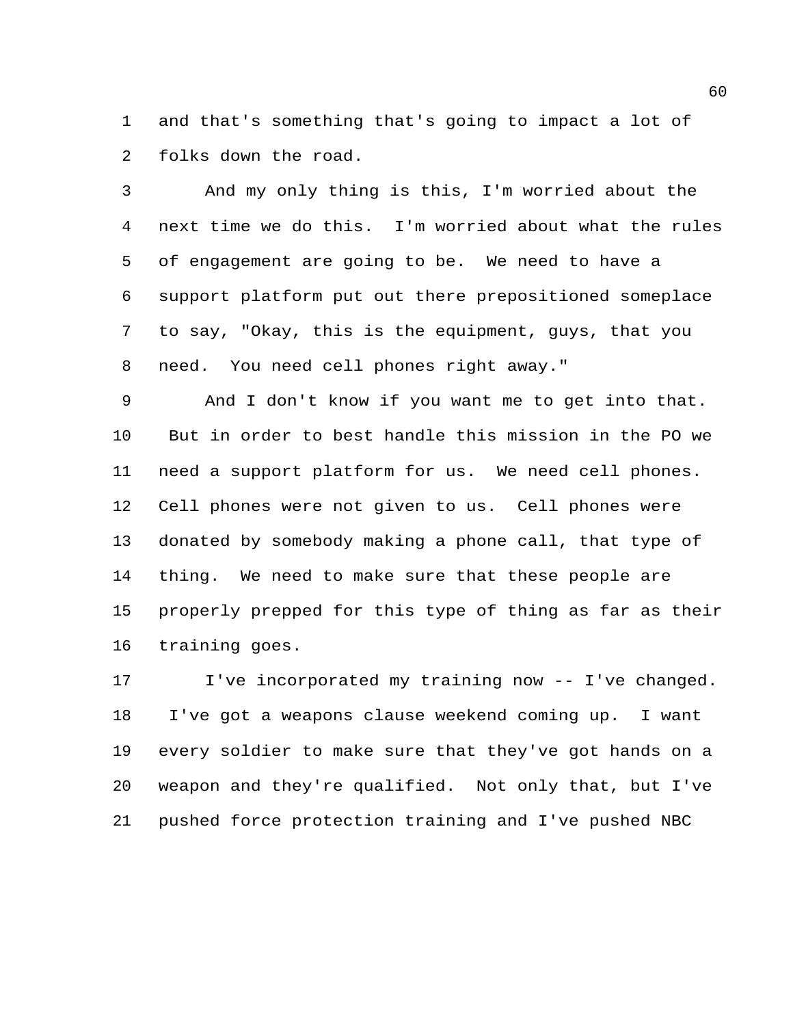and that's something that's going to impact a lot of folks down the road.

 And my only thing is this, I'm worried about the next time we do this. I'm worried about what the rules of engagement are going to be. We need to have a support platform put out there prepositioned someplace to say, "Okay, this is the equipment, guys, that you need. You need cell phones right away."

 And I don't know if you want me to get into that. But in order to best handle this mission in the PO we need a support platform for us. We need cell phones. Cell phones were not given to us. Cell phones were donated by somebody making a phone call, that type of thing. We need to make sure that these people are properly prepped for this type of thing as far as their training goes.

 I've incorporated my training now -- I've changed. I've got a weapons clause weekend coming up. I want every soldier to make sure that they've got hands on a weapon and they're qualified. Not only that, but I've pushed force protection training and I've pushed NBC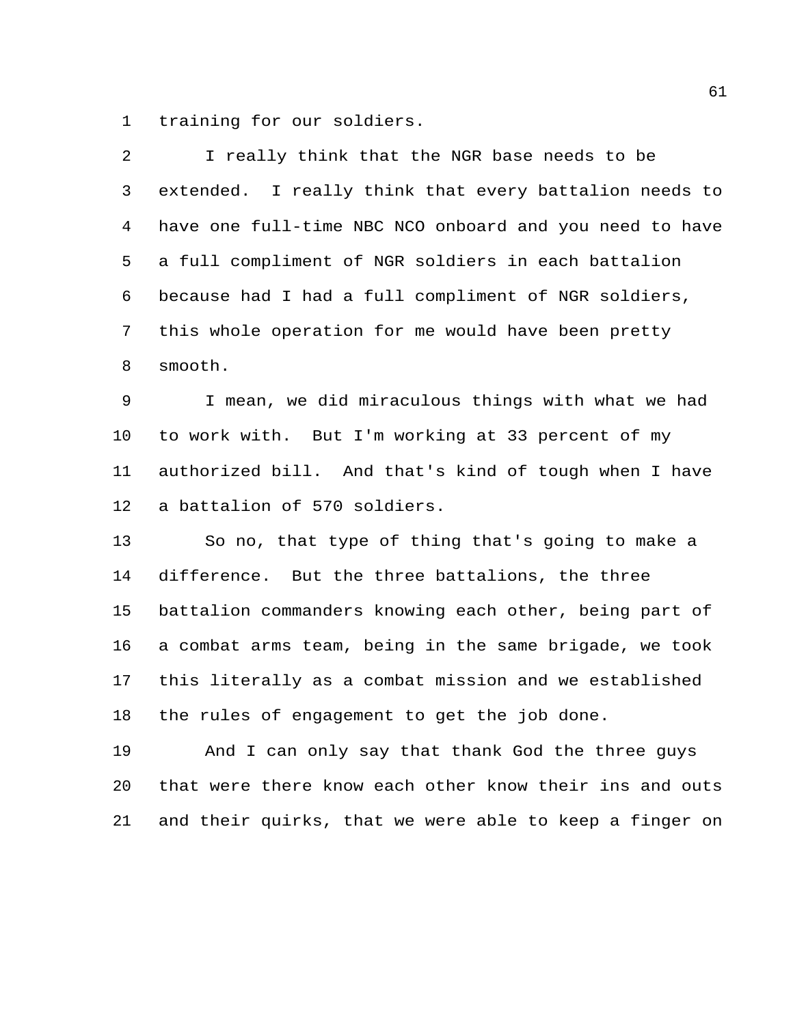training for our soldiers.

| 2              | I really think that the NGR base needs to be            |
|----------------|---------------------------------------------------------|
| 3              | extended. I really think that every battalion needs to  |
| $\overline{4}$ | have one full-time NBC NCO onboard and you need to have |
| 5              | a full compliment of NGR soldiers in each battalion     |
| 6              | because had I had a full compliment of NGR soldiers,    |
| 7              | this whole operation for me would have been pretty      |
| 8              | smooth.                                                 |
| 9              | I mean, we did miraculous things with what we had       |
| 10             | to work with. But I'm working at 33 percent of my       |
| 11             | authorized bill. And that's kind of tough when I have   |
| 12             | a battalion of 570 soldiers.                            |
| 13             | So no, that type of thing that's going to make a        |
| 14             | difference. But the three battalions, the three         |
| 15             | battalion commanders knowing each other, being part of  |
| 16             | a combat arms team, being in the same brigade, we took  |
| 17             | this literally as a combat mission and we established   |
| 18             | the rules of engagement to get the job done.            |
| 19             | And I can only say that thank God the three guys        |
| 20             | that were there know each other know their ins and outs |
| 21             | and their quirks, that we were able to keep a finger on |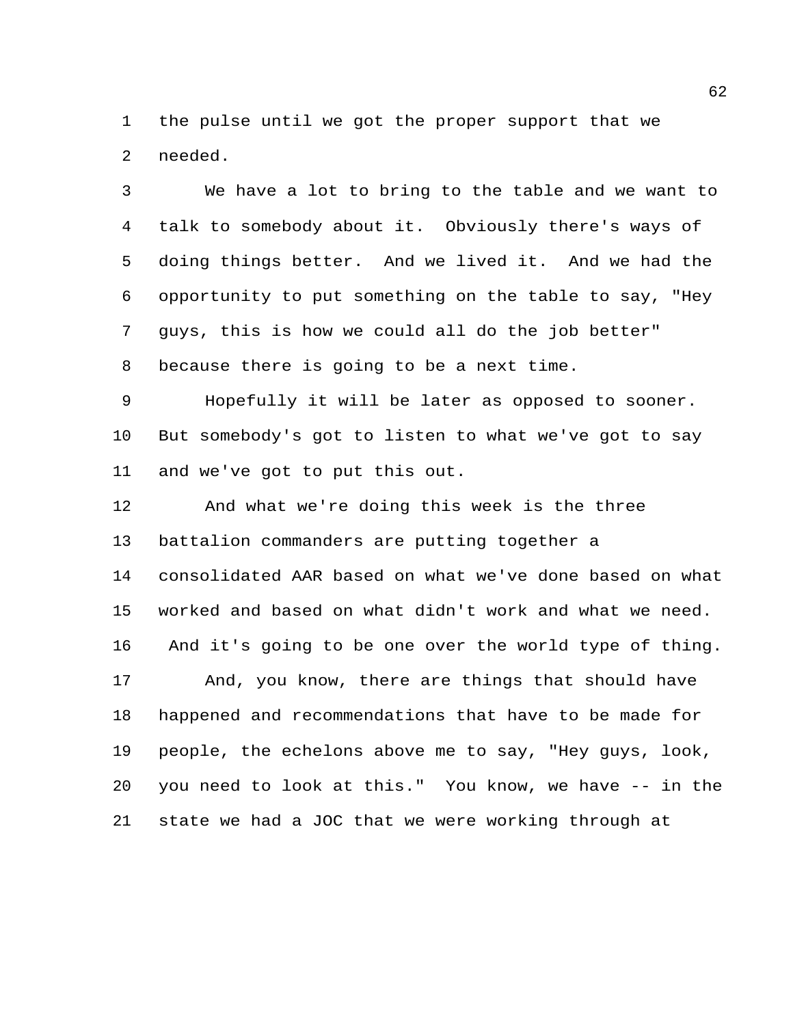the pulse until we got the proper support that we needed.

 We have a lot to bring to the table and we want to talk to somebody about it. Obviously there's ways of doing things better. And we lived it. And we had the opportunity to put something on the table to say, "Hey guys, this is how we could all do the job better" because there is going to be a next time.

 Hopefully it will be later as opposed to sooner. But somebody's got to listen to what we've got to say and we've got to put this out.

 And what we're doing this week is the three battalion commanders are putting together a consolidated AAR based on what we've done based on what worked and based on what didn't work and what we need. And it's going to be one over the world type of thing. And, you know, there are things that should have happened and recommendations that have to be made for people, the echelons above me to say, "Hey guys, look, you need to look at this." You know, we have -- in the state we had a JOC that we were working through at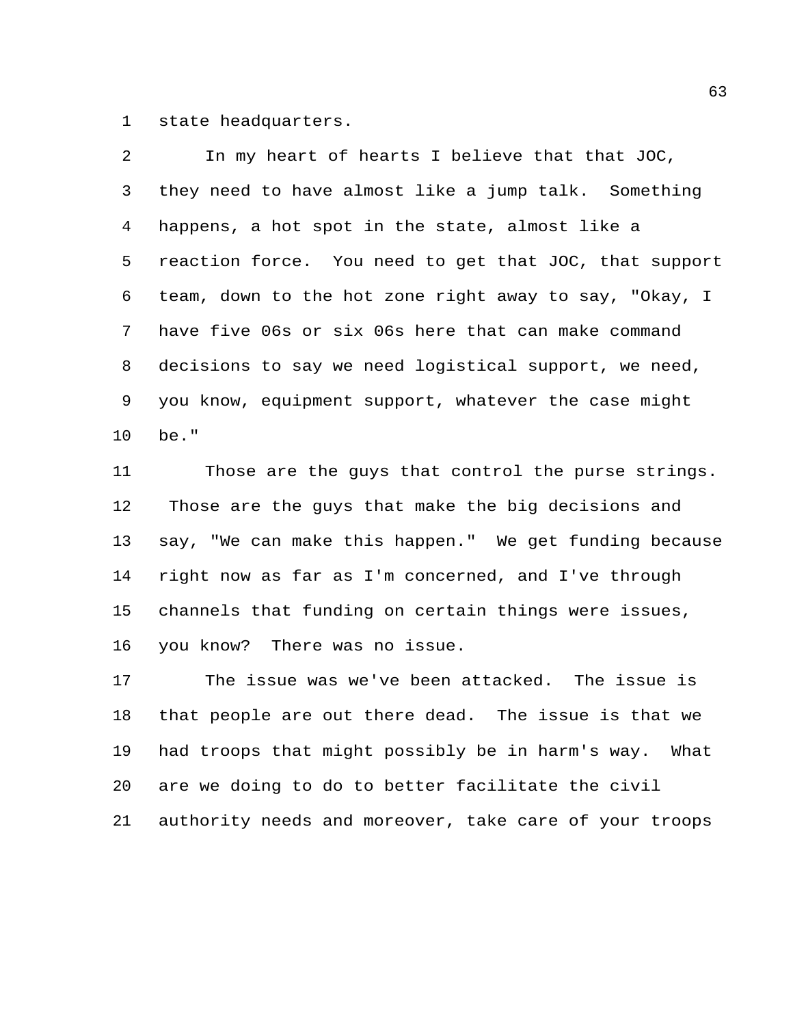state headquarters.

 In my heart of hearts I believe that that JOC, they need to have almost like a jump talk. Something happens, a hot spot in the state, almost like a reaction force. You need to get that JOC, that support team, down to the hot zone right away to say, "Okay, I have five 06s or six 06s here that can make command decisions to say we need logistical support, we need, you know, equipment support, whatever the case might be."

 Those are the guys that control the purse strings. Those are the guys that make the big decisions and say, "We can make this happen." We get funding because right now as far as I'm concerned, and I've through channels that funding on certain things were issues, you know? There was no issue.

 The issue was we've been attacked. The issue is that people are out there dead. The issue is that we had troops that might possibly be in harm's way. What are we doing to do to better facilitate the civil

authority needs and moreover, take care of your troops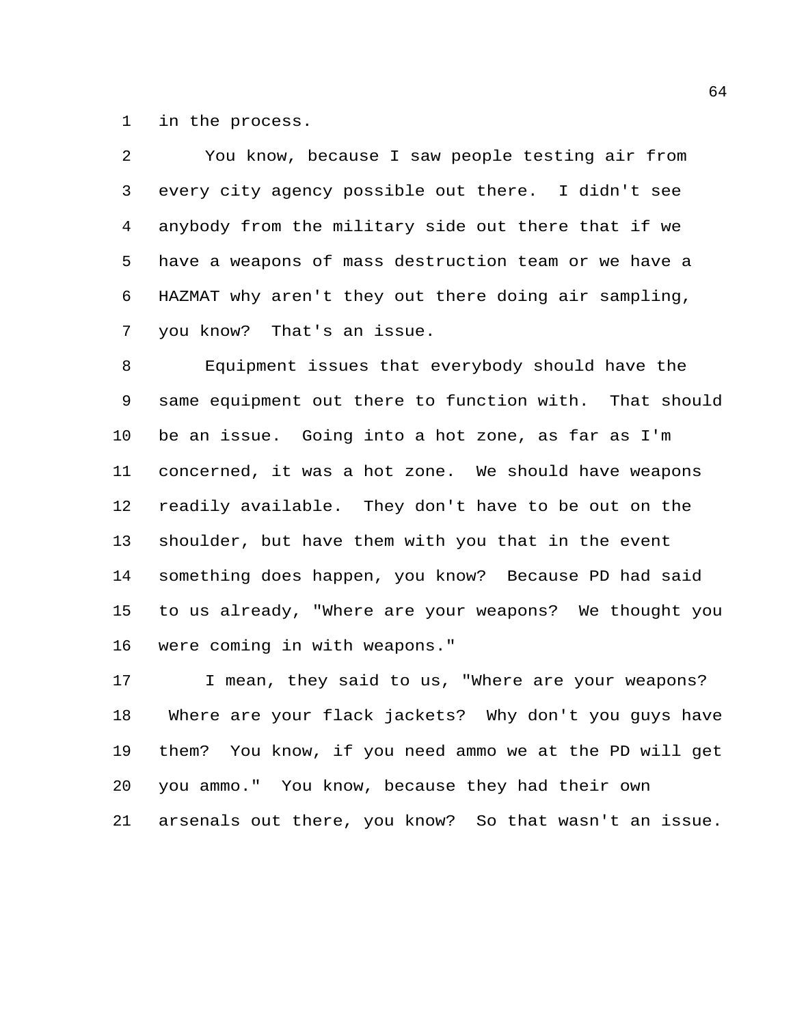in the process.

 You know, because I saw people testing air from every city agency possible out there. I didn't see anybody from the military side out there that if we have a weapons of mass destruction team or we have a HAZMAT why aren't they out there doing air sampling, you know? That's an issue.

 Equipment issues that everybody should have the same equipment out there to function with. That should be an issue. Going into a hot zone, as far as I'm concerned, it was a hot zone. We should have weapons readily available. They don't have to be out on the shoulder, but have them with you that in the event something does happen, you know? Because PD had said to us already, "Where are your weapons? We thought you were coming in with weapons."

17 I mean, they said to us, "Where are your weapons? Where are your flack jackets? Why don't you guys have them? You know, if you need ammo we at the PD will get you ammo." You know, because they had their own arsenals out there, you know? So that wasn't an issue.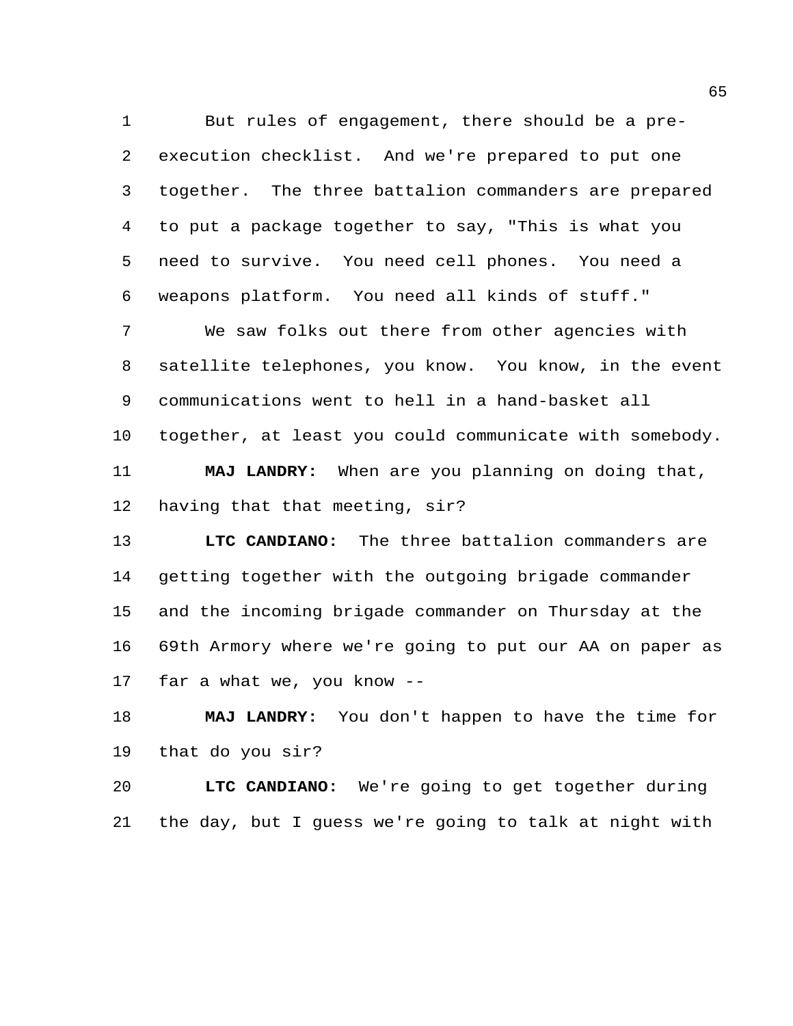But rules of engagement, there should be a pre- execution checklist. And we're prepared to put one together. The three battalion commanders are prepared to put a package together to say, "This is what you need to survive. You need cell phones. You need a weapons platform. You need all kinds of stuff."

 We saw folks out there from other agencies with satellite telephones, you know. You know, in the event communications went to hell in a hand-basket all together, at least you could communicate with somebody. **MAJ LANDRY:** When are you planning on doing that, having that that meeting, sir?

 **LTC CANDIANO:** The three battalion commanders are getting together with the outgoing brigade commander and the incoming brigade commander on Thursday at the 69th Armory where we're going to put our AA on paper as far a what we, you know --

 **MAJ LANDRY:** You don't happen to have the time for that do you sir?

 **LTC CANDIANO:** We're going to get together during the day, but I guess we're going to talk at night with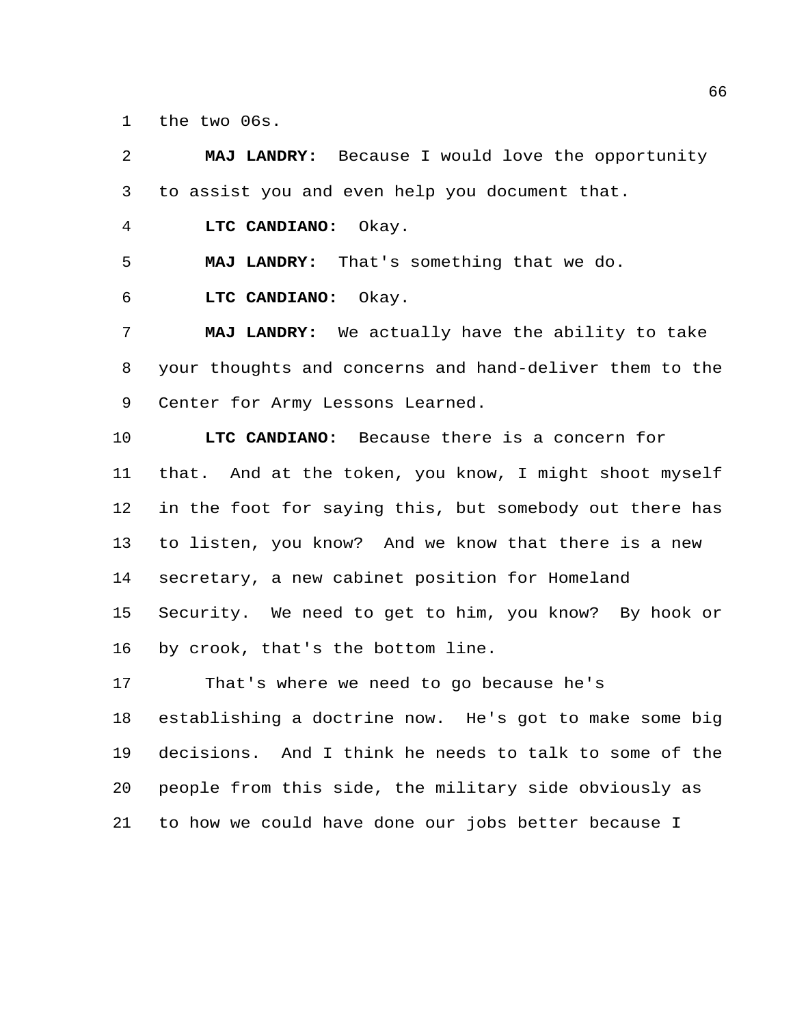the two 06s.

 **MAJ LANDRY:** Because I would love the opportunity to assist you and even help you document that. **LTC CANDIANO:** Okay. **MAJ LANDRY:** That's something that we do. **LTC CANDIANO:** Okay. **MAJ LANDRY:** We actually have the ability to take your thoughts and concerns and hand-deliver them to the Center for Army Lessons Learned. **LTC CANDIANO:** Because there is a concern for that. And at the token, you know, I might shoot myself in the foot for saying this, but somebody out there has to listen, you know? And we know that there is a new secretary, a new cabinet position for Homeland Security. We need to get to him, you know? By hook or by crook, that's the bottom line. That's where we need to go because he's establishing a doctrine now. He's got to make some big decisions. And I think he needs to talk to some of the people from this side, the military side obviously as to how we could have done our jobs better because I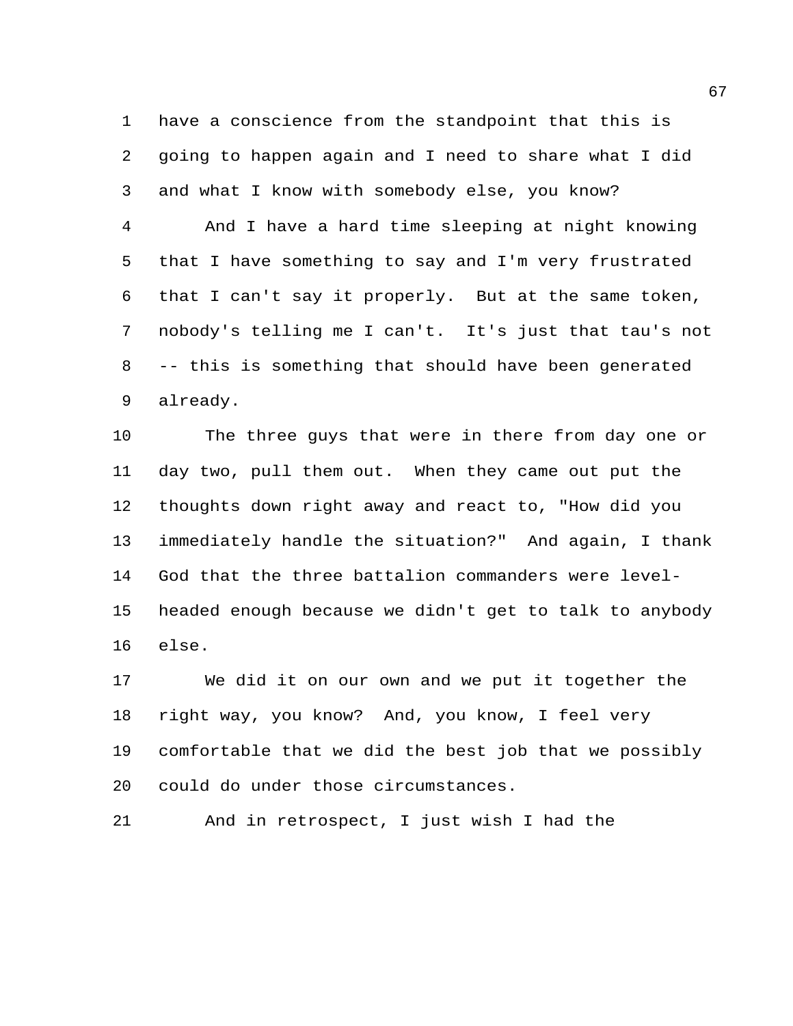have a conscience from the standpoint that this is going to happen again and I need to share what I did and what I know with somebody else, you know?

 And I have a hard time sleeping at night knowing that I have something to say and I'm very frustrated that I can't say it properly. But at the same token, nobody's telling me I can't. It's just that tau's not -- this is something that should have been generated already.

 The three guys that were in there from day one or day two, pull them out. When they came out put the thoughts down right away and react to, "How did you immediately handle the situation?" And again, I thank God that the three battalion commanders were level- headed enough because we didn't get to talk to anybody else.

 We did it on our own and we put it together the right way, you know? And, you know, I feel very comfortable that we did the best job that we possibly could do under those circumstances.

And in retrospect, I just wish I had the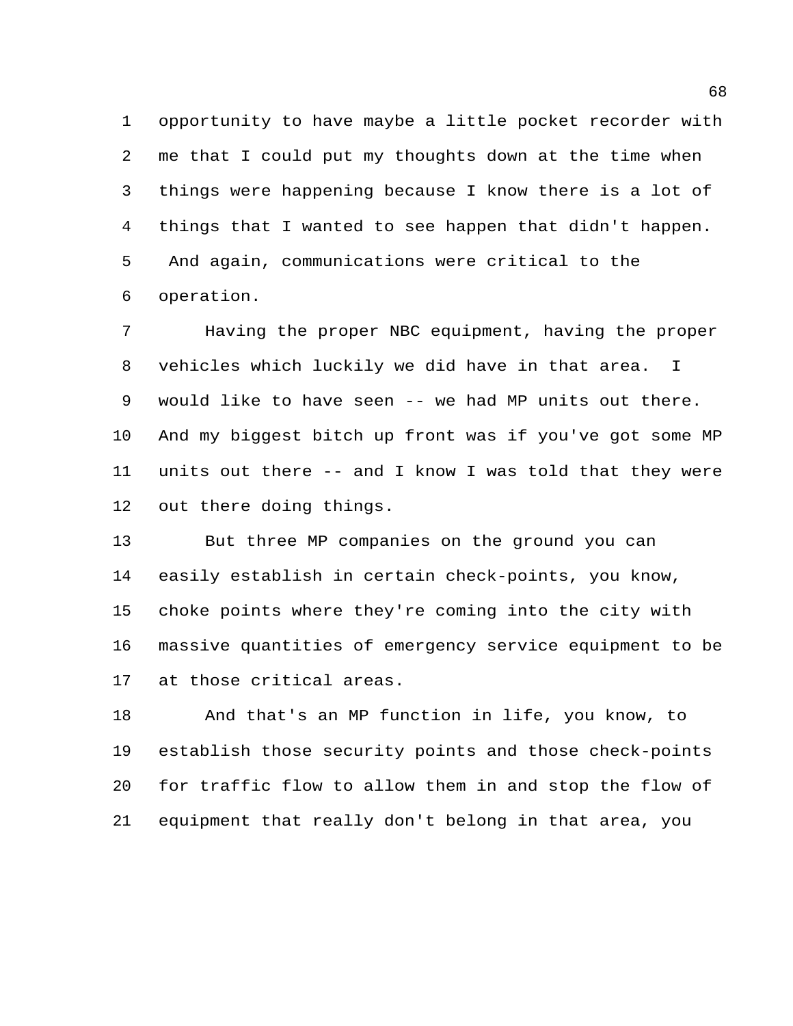opportunity to have maybe a little pocket recorder with me that I could put my thoughts down at the time when things were happening because I know there is a lot of things that I wanted to see happen that didn't happen. And again, communications were critical to the operation.

 Having the proper NBC equipment, having the proper vehicles which luckily we did have in that area. I would like to have seen -- we had MP units out there. And my biggest bitch up front was if you've got some MP units out there -- and I know I was told that they were out there doing things.

 But three MP companies on the ground you can easily establish in certain check-points, you know, choke points where they're coming into the city with massive quantities of emergency service equipment to be at those critical areas.

 And that's an MP function in life, you know, to establish those security points and those check-points for traffic flow to allow them in and stop the flow of equipment that really don't belong in that area, you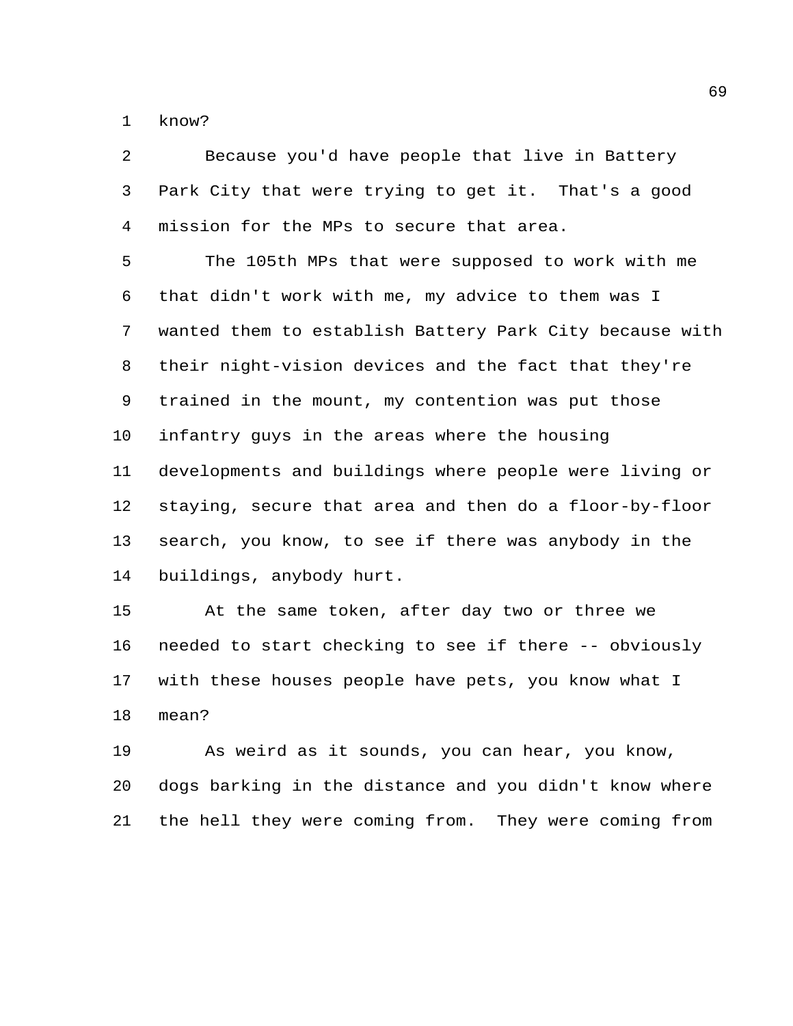know?

 Because you'd have people that live in Battery Park City that were trying to get it. That's a good mission for the MPs to secure that area.

 The 105th MPs that were supposed to work with me that didn't work with me, my advice to them was I wanted them to establish Battery Park City because with their night-vision devices and the fact that they're trained in the mount, my contention was put those infantry guys in the areas where the housing developments and buildings where people were living or staying, secure that area and then do a floor-by-floor search, you know, to see if there was anybody in the buildings, anybody hurt.

 At the same token, after day two or three we needed to start checking to see if there -- obviously with these houses people have pets, you know what I mean?

 As weird as it sounds, you can hear, you know, dogs barking in the distance and you didn't know where the hell they were coming from. They were coming from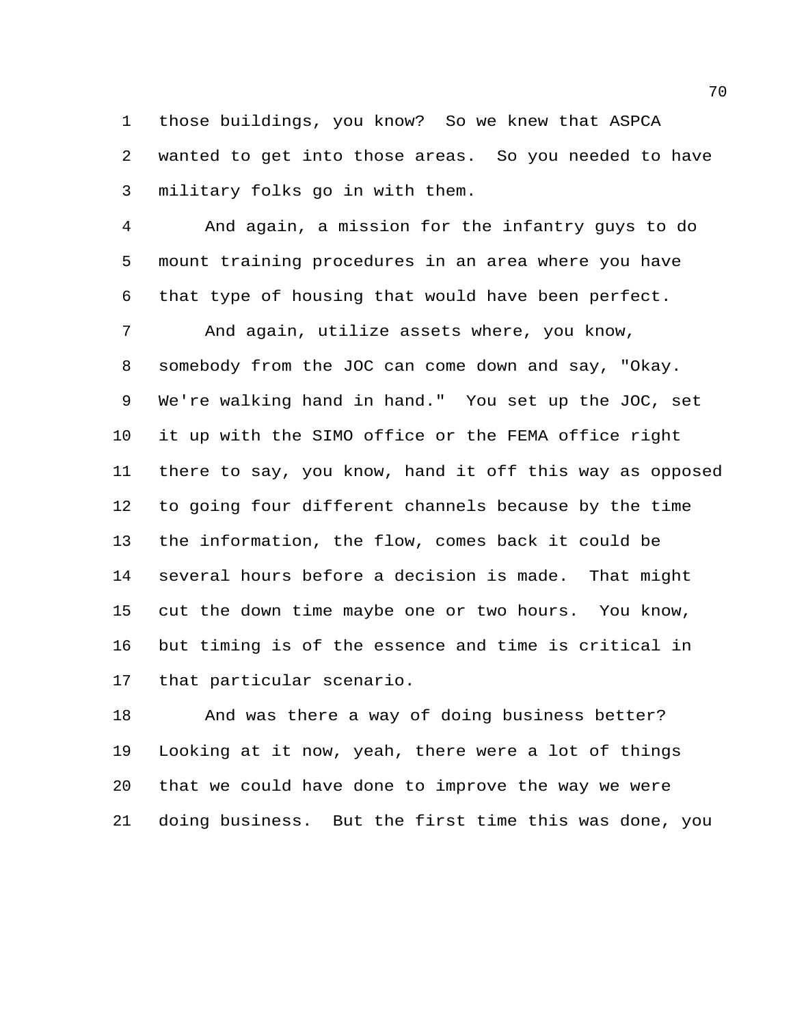those buildings, you know? So we knew that ASPCA wanted to get into those areas. So you needed to have military folks go in with them.

 And again, a mission for the infantry guys to do mount training procedures in an area where you have that type of housing that would have been perfect.

 And again, utilize assets where, you know, somebody from the JOC can come down and say, "Okay. We're walking hand in hand." You set up the JOC, set it up with the SIMO office or the FEMA office right there to say, you know, hand it off this way as opposed to going four different channels because by the time the information, the flow, comes back it could be several hours before a decision is made. That might cut the down time maybe one or two hours. You know, but timing is of the essence and time is critical in that particular scenario.

 And was there a way of doing business better? Looking at it now, yeah, there were a lot of things that we could have done to improve the way we were doing business. But the first time this was done, you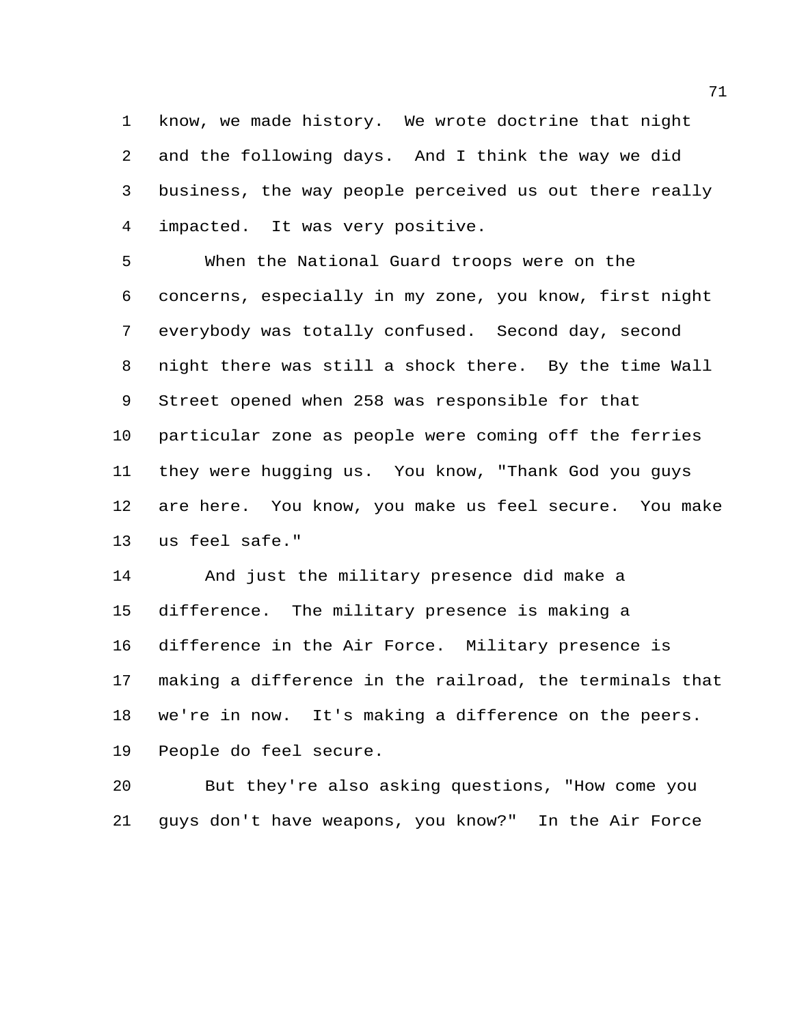know, we made history. We wrote doctrine that night and the following days. And I think the way we did business, the way people perceived us out there really impacted. It was very positive.

 When the National Guard troops were on the concerns, especially in my zone, you know, first night everybody was totally confused. Second day, second night there was still a shock there. By the time Wall Street opened when 258 was responsible for that particular zone as people were coming off the ferries they were hugging us. You know, "Thank God you guys are here. You know, you make us feel secure. You make us feel safe."

 And just the military presence did make a difference. The military presence is making a difference in the Air Force. Military presence is making a difference in the railroad, the terminals that we're in now. It's making a difference on the peers. People do feel secure.

 But they're also asking questions, "How come you guys don't have weapons, you know?" In the Air Force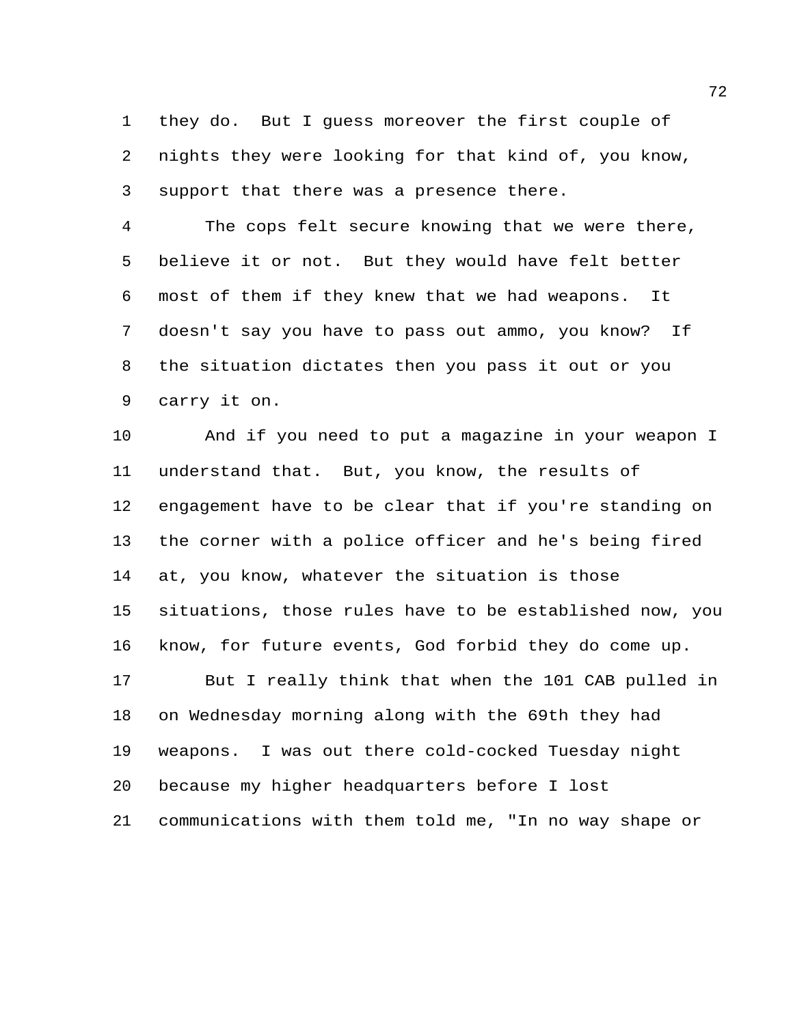they do. But I guess moreover the first couple of nights they were looking for that kind of, you know, support that there was a presence there.

 The cops felt secure knowing that we were there, believe it or not. But they would have felt better most of them if they knew that we had weapons. It doesn't say you have to pass out ammo, you know? If the situation dictates then you pass it out or you carry it on.

 And if you need to put a magazine in your weapon I understand that. But, you know, the results of engagement have to be clear that if you're standing on the corner with a police officer and he's being fired at, you know, whatever the situation is those situations, those rules have to be established now, you know, for future events, God forbid they do come up. But I really think that when the 101 CAB pulled in on Wednesday morning along with the 69th they had weapons. I was out there cold-cocked Tuesday night because my higher headquarters before I lost communications with them told me, "In no way shape or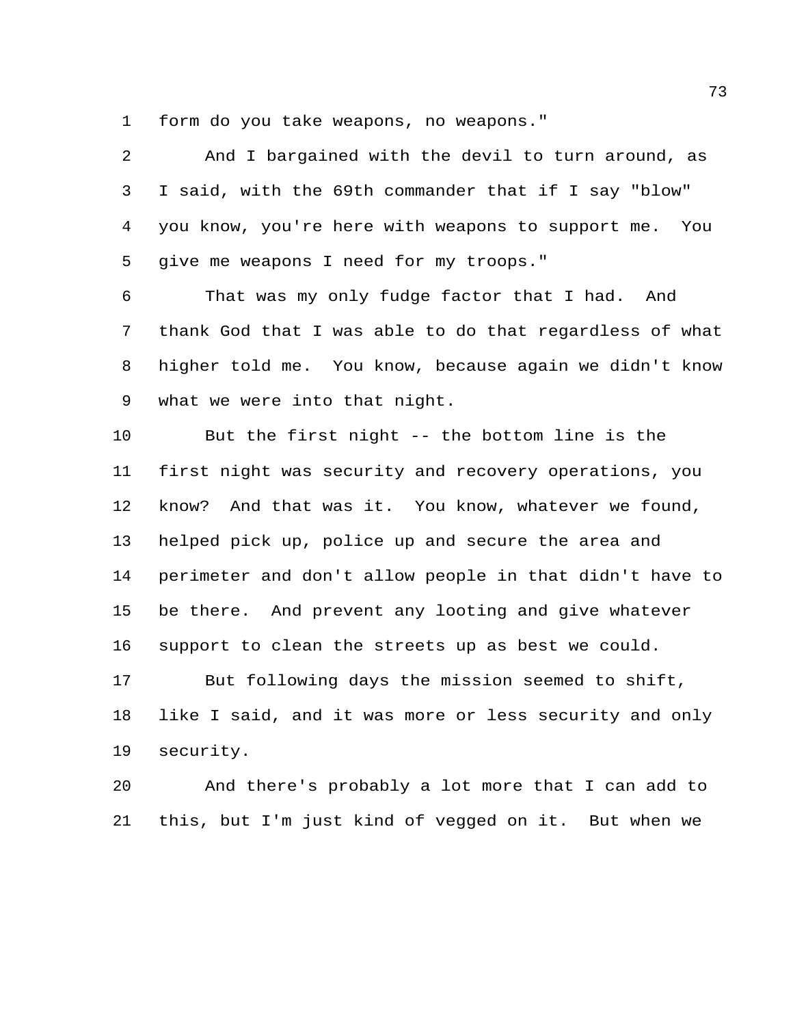form do you take weapons, no weapons."

 And I bargained with the devil to turn around, as I said, with the 69th commander that if I say "blow" you know, you're here with weapons to support me. You give me weapons I need for my troops." That was my only fudge factor that I had. And thank God that I was able to do that regardless of what higher told me. You know, because again we didn't know what we were into that night. But the first night -- the bottom line is the first night was security and recovery operations, you know? And that was it. You know, whatever we found, helped pick up, police up and secure the area and perimeter and don't allow people in that didn't have to be there. And prevent any looting and give whatever support to clean the streets up as best we could. But following days the mission seemed to shift, like I said, and it was more or less security and only

security.

 And there's probably a lot more that I can add to this, but I'm just kind of vegged on it. But when we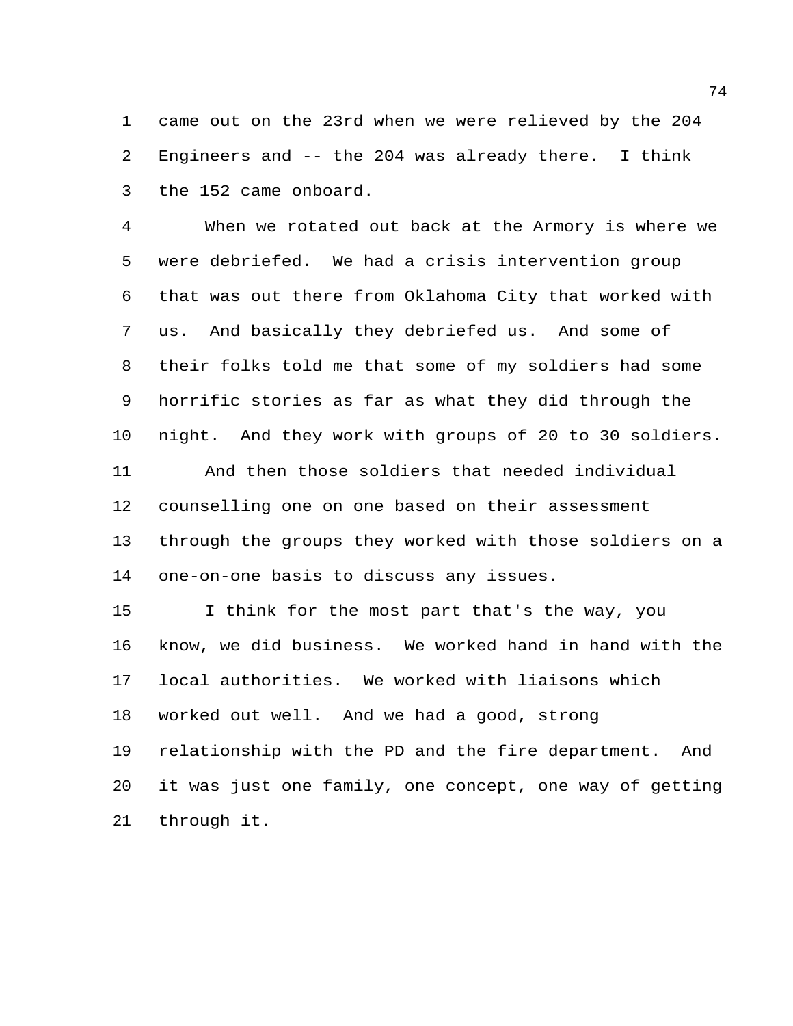came out on the 23rd when we were relieved by the 204 Engineers and -- the 204 was already there. I think the 152 came onboard.

 When we rotated out back at the Armory is where we were debriefed. We had a crisis intervention group that was out there from Oklahoma City that worked with us. And basically they debriefed us. And some of their folks told me that some of my soldiers had some horrific stories as far as what they did through the night. And they work with groups of 20 to 30 soldiers. And then those soldiers that needed individual counselling one on one based on their assessment through the groups they worked with those soldiers on a

one-on-one basis to discuss any issues.

 I think for the most part that's the way, you know, we did business. We worked hand in hand with the local authorities. We worked with liaisons which worked out well. And we had a good, strong relationship with the PD and the fire department. And it was just one family, one concept, one way of getting through it.